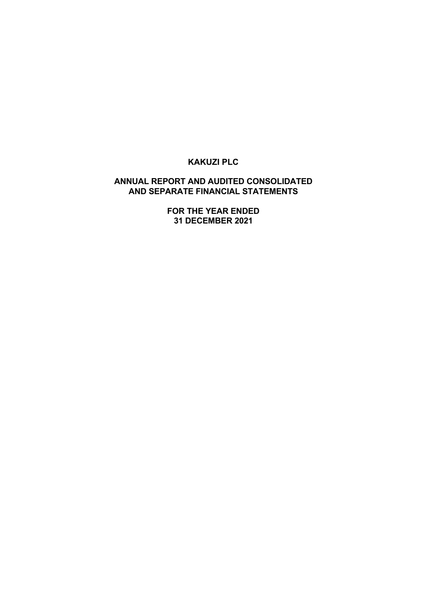# **ANNUAL REPORT AND AUDITED CONSOLIDATED AND SEPARATE FINANCIAL STATEMENTS**

**FOR THE YEAR ENDED 31 DECEMBER 2021**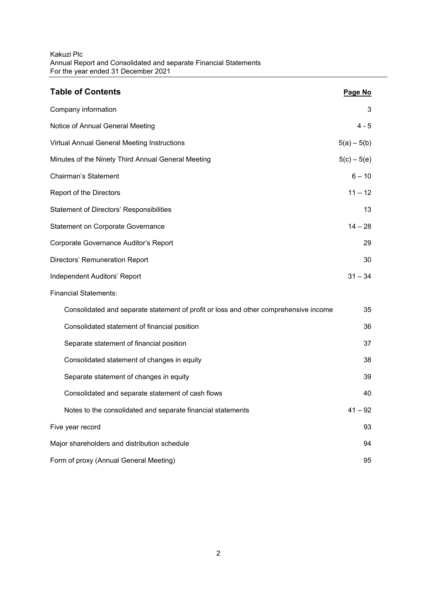| <b>Table of Contents</b>                                                             | Page No       |
|--------------------------------------------------------------------------------------|---------------|
| Company information                                                                  | 3             |
| Notice of Annual General Meeting                                                     | $4 - 5$       |
| Virtual Annual General Meeting Instructions                                          | $5(a) - 5(b)$ |
| Minutes of the Ninety Third Annual General Meeting                                   | $5(c) - 5(e)$ |
| <b>Chairman's Statement</b>                                                          | $6 - 10$      |
| Report of the Directors                                                              | $11 - 12$     |
| Statement of Directors' Responsibilities                                             | 13            |
| <b>Statement on Corporate Governance</b>                                             | $14 - 28$     |
| Corporate Governance Auditor's Report                                                | 29            |
| Directors' Remuneration Report                                                       | 30            |
| Independent Auditors' Report                                                         | $31 - 34$     |
| <b>Financial Statements:</b>                                                         |               |
| Consolidated and separate statement of profit or loss and other comprehensive income | 35            |
| Consolidated statement of financial position                                         | 36            |
| Separate statement of financial position                                             | 37            |
| Consolidated statement of changes in equity                                          | 38            |
| Separate statement of changes in equity                                              | 39            |
| Consolidated and separate statement of cash flows                                    | 40            |
| Notes to the consolidated and separate financial statements                          | $41 - 92$     |
| Five year record                                                                     | 93            |
| Major shareholders and distribution schedule                                         | 94            |
| Form of proxy (Annual General Meeting)                                               | 95            |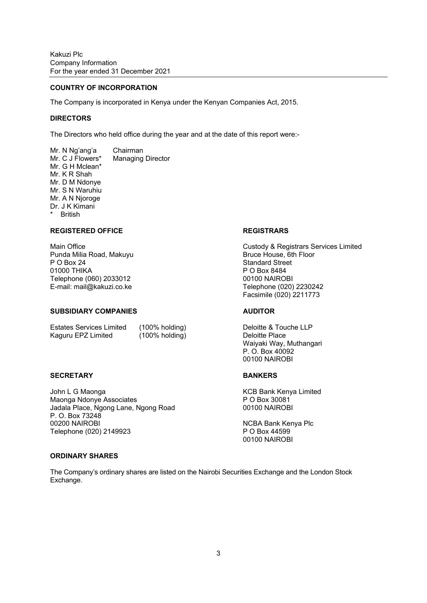#### **COUNTRY OF INCORPORATION**

The Company is incorporated in Kenya under the Kenyan Companies Act, 2015.

#### **DIRECTORS**

The Directors who held office during the year and at the date of this report were:-

Mr. N Ng'ang'a Chairman Mr. C J Flowers\* Managing Director Mr. G H Mclean\* Mr. K R Shah Mr. D M Ndonye Mr. S N Waruhiu Mr. A N Njoroge Dr. J K Kimani \* British

## REGISTERED OFFICE **REGISTRARS**

Punda Milia Road, Makuyu Bruce House, 6th Floor P O Box 24 Standard Street 01000 THIKA P O Box 8484 Telephone (060) 2033012 00100 NAIROBI E-mail: mail@kakuzi.co.ke Telephone (020) 2230242

#### **SUBSIDIARY COMPANIES AUDITOR**

Estates Services Limited (100% holding) Deloitte & Touche LLP Kaguru EPZ Limited (100% holding) Deloitte Place

#### SECRETARY **BANKERS**

John L G Maonga **Katalah Bank Kenya Limited** KCB Bank Kenya Limited Maonga Ndonye Associates P O Box 30081 Jadala Place, Ngong Lane, Ngong Road 00100 NAIROBI P. O. Box 73248 00200 NAIROBI NGBA Bank Kenya Plc Telephone (020) 2149923 P O Box 44599

Main Office Custody & Registrars Services Limited Facsimile (020) 2211773

 Waiyaki Way, Muthangari P. O. Box 40092 00100 NAIROBI

00100 NAIROBI

#### **ORDINARY SHARES**

The Company's ordinary shares are listed on the Nairobi Securities Exchange and the London Stock Exchange.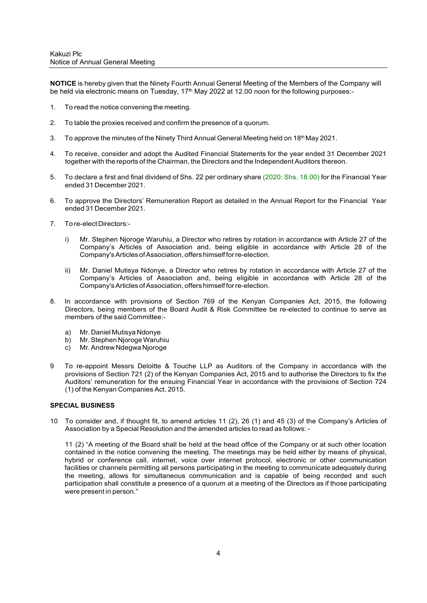**NOTICE** is hereby given that the Ninety Fourth Annual General Meeting of the Members of the Company will be held via electronic means on Tuesday, 17<sup>th</sup> May 2022 at 12.00 noon for the following purposes:-

- 1. To read the notice convening the meeting.
- 2. To table the proxies received and confirm the presence of a quorum.
- 3. To approve the minutes of the Ninety Third Annual General Meeting held on 18<sup>th</sup> May 2021.
- 4. To receive, consider and adopt the Audited Financial Statements for the year ended 31 December 2021 together with the reports of the Chairman, the Directors and the Independent Auditors thereon.
- 5. To declare a first and final dividend of Shs. 22 per ordinary share (2020: Shs. 18.00) for the Financial Year ended 31 December 2021.
- 6. To approve the Directors' Remuneration Report as detailed in the Annual Report for the Financial Year ended 31 December 2021.
- 7. To re-elect Directors:
	- i) Mr. Stephen Njoroge Waruhiu, a Director who retires by rotation in accordance with Article 27 of the Company's Articles of Association and, being eligible in accordance with Article 28 of the Company's Articles of Association, offers himself for re-election.
	- ii) Mr. Daniel Mutisya Ndonye, a Director who retires by rotation in accordance with Article 27 of the Company's Articles of Association and, being eligible in accordance with Article 28 of the Company's Articles of Association, offers himself for re-election.
- 8. In accordance with provisions of Section 769 of the Kenyan Companies Act, 2015, the following Directors, being members of the Board Audit & Risk Committee be re-elected to continue to serve as members of the said Committee:
	- a) Mr. Daniel Mutisya Ndonye
	- b) Mr. Stephen Njoroge Waruhiu
	- c) Mr. Andrew Ndegwa Njoroge
- 9 To re-appoint Messrs Deloitte & Touche LLP as Auditors of the Company in accordance with the provisions of Section 721 (2) of the Kenyan Companies Act, 2015 and to authorise the Directors to fix the Auditors' remuneration for the ensuing Financial Year in accordance with the provisions of Section 724 (1) of the Kenyan Companies Act, 2015.

### **SPECIAL BUSINESS**

10 To consider and, if thought fit, to amend articles 11 (2), 26 (1) and 45 (3) of the Company's Articles of Association by a Special Resolution and the amended articles to read as follows: -

11 (2) "A meeting of the Board shall be held at the head office of the Company or at such other location contained in the notice convening the meeting. The meetings may be held either by means of physical, hybrid or conference call, internet, voice over internet protocol, electronic or other communication facilities or channels permitting all persons participating in the meeting to communicate adequately during the meeting, allows for simultaneous communication and is capable of being recorded and such participation shall constitute a presence of a quorum at a meeting of the Directors as if those participating were present in person."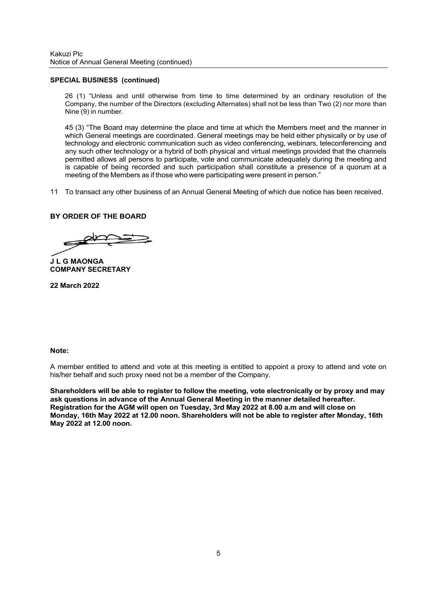### **SPECIAL BUSINESS (continued)**

26 (1) "Unless and until otherwise from time to time determined by an ordinary resolution of the Company, the number of the Directors (excluding Alternates) shall not be less than Two (2) nor more than Nine (9) in number.

45 (3) "The Board may determine the place and time at which the Members meet and the manner in which General meetings are coordinated. General meetings may be held either physically or by use of technology and electronic communication such as video conferencing, webinars, teleconferencing and any such other technology or a hybrid of both physical and virtual meetings provided that the channels permitted allows all persons to participate, vote and communicate adequately during the meeting and is capable of being recorded and such participation shall constitute a presence of a quorum at a meeting of the Members as if those who were participating were present in person."

11 To transact any other business of an Annual General Meeting of which due notice has been received.

## **BY ORDER OF THE BOARD**

**J L G MAONGA COMPANY SECRETARY** 

**22 March 2022**

# **Note:**

A member entitled to attend and vote at this meeting is entitled to appoint a proxy to attend and vote on his/her behalf and such proxy need not be a member of the Company.

**Shareholders will be able to register to follow the meeting, vote electronically or by proxy and may ask questions in advance of the Annual General Meeting in the manner detailed hereafter. Registration for the AGM will open on Tuesday, 3rd May 2022 at 8.00 a.m and will close on Monday, 16th May 2022 at 12.00 noon. Shareholders will not be able to register after Monday, 16th May 2022 at 12.00 noon.**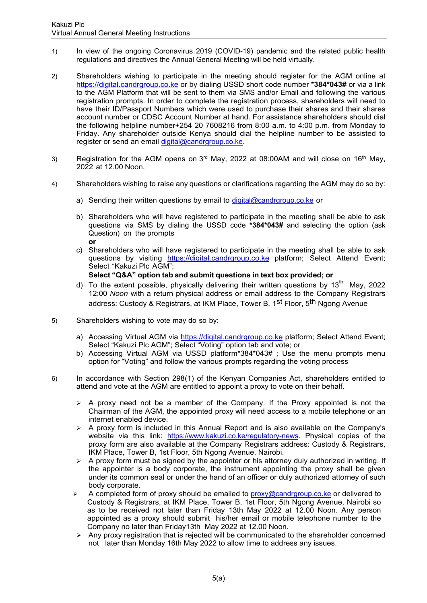- 1) In view of the ongoing Coronavirus 2019 (COVID-19) pandemic and the related public health regulations and directives the Annual General Meeting will be held virtually.
- 2) Shareholders wishing to participate in the meeting should register for the AGM online at https://digital.candrgroup.co.ke or by dialing USSD short code number **\*384\*043#** or via a link to the AGM Platform that will be sent to them via SMS and/or Email and following the various registration prompts. In order to complete the registration process, shareholders will need to have their ID/Passport Numbers which were used to purchase their shares and their shares account number or CDSC Account Number at hand. For assistance shareholders should dial the following helpline number+254 20 7608216 from 8:00 a.m. to 4:00 p.m. from Monday to Friday. Any shareholder outside Kenya should dial the helpline number to be assisted to register or send an email digital@candrgroup.co.ke.
- 3) Registration for the AGM opens on  $3<sup>rd</sup>$  May, 2022 at 08:00AM and will close on 16<sup>th</sup> May, 2022 at 12.00 Noon.
- 4) Shareholders wishing to raise any questions or clarifications regarding the AGM may do so by:
	- a) Sending their written questions by email to digital@candrgroup.co.ke or
	- b) Shareholders who will have registered to participate in the meeting shall be able to ask questions via SMS by dialing the USSD code **\*384\*043#** and selecting the option (ask Question) on the prompts **or**
	- c) Shareholders who will have registered to participate in the meeting shall be able to ask questions by visiting https://digital.candrgroup.co.ke platform; Select Attend Event; Select "Kakuzi Plc AGM";
		- **Select "Q&A" option tab and submit questions in text box provided; or**
	- d) To the extent possible, physically delivering their written questions by 13<sup>th</sup> May, 2022 12:00 *Noon* with a return physical address or email address to the Company Registrars address: Custody & Registrars, at IKM Place, Tower B, 1<sup>st</sup> Floor, 5<sup>th</sup> Ngong Avenue
- 5) Shareholders wishing to vote may do so by:
	- a) Accessing Virtual AGM via https://digital.candrgroup.co.ke platform; Select Attend Event; Select "Kakuzi Plc AGM"; Select "Voting" option tab and vote; or
	- b) Accessing Virtual AGM via USSD platform\*384\*043# ; Use the menu prompts menu option for "Voting" and follow the various prompts regarding the voting process
- 6) In accordance with Section 298(1) of the Kenyan Companies Act, shareholders entitled to attend and vote at the AGM are entitled to appoint a proxy to vote on their behalf.
	- $\triangleright$  A proxy need not be a member of the Company. If the Proxy appointed is not the Chairman of the AGM, the appointed proxy will need access to a mobile telephone or an internet enabled device.
	- $\triangleright$  A proxy form is included in this Annual Report and is also available on the Company's website via this link: https://www.kakuzi.co.ke/regulatory-news. Physical copies of the proxy form are also available at the Company Registrars address: Custody & Registrars, IKM Place, Tower B, 1st Floor, 5th Ngong Avenue, Nairobi.
	- $\triangleright$  A proxy form must be signed by the appointer or his attorney duly authorized in writing. If the appointer is a body corporate, the instrument appointing the proxy shall be given under its common seal or under the hand of an officer or duly authorized attorney of such body corporate.
	- A completed form of proxy should be emailed to  $prox(y)$  candrgroup.co.ke or delivered to Custody & Registrars, at IKM Place, Tower B, 1st Floor, 5th Ngong Avenue, Nairobi so as to be received not later than Friday 13th May 2022 at 12.00 Noon. Any person appointed as a proxy should submit his/her email or mobile telephone number to the Company no later than Friday13th May 2022 at 12.00 Noon.
	- $\triangleright$  Any proxy registration that is rejected will be communicated to the shareholder concerned not later than Monday 16th May 2022 to allow time to address any issues.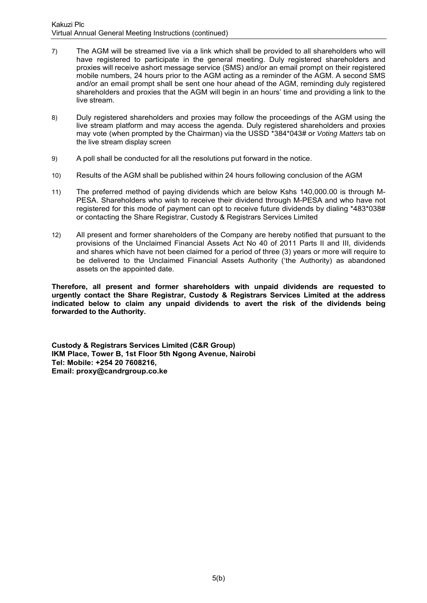- 7) The AGM will be streamed live via a link which shall be provided to all shareholders who will have registered to participate in the general meeting. Duly registered shareholders and proxies will receive a short message service (SMS) and/or an email prompt on their registered mobile numbers, 24 hours prior to the AGM acting as a reminder of the AGM. A second SMS and/or an email prompt shall be sent one hour ahead of the AGM, reminding duly registered shareholders and proxies that the AGM will begin in an hours' time and providing a link to the live stream.
- 8) Duly registered shareholders and proxies may follow the proceedings of the AGM using the live stream platform and may access the agenda. Duly registered shareholders and proxies may vote (when prompted by the Chairman) via the USSD \*384\*043# or *Voting Matters* tab on the live stream display screen
- 9) A poll shall be conducted for all the resolutions put forward in the notice.
- 10) Results of the AGM shall be published within 24 hours following conclusion of the AGM
- 11) The preferred method of paying dividends which are below Kshs 140,000.00 is through M-PESA. Shareholders who wish to receive their dividend through M-PESA and who have not registered for this mode of payment can opt to receive future dividends by dialing \*483\*038# or contacting the Share Registrar, Custody & Registrars Services Limited
- 12) All present and former shareholders of the Company are hereby notified that pursuant to the provisions of the Unclaimed Financial Assets Act No 40 of 2011 Parts II and III, dividends and shares which have not been claimed for a period of three (3) years or more will require to be delivered to the Unclaimed Financial Assets Authority ('the Authority) as abandoned assets on the appointed date.

**Therefore, all present and former shareholders with unpaid dividends are requested to urgently contact the Share Registrar, Custody & Registrars Services Limited at the address indicated below to claim any unpaid dividends to avert the risk of the dividends being forwarded to the Authority.** 

**Custody & Registrars Services Limited (C&R Group) IKM Place, Tower B, 1st Floor 5th Ngong Avenue, Nairobi Tel: Mobile: +254 20 7608216, Email: proxy@candrgroup.co.ke**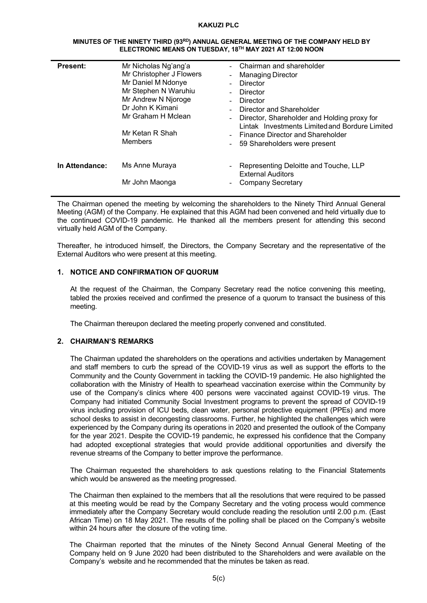#### **MINUTES OF THE NINETY THIRD (93RD) ANNUAL GENERAL MEETING OF THE COMPANY HELD BY ELECTRONIC MEANS ON TUESDAY, 18TH MAY 2021 AT 12:00 NOON**

| <b>Present:</b> | Mr Nicholas Ng'ang'a<br>Mr Christopher J Flowers<br>Mr Daniel M Ndonye<br>Mr Stephen N Waruhiu<br>Mr Andrew N Njoroge<br>Dr John K Kimani<br>Mr Graham H Mclean<br>Mr Ketan R Shah<br>Members | - Chairman and shareholder<br>- Managing Director<br>Director<br>Director<br>Director<br>Director and Shareholder<br>Director, Shareholder and Holding proxy for<br>Lintak Investments Limited and Bordure Limited<br>- Finance Director and Shareholder<br>59 Shareholders were present |
|-----------------|-----------------------------------------------------------------------------------------------------------------------------------------------------------------------------------------------|------------------------------------------------------------------------------------------------------------------------------------------------------------------------------------------------------------------------------------------------------------------------------------------|
| In Attendance:  | Ms Anne Muraya<br>Mr John Maonga                                                                                                                                                              | Representing Deloitte and Touche, LLP<br><b>External Auditors</b><br><b>Company Secretary</b>                                                                                                                                                                                            |

The Chairman opened the meeting by welcoming the shareholders to the Ninety Third Annual General Meeting (AGM) of the Company. He explained that this AGM had been convened and held virtually due to the continued COVID-19 pandemic. He thanked all the members present for attending this second virtually held AGM of the Company.

Thereafter, he introduced himself, the Directors, the Company Secretary and the representative of the External Auditors who were present at this meeting.

# **1. NOTICE AND CONFIRMATION OF QUORUM**

At the request of the Chairman, the Company Secretary read the notice convening this meeting, tabled the proxies received and confirmed the presence of a quorum to transact the business of this meeting.

The Chairman thereupon declared the meeting properly convened and constituted.

# **2. CHAIRMAN'S REMARKS**

The Chairman updated the shareholders on the operations and activities undertaken by Management and staff members to curb the spread of the COVID-19 virus as well as support the efforts to the Community and the County Government in tackling the COVID-19 pandemic. He also highlighted the collaboration with the Ministry of Health to spearhead vaccination exercise within the Community by use of the Company's clinics where 400 persons were vaccinated against COVID-19 virus. The Company had initiated Community Social Investment programs to prevent the spread of COVID-19 virus including provision of ICU beds, clean water, personal protective equipment (PPEs) and more school desks to assist in decongesting classrooms. Further, he highlighted the challenges which were experienced by the Company during its operations in 2020 and presented the outlook of the Company for the year 2021. Despite the COVID-19 pandemic, he expressed his confidence that the Company had adopted exceptional strategies that would provide additional opportunities and diversify the revenue streams of the Company to better improve the performance.

The Chairman requested the shareholders to ask questions relating to the Financial Statements which would be answered as the meeting progressed.

The Chairman then explained to the members that all the resolutions that were required to be passed at this meeting would be read by the Company Secretary and the voting process would commence immediately after the Company Secretary would conclude reading the resolution until 2.00 p.m. (East African Time) on 18 May 2021. The results of the polling shall be placed on the Company's website within 24 hours after the closure of the voting time.

The Chairman reported that the minutes of the Ninety Second Annual General Meeting of the Company held on 9 June 2020 had been distributed to the Shareholders and were available on the Company's website and he recommended that the minutes be taken as read.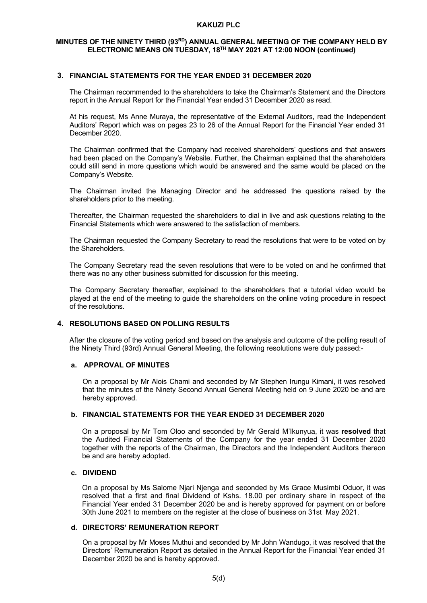# MINUTES OF THE NINETY THIRD (93RD) ANNUAL GENERAL MEETING OF THE COMPANY HELD BY **ELECTRONIC MEANS ON TUESDAY, 18TH MAY 2021 AT 12:00 NOON (continued)**

## **3. FINANCIAL STATEMENTS FOR THE YEAR ENDED 31 DECEMBER 2020**

The Chairman recommended to the shareholders to take the Chairman's Statement and the Directors report in the Annual Report for the Financial Year ended 31 December 2020 as read.

At his request, Ms Anne Muraya, the representative of the External Auditors, read the Independent Auditors' Report which was on pages 23 to 26 of the Annual Report for the Financial Year ended 31 December 2020.

The Chairman confirmed that the Company had received shareholders' questions and that answers had been placed on the Company's Website. Further, the Chairman explained that the shareholders could still send in more questions which would be answered and the same would be placed on the Company's Website.

The Chairman invited the Managing Director and he addressed the questions raised by the shareholders prior to the meeting.

Thereafter, the Chairman requested the shareholders to dial in live and ask questions relating to the Financial Statements which were answered to the satisfaction of members.

The Chairman requested the Company Secretary to read the resolutions that were to be voted on by the Shareholders.

The Company Secretary read the seven resolutions that were to be voted on and he confirmed that there was no any other business submitted for discussion for this meeting.

The Company Secretary thereafter, explained to the shareholders that a tutorial video would be played at the end of the meeting to guide the shareholders on the online voting procedure in respect of the resolutions.

### **4. RESOLUTIONS BASED ON POLLING RESULTS**

After the closure of the voting period and based on the analysis and outcome of the polling result of the Ninety Third (93rd) Annual General Meeting, the following resolutions were duly passed:-

## **a. APPROVAL OF MINUTES**

On a proposal by Mr Alois Chami and seconded by Mr Stephen Irungu Kimani, it was resolved that the minutes of the Ninety Second Annual General Meeting held on 9 June 2020 be and are hereby approved.

## **b. FINANCIAL STATEMENTS FOR THE YEAR ENDED 31 DECEMBER 2020**

On a proposal by Mr Tom Oloo and seconded by Mr Gerald M'Ikunyua, it was **resolved** that the Audited Financial Statements of the Company for the year ended 31 December 2020 together with the reports of the Chairman, the Directors and the Independent Auditors thereon be and are hereby adopted.

### **c. DIVIDEND**

On a proposal by Ms Salome Njari Njenga and seconded by Ms Grace Musimbi Oduor, it was resolved that a first and final Dividend of Kshs. 18.00 per ordinary share in respect of the Financial Year ended 31 December 2020 be and is hereby approved for payment on or before 30th June 2021 to members on the register at the close of business on 31st May 2021.

### **d. DIRECTORS' REMUNERATION REPORT**

On a proposal by Mr Moses Muthui and seconded by Mr John Wandugo, it was resolved that the Directors' Remuneration Report as detailed in the Annual Report for the Financial Year ended 31 December 2020 be and is hereby approved.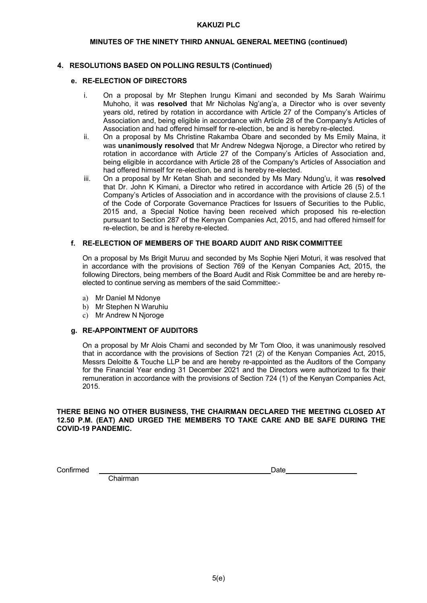# **MINUTES OF THE NINETY THIRD ANNUAL GENERAL MEETING (continued)**

# **4. RESOLUTIONS BASED ON POLLING RESULTS (Continued)**

## **e. RE-ELECTION OF DIRECTORS**

- i. On a proposal by Mr Stephen Irungu Kimani and seconded by Ms Sarah Wairimu Muhoho, it was **resolved** that Mr Nicholas Ng'ang'a, a Director who is over seventy years old, retired by rotation in accordance with Article 27 of the Company's Articles of Association and, being eligible in accordance with Article 28 of the Company's Articles of Association and had offered himself for re-election, be and is hereby re-elected.
- ii. On a proposal by Ms Christine Rakamba Obare and seconded by Ms Emily Maina, it was **unanimously resolved** that Mr Andrew Ndegwa Njoroge, a Director who retired by rotation in accordance with Article 27 of the Company's Articles of Association and, being eligible in accordance with Article 28 of the Company's Articles of Association and had offered himself for re-election, be and is hereby re-elected.
- iii. On a proposal by Mr Ketan Shah and seconded by Ms Mary Ndung'u, it was **resolved**  that Dr. John K Kimani, a Director who retired in accordance with Article 26 (5) of the Company's Articles of Association and in accordance with the provisions of clause 2.5.1 of the Code of Corporate Governance Practices for Issuers of Securities to the Public, 2015 and, a Special Notice having been received which proposed his re-election pursuant to Section 287 of the Kenyan Companies Act, 2015, and had offered himself for re-election, be and is hereby re-elected.

## **f. RE-ELECTION OF MEMBERS OF THE BOARD AUDIT AND RISK COMMITTEE**

On a proposal by Ms Brigit Muruu and seconded by Ms Sophie Njeri Moturi, it was resolved that in accordance with the provisions of Section 769 of the Kenyan Companies Act, 2015, the following Directors, being members of the Board Audit and Risk Committee be and are hereby reelected to continue serving as members of the said Committee:-

- a) Mr Daniel M Ndonye
- b) Mr Stephen N Waruhiu
- c) Mr Andrew N Njoroge

### **g. RE-APPOINTMENT OF AUDITORS**

On a proposal by Mr Alois Chami and seconded by Mr Tom Oloo, it was unanimously resolved that in accordance with the provisions of Section 721 (2) of the Kenyan Companies Act, 2015, Messrs Deloitte & Touche LLP be and are hereby re-appointed as the Auditors of the Company for the Financial Year ending 31 December 2021 and the Directors were authorized to fix their remuneration in accordance with the provisions of Section 724 (1) of the Kenyan Companies Act, 2015.

## **THERE BEING NO OTHER BUSINESS, THE CHAIRMAN DECLARED THE MEETING CLOSED AT 12.50 P.M. (EAT) AND URGED THE MEMBERS TO TAKE CARE AND BE SAFE DURING THE COVID-19 PANDEMIC.**

Confirmed Date

Chairman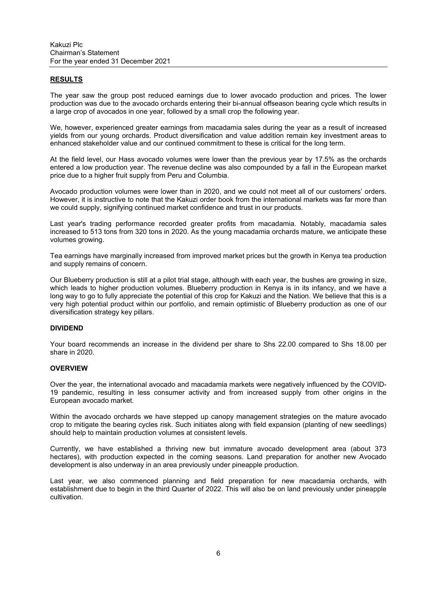## **RESULTS**

The year saw the group post reduced earnings due to lower avocado production and prices. The lower production was due to the avocado orchards entering their bi-annual offseason bearing cycle which results in a large crop of avocados in one year, followed by a small crop the following year.

We, however, experienced greater earnings from macadamia sales during the year as a result of increased yields from our young orchards. Product diversification and value addition remain key investment areas to enhanced stakeholder value and our continued commitment to these is critical for the long term.

At the field level, our Hass avocado volumes were lower than the previous year by 17.5% as the orchards entered a low production year. The revenue decline was also compounded by a fall in the European market price due to a higher fruit supply from Peru and Columbia.

Avocado production volumes were lower than in 2020, and we could not meet all of our customers' orders. However, it is instructive to note that the Kakuzi order book from the international markets was far more than we could supply, signifying continued market confidence and trust in our products.

Last year's trading performance recorded greater profits from macadamia. Notably, macadamia sales increased to 513 tons from 320 tons in 2020. As the young macadamia orchards mature, we anticipate these volumes growing.

Tea earnings have marginally increased from improved market prices but the growth in Kenya tea production and supply remains of concern.

Our Blueberry production is still at a pilot trial stage, although with each year, the bushes are growing in size, which leads to higher production volumes. Blueberry production in Kenya is in its infancy, and we have a long way to go to fully appreciate the potential of this crop for Kakuzi and the Nation. We believe that this is a very high potential product within our portfolio, and remain optimistic of Blueberry production as one of our diversification strategy key pillars.

## **DIVIDEND**

Your board recommends an increase in the dividend per share to Shs 22.00 compared to Shs 18.00 per share in 2020.

# **OVERVIEW**

Over the year, the international avocado and macadamia markets were negatively influenced by the COVID-19 pandemic, resulting in less consumer activity and from increased supply from other origins in the European avocado market.

Within the avocado orchards we have stepped up canopy management strategies on the mature avocado crop to mitigate the bearing cycles risk. Such initiates along with field expansion (planting of new seedlings) should help to maintain production volumes at consistent levels.

Currently, we have established a thriving new but immature avocado development area (about 373 hectares), with production expected in the coming seasons. Land preparation for another new Avocado development is also underway in an area previously under pineapple production.

Last year, we also commenced planning and field preparation for new macadamia orchards, with establishment due to begin in the third Quarter of 2022. This will also be on land previously under pineapple cultivation.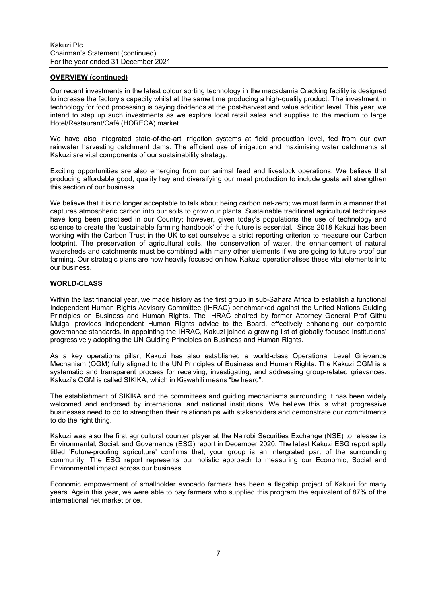# **OVERVIEW (continued)**

Our recent investments in the latest colour sorting technology in the macadamia Cracking facility is designed to increase the factory's capacity whilst at the same time producing a high-quality product. The investment in technology for food processing is paying dividends at the post-harvest and value addition level. This year, we intend to step up such investments as we explore local retail sales and supplies to the medium to large Hotel/Restaurant/Café (HORECA) market.

We have also integrated state-of-the-art irrigation systems at field production level, fed from our own rainwater harvesting catchment dams. The efficient use of irrigation and maximising water catchments at Kakuzi are vital components of our sustainability strategy.

Exciting opportunities are also emerging from our animal feed and livestock operations. We believe that producing affordable good, quality hay and diversifying our meat production to include goats will strengthen this section of our business.

We believe that it is no longer acceptable to talk about being carbon net-zero; we must farm in a manner that captures atmospheric carbon into our soils to grow our plants. Sustainable traditional agricultural techniques have long been practised in our Country; however, given today's populations the use of technology and science to create the 'sustainable farming handbook' of the future is essential. Since 2018 Kakuzi has been working with the Carbon Trust in the UK to set ourselves a strict reporting criterion to measure our Carbon footprint. The preservation of agricultural soils, the conservation of water, the enhancement of natural watersheds and catchments must be combined with many other elements if we are going to future proof our farming. Our strategic plans are now heavily focused on how Kakuzi operationalises these vital elements into our business.

### **WORLD-CLASS**

Within the last financial year, we made history as the first group in sub-Sahara Africa to establish a functional Independent Human Rights Advisory Committee (IHRAC) benchmarked against the United Nations Guiding Principles on Business and Human Rights. The IHRAC chaired by former Attorney General Prof Githu Muigai provides independent Human Rights advice to the Board, effectively enhancing our corporate governance standards. In appointing the IHRAC, Kakuzi joined a growing list of globally focused institutions' progressively adopting the UN Guiding Principles on Business and Human Rights.

As a key operations pillar, Kakuzi has also established a world-class Operational Level Grievance Mechanism (OGM) fully aligned to the UN Principles of Business and Human Rights. The Kakuzi OGM is a systematic and transparent process for receiving, investigating, and addressing group-related grievances. Kakuzi's OGM is called SIKIKA, which in Kiswahili means "be heard".

The establishment of SIKIKA and the committees and guiding mechanisms surrounding it has been widely welcomed and endorsed by international and national institutions. We believe this is what progressive businesses need to do to strengthen their relationships with stakeholders and demonstrate our commitments to do the right thing.

Kakuzi was also the first agricultural counter player at the Nairobi Securities Exchange (NSE) to release its Environmental, Social, and Governance (ESG) report in December 2020. The latest Kakuzi ESG report aptly titled 'Future-proofing agriculture' confirms that, your group is an intergrated part of the surrounding community. The ESG report represents our holistic approach to measuring our Economic, Social and Environmental impact across our business.

Economic empowerment of smallholder avocado farmers has been a flagship project of Kakuzi for many years. Again this year, we were able to pay farmers who supplied this program the equivalent of 87% of the international net market price.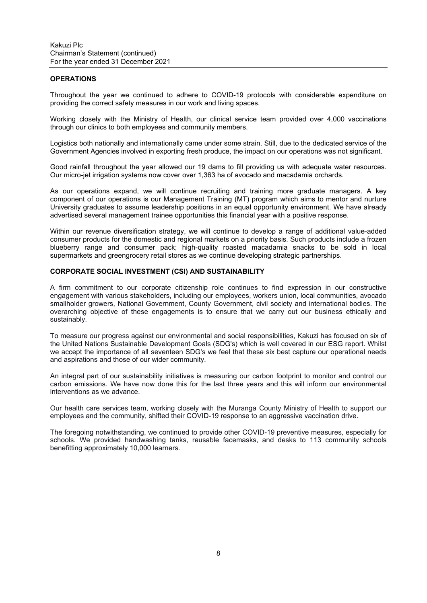#### **OPERATIONS**

Throughout the year we continued to adhere to COVID-19 protocols with considerable expenditure on providing the correct safety measures in our work and living spaces.

Working closely with the Ministry of Health, our clinical service team provided over 4,000 vaccinations through our clinics to both employees and community members.

Logistics both nationally and internationally came under some strain. Still, due to the dedicated service of the Government Agencies involved in exporting fresh produce, the impact on our operations was not significant.

Good rainfall throughout the year allowed our 19 dams to fill providing us with adequate water resources. Our micro-jet irrigation systems now cover over 1,363 ha of avocado and macadamia orchards.

As our operations expand, we will continue recruiting and training more graduate managers. A key component of our operations is our Management Training (MT) program which aims to mentor and nurture University graduates to assume leadership positions in an equal opportunity environment. We have already advertised several management trainee opportunities this financial year with a positive response.

Within our revenue diversification strategy, we will continue to develop a range of additional value-added consumer products for the domestic and regional markets on a priority basis. Such products include a frozen blueberry range and consumer pack; high-quality roasted macadamia snacks to be sold in local supermarkets and greengrocery retail stores as we continue developing strategic partnerships.

# **CORPORATE SOCIAL INVESTMENT (CSI) AND SUSTAINABILITY**

A firm commitment to our corporate citizenship role continues to find expression in our constructive engagement with various stakeholders, including our employees, workers union, local communities, avocado smallholder growers, National Government, County Government, civil society and international bodies. The overarching objective of these engagements is to ensure that we carry out our business ethically and sustainably.

To measure our progress against our environmental and social responsibilities, Kakuzi has focused on six of the United Nations Sustainable Development Goals (SDG's) which is well covered in our ESG report. Whilst we accept the importance of all seventeen SDG's we feel that these six best capture our operational needs and aspirations and those of our wider community.

An integral part of our sustainability initiatives is measuring our carbon footprint to monitor and control our carbon emissions. We have now done this for the last three years and this will inform our environmental interventions as we advance.

Our health care services team, working closely with the Muranga County Ministry of Health to support our employees and the community, shifted their COVID-19 response to an aggressive vaccination drive.

The foregoing notwithstanding, we continued to provide other COVID-19 preventive measures, especially for schools. We provided handwashing tanks, reusable facemasks, and desks to 113 community schools benefitting approximately 10,000 learners.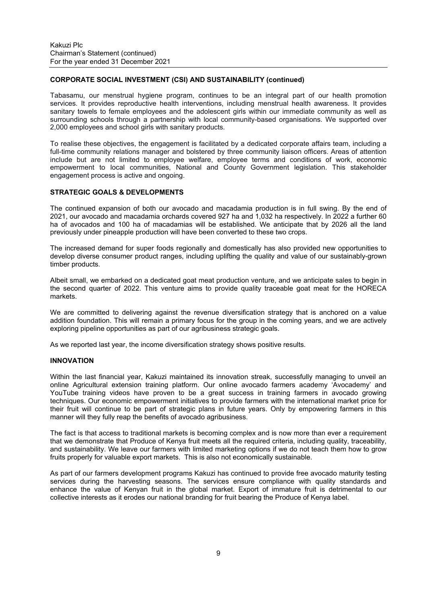# **CORPORATE SOCIAL INVESTMENT (CSI) AND SUSTAINABILITY (continued)**

Tabasamu, our menstrual hygiene program, continues to be an integral part of our health promotion services. It provides reproductive health interventions, including menstrual health awareness. It provides sanitary towels to female employees and the adolescent girls within our immediate community as well as surrounding schools through a partnership with local community-based organisations. We supported over 2,000 employees and school girls with sanitary products.

To realise these objectives, the engagement is facilitated by a dedicated corporate affairs team, including a full-time community relations manager and bolstered by three community liaison officers. Areas of attention include but are not limited to employee welfare, employee terms and conditions of work, economic empowerment to local communities, National and County Government legislation. This stakeholder engagement process is active and ongoing.

## **STRATEGIC GOALS & DEVELOPMENTS**

The continued expansion of both our avocado and macadamia production is in full swing. By the end of 2021, our avocado and macadamia orchards covered 927 ha and 1,032 ha respectively. In 2022 a further 60 ha of avocados and 100 ha of macadamias will be established. We anticipate that by 2026 all the land previously under pineapple production will have been converted to these two crops.

The increased demand for super foods regionally and domestically has also provided new opportunities to develop diverse consumer product ranges, including uplifting the quality and value of our sustainably-grown timber products.

Albeit small, we embarked on a dedicated goat meat production venture, and we anticipate sales to begin in the second quarter of 2022. This venture aims to provide quality traceable goat meat for the HORECA markets.

We are committed to delivering against the revenue diversification strategy that is anchored on a value addition foundation. This will remain a primary focus for the group in the coming years, and we are actively exploring pipeline opportunities as part of our agribusiness strategic goals.

As we reported last year, the income diversification strategy shows positive results.

#### **INNOVATION**

Within the last financial year, Kakuzi maintained its innovation streak, successfully managing to unveil an online Agricultural extension training platform. Our online avocado farmers academy 'Avocademy' and YouTube training videos have proven to be a great success in training farmers in avocado growing techniques. Our economic empowerment initiatives to provide farmers with the international market price for their fruit will continue to be part of strategic plans in future years. Only by empowering farmers in this manner will they fully reap the benefits of avocado agribusiness.

The fact is that access to traditional markets is becoming complex and is now more than ever a requirement that we demonstrate that Produce of Kenya fruit meets all the required criteria, including quality, traceability, and sustainability. We leave our farmers with limited marketing options if we do not teach them how to grow fruits properly for valuable export markets. This is also not economically sustainable.

As part of our farmers development programs Kakuzi has continued to provide free avocado maturity testing services during the harvesting seasons. The services ensure compliance with quality standards and enhance the value of Kenyan fruit in the global market. Export of immature fruit is detrimental to our collective interests as it erodes our national branding for fruit bearing the Produce of Kenya label.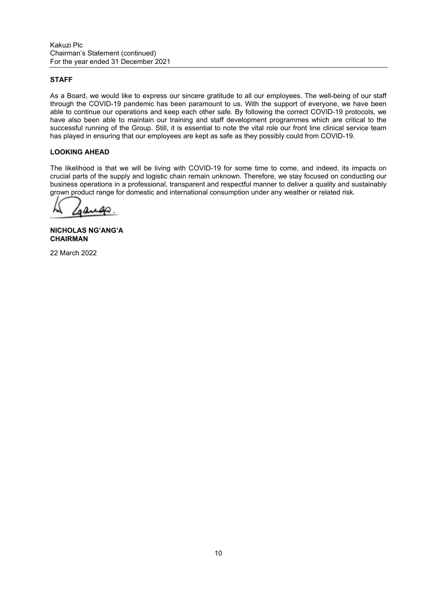# **STAFF**

As a Board, we would like to express our sincere gratitude to all our employees. The well-being of our staff through the COVID-19 pandemic has been paramount to us. With the support of everyone, we have been able to continue our operations and keep each other safe. By following the correct COVID-19 protocols, we have also been able to maintain our training and staff development programmes which are critical to the successful running of the Group. Still, it is essential to note the vital role our front line clinical service team has played in ensuring that our employees are kept as safe as they possibly could from COVID-19.

# **LOOKING AHEAD**

The likelihood is that we will be living with COVID-19 for some time to come, and indeed, its impacts on crucial parts of the supply and logistic chain remain unknown. Therefore, we stay focused on conducting our business operations in a professional, transparent and respectful manner to deliver a quality and sustainably grown product range for domestic and international consumption under any weather or related risk.

مە

**NICHOLAS NG'ANG'A CHAIRMAN** 

22 March 2022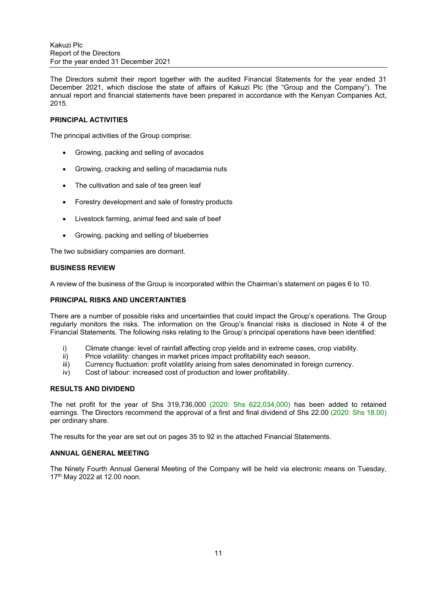The Directors submit their report together with the audited Financial Statements for the year ended 31 December 2021, which disclose the state of affairs of Kakuzi Plc (the "Group and the Company"). The annual report and financial statements have been prepared in accordance with the Kenyan Companies Act, 2015.

## **PRINCIPAL ACTIVITIES**

The principal activities of the Group comprise:

- Growing, packing and selling of avocados
- Growing, cracking and selling of macadamia nuts
- The cultivation and sale of tea green leaf
- Forestry development and sale of forestry products
- Livestock farming, animal feed and sale of beef
- Growing, packing and selling of blueberries

The two subsidiary companies are dormant.

### **BUSINESS REVIEW**

A review of the business of the Group is incorporated within the Chairman's statement on pages 6 to 10.

#### **PRINCIPAL RISKS AND UNCERTAINTIES**

There are a number of possible risks and uncertainties that could impact the Group's operations. The Group regularly monitors the risks. The information on the Group's financial risks is disclosed in Note 4 of the Financial Statements. The following risks relating to the Group's principal operations have been identified:

- i) Climate change: level of rainfall affecting crop yields and in extreme cases, crop viability.
- ii) Price volatility: changes in market prices impact profitability each season.
- iii) Currency fluctuation: profit volatility arising from sales denominated in foreign currency.
- iv) Cost of labour: increased cost of production and lower profitability.

## **RESULTS AND DIVIDEND**

The net profit for the year of Shs 319,736,000 (2020: Shs 622,034,000) has been added to retained earnings. The Directors recommend the approval of a first and final dividend of Shs 22.00 (2020: Shs 18.00) per ordinary share.

The results for the year are set out on pages 35 to 92 in the attached Financial Statements.

## **ANNUAL GENERAL MEETING**

The Ninety Fourth Annual General Meeting of the Company will be held via electronic means on Tuesday, 17th May 2022 at 12.00 noon.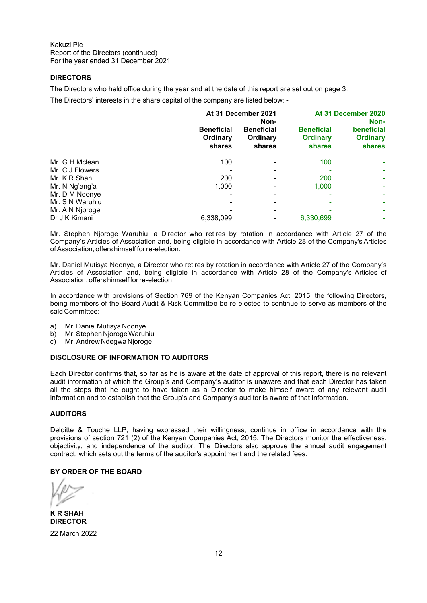## **DIRECTORS**

The Directors who held office during the year and at the date of this report are set out on page 3.

The Directors' interests in the share capital of the company are listed below: -

|                 | At 31 December 2021<br>Non-             |                                         |                                                | At 31 December 2020<br>Non-                    |  |  |
|-----------------|-----------------------------------------|-----------------------------------------|------------------------------------------------|------------------------------------------------|--|--|
|                 | <b>Beneficial</b><br>Ordinary<br>shares | <b>Beneficial</b><br>Ordinary<br>shares | <b>Beneficial</b><br><b>Ordinary</b><br>shares | beneficial<br><b>Ordinary</b><br><b>shares</b> |  |  |
| Mr. G H Mclean  | 100                                     |                                         | 100                                            |                                                |  |  |
| Mr. C J Flowers |                                         |                                         |                                                |                                                |  |  |
| Mr. K R Shah    | 200                                     |                                         | 200                                            |                                                |  |  |
| Mr. N Ng'ang'a  | 1.000                                   |                                         | 1.000                                          |                                                |  |  |
| Mr. D M Ndonye  |                                         |                                         |                                                |                                                |  |  |
| Mr. S N Waruhiu |                                         |                                         |                                                |                                                |  |  |
| Mr. A N Njoroge |                                         |                                         |                                                |                                                |  |  |
| Dr J K Kimani   | 6,338,099                               |                                         | 6,330,699                                      |                                                |  |  |

Mr. Stephen Njoroge Waruhiu, a Director who retires by rotation in accordance with Article 27 of the Company's Articles of Association and, being eligible in accordance with Article 28 of the Company's Articles of Association, offers himself for re-election.

Mr. Daniel Mutisya Ndonye, a Director who retires by rotation in accordance with Article 27 of the Company's Articles of Association and, being eligible in accordance with Article 28 of the Company's Articles of Association, offers himself for re-election.

In accordance with provisions of Section 769 of the Kenyan Companies Act, 2015, the following Directors, being members of the Board Audit & Risk Committee be re-elected to continue to serve as members of the said Committee:-

- a) Mr. Daniel Mutisya Ndonye
- b) Mr. Stephen Njoroge Waruhiu
- c) Mr. Andrew Ndegwa Njoroge

### **DISCLOSURE OF INFORMATION TO AUDITORS**

Each Director confirms that, so far as he is aware at the date of approval of this report, there is no relevant audit information of which the Group's and Company's auditor is unaware and that each Director has taken all the steps that he ought to have taken as a Director to make himself aware of any relevant audit information and to establish that the Group's and Company's auditor is aware of that information.

### **AUDITORS**

Deloitte & Touche LLP, having expressed their willingness, continue in office in accordance with the provisions of section 721 (2) of the Kenyan Companies Act, 2015. The Directors monitor the effectiveness, objectivity, and independence of the auditor. The Directors also approve the annual audit engagement contract, which sets out the terms of the auditor's appointment and the related fees.

### **BY ORDER OF THE BOARD**

**K R SHAH DIRECTOR** 

22 March 2022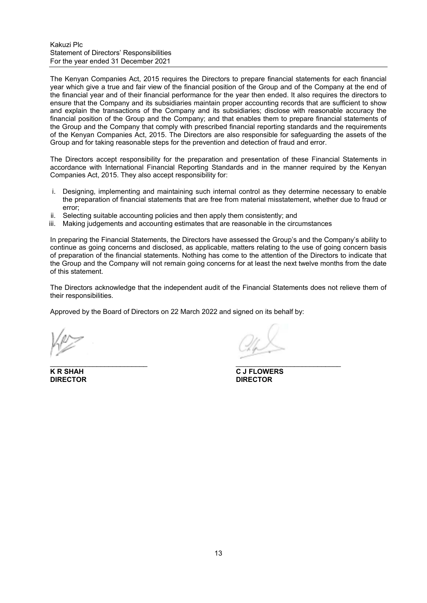#### Kakuzi Plc Statement of Directors' Responsibilities For the year ended 31 December 2021

The Kenyan Companies Act, 2015 requires the Directors to prepare financial statements for each financial year which give a true and fair view of the financial position of the Group and of the Company at the end of the financial year and of their financial performance for the year then ended. It also requires the directors to ensure that the Company and its subsidiaries maintain proper accounting records that are sufficient to show and explain the transactions of the Company and its subsidiaries; disclose with reasonable accuracy the financial position of the Group and the Company; and that enables them to prepare financial statements of the Group and the Company that comply with prescribed financial reporting standards and the requirements of the Kenyan Companies Act, 2015. The Directors are also responsible for safeguarding the assets of the Group and for taking reasonable steps for the prevention and detection of fraud and error.

The Directors accept responsibility for the preparation and presentation of these Financial Statements in accordance with International Financial Reporting Standards and in the manner required by the Kenyan Companies Act, 2015. They also accept responsibility for:

- i. Designing, implementing and maintaining such internal control as they determine necessary to enable the preparation of financial statements that are free from material misstatement, whether due to fraud or error;
- ii. Selecting suitable accounting policies and then apply them consistently; and
- iii. Making judgements and accounting estimates that are reasonable in the circumstances

In preparing the Financial Statements, the Directors have assessed the Group's and the Company's ability to continue as going concerns and disclosed, as applicable, matters relating to the use of going concern basis of preparation of the financial statements. Nothing has come to the attention of the Directors to indicate that the Group and the Company will not remain going concerns for at least the next twelve months from the date of this statement.

The Directors acknowledge that the independent audit of the Financial Statements does not relieve them of their responsibilities.

Approved by the Board of Directors on 22 March 2022 and signed on its behalf by:

**DIRECTOR DIRECTOR** 

 $\overline{\phantom{a}}$ 

**K R SHAH C J FLOWERS**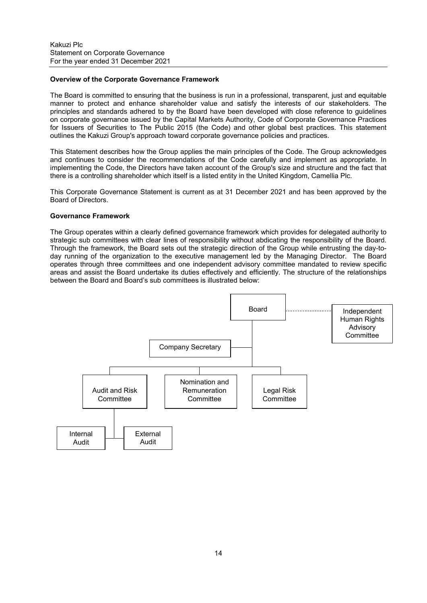#### **Overview of the Corporate Governance Framework**

The Board is committed to ensuring that the business is run in a professional, transparent, just and equitable manner to protect and enhance shareholder value and satisfy the interests of our stakeholders. The principles and standards adhered to by the Board have been developed with close reference to guidelines on corporate governance issued by the Capital Markets Authority, Code of Corporate Governance Practices for Issuers of Securities to The Public 2015 (the Code) and other global best practices. This statement outlines the Kakuzi Group's approach toward corporate governance policies and practices.

This Statement describes how the Group applies the main principles of the Code. The Group acknowledges and continues to consider the recommendations of the Code carefully and implement as appropriate. In implementing the Code, the Directors have taken account of the Group's size and structure and the fact that there is a controlling shareholder which itself is a listed entity in the United Kingdom, Camellia Plc.

This Corporate Governance Statement is current as at 31 December 2021 and has been approved by the Board of Directors.

### **Governance Framework**

The Group operates within a clearly defined governance framework which provides for delegated authority to strategic sub committees with clear lines of responsibility without abdicating the responsibility of the Board. Through the framework, the Board sets out the strategic direction of the Group while entrusting the day-today running of the organization to the executive management led by the Managing Director. The Board operates through three committees and one independent advisory committee mandated to review specific areas and assist the Board undertake its duties effectively and efficiently. The structure of the relationships between the Board and Board's sub committees is illustrated below:

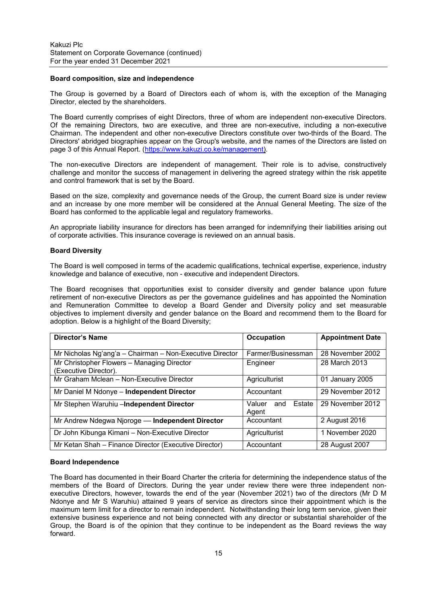#### **Board composition, size and independence**

The Group is governed by a Board of Directors each of whom is, with the exception of the Managing Director, elected by the shareholders.

The Board currently comprises of eight Directors, three of whom are independent non-executive Directors. Of the remaining Directors, two are executive, and three are non-executive, including a non-executive Chairman. The independent and other non-executive Directors constitute over two-thirds of the Board. The Directors' abridged biographies appear on the Group's website, and the names of the Directors are listed on page 3 of this Annual Report. (https://www.kakuzi.co.ke/management).

The non-executive Directors are independent of management. Their role is to advise, constructively challenge and monitor the success of management in delivering the agreed strategy within the risk appetite and control framework that is set by the Board.

Based on the size, complexity and governance needs of the Group, the current Board size is under review and an increase by one more member will be considered at the Annual General Meeting. The size of the Board has conformed to the applicable legal and regulatory frameworks.

An appropriate liability insurance for directors has been arranged for indemnifying their liabilities arising out of corporate activities. This insurance coverage is reviewed on an annual basis.

#### **Board Diversity**

The Board is well composed in terms of the academic qualifications, technical expertise, experience, industry knowledge and balance of executive, non - executive and independent Directors.

The Board recognises that opportunities exist to consider diversity and gender balance upon future retirement of non-executive Directors as per the governance guidelines and has appointed the Nomination and Remuneration Committee to develop a Board Gender and Diversity policy and set measurable objectives to implement diversity and gender balance on the Board and recommend them to the Board for adoption. Below is a highlight of the Board Diversity;

| <b>Director's Name</b>                                              | <b>Occupation</b>                | <b>Appointment Date</b> |
|---------------------------------------------------------------------|----------------------------------|-------------------------|
| Mr Nicholas Ng'ang'a - Chairman - Non-Executive Director            | Farmer/Businessman               | 28 November 2002        |
| Mr Christopher Flowers - Managing Director<br>(Executive Director). | Engineer                         | 28 March 2013           |
| Mr Graham Mclean - Non-Executive Director                           | Agriculturist                    | 01 January 2005         |
| Mr Daniel M Ndonye - Independent Director                           | Accountant                       | 29 November 2012        |
| Mr Stephen Waruhiu -Independent Director                            | Estate<br>Valuer<br>and<br>Agent | 29 November 2012        |
| Mr Andrew Ndegwa Njoroge - Independent Director                     | Accountant                       | 2 August 2016           |
| Dr John Kibunga Kimani - Non-Executive Director                     | Agriculturist                    | 1 November 2020         |
| Mr Ketan Shah - Finance Director (Executive Director)               | Accountant                       | 28 August 2007          |

#### **Board Independence**

The Board has documented in their Board Charter the criteria for determining the independence status of the members of the Board of Directors. During the year under review there were three independent nonexecutive Directors, however, towards the end of the year (November 2021) two of the directors (Mr D M Ndonye and Mr S Waruhiu) attained 9 years of service as directors since their appointment which is the maximum term limit for a director to remain independent. Notwithstanding their long term service, given their extensive business experience and not being connected with any director or substantial shareholder of the Group, the Board is of the opinion that they continue to be independent as the Board reviews the way forward.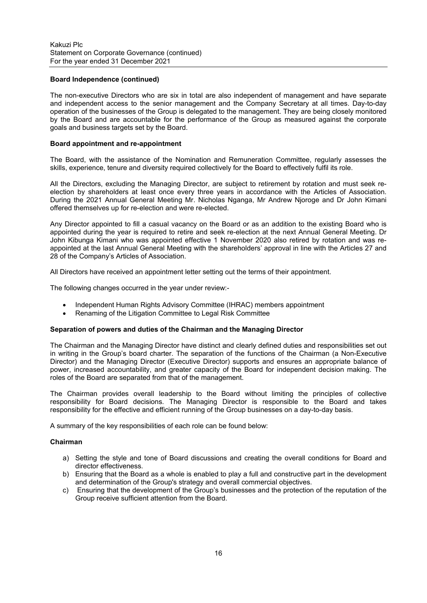### **Board Independence (continued)**

The non-executive Directors who are six in total are also independent of management and have separate and independent access to the senior management and the Company Secretary at all times. Day-to-day operation of the businesses of the Group is delegated to the management. They are being closely monitored by the Board and are accountable for the performance of the Group as measured against the corporate goals and business targets set by the Board.

#### **Board appointment and re-appointment**

The Board, with the assistance of the Nomination and Remuneration Committee, regularly assesses the skills, experience, tenure and diversity required collectively for the Board to effectively fulfil its role.

All the Directors, excluding the Managing Director, are subject to retirement by rotation and must seek reelection by shareholders at least once every three years in accordance with the Articles of Association. During the 2021 Annual General Meeting Mr. Nicholas Nganga, Mr Andrew Njoroge and Dr John Kimani offered themselves up for re-election and were re-elected.

Any Director appointed to fill a casual vacancy on the Board or as an addition to the existing Board who is appointed during the year is required to retire and seek re-election at the next Annual General Meeting. Dr John Kibunga Kimani who was appointed effective 1 November 2020 also retired by rotation and was reappointed at the last Annual General Meeting with the shareholders' approval in line with the Articles 27 and 28 of the Company's Articles of Association.

All Directors have received an appointment letter setting out the terms of their appointment.

The following changes occurred in the year under review:-

- Independent Human Rights Advisory Committee (IHRAC) members appointment
- Renaming of the Litigation Committee to Legal Risk Committee

#### **Separation of powers and duties of the Chairman and the Managing Director**

The Chairman and the Managing Director have distinct and clearly defined duties and responsibilities set out in writing in the Group's board charter. The separation of the functions of the Chairman (a Non-Executive Director) and the Managing Director (Executive Director) supports and ensures an appropriate balance of power, increased accountability, and greater capacity of the Board for independent decision making. The roles of the Board are separated from that of the management.

The Chairman provides overall leadership to the Board without limiting the principles of collective responsibility for Board decisions. The Managing Director is responsible to the Board and takes responsibility for the effective and efficient running of the Group businesses on a day-to-day basis.

A summary of the key responsibilities of each role can be found below:

#### **Chairman**

- a) Setting the style and tone of Board discussions and creating the overall conditions for Board and director effectiveness.
- b) Ensuring that the Board as a whole is enabled to play a full and constructive part in the development and determination of the Group's strategy and overall commercial objectives.
- c) Ensuring that the development of the Group's businesses and the protection of the reputation of the Group receive sufficient attention from the Board.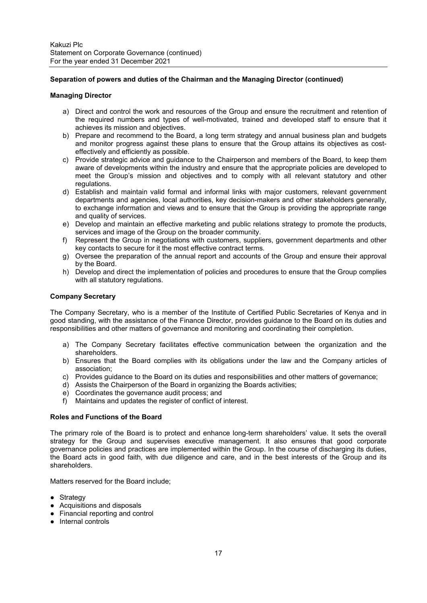## **Separation of powers and duties of the Chairman and the Managing Director (continued)**

### **Managing Director**

- a) Direct and control the work and resources of the Group and ensure the recruitment and retention of the required numbers and types of well-motivated, trained and developed staff to ensure that it achieves its mission and objectives.
- b) Prepare and recommend to the Board, a long term strategy and annual business plan and budgets and monitor progress against these plans to ensure that the Group attains its objectives as costeffectively and efficiently as possible.
- c) Provide strategic advice and guidance to the Chairperson and members of the Board, to keep them aware of developments within the industry and ensure that the appropriate policies are developed to meet the Group's mission and objectives and to comply with all relevant statutory and other regulations.
- d) Establish and maintain valid formal and informal links with major customers, relevant government departments and agencies, local authorities, key decision-makers and other stakeholders generally, to exchange information and views and to ensure that the Group is providing the appropriate range and quality of services.
- e) Develop and maintain an effective marketing and public relations strategy to promote the products, services and image of the Group on the broader community.
- f) Represent the Group in negotiations with customers, suppliers, government departments and other key contacts to secure for it the most effective contract terms.
- g) Oversee the preparation of the annual report and accounts of the Group and ensure their approval by the Board.
- h) Develop and direct the implementation of policies and procedures to ensure that the Group complies with all statutory regulations.

## **Company Secretary**

The Company Secretary, who is a member of the Institute of Certified Public Secretaries of Kenya and in good standing, with the assistance of the Finance Director, provides guidance to the Board on its duties and responsibilities and other matters of governance and monitoring and coordinating their completion.

- a) The Company Secretary facilitates effective communication between the organization and the shareholders.
- b) Ensures that the Board complies with its obligations under the law and the Company articles of association;
- c) Provides guidance to the Board on its duties and responsibilities and other matters of governance;
- d) Assists the Chairperson of the Board in organizing the Boards activities;
- e) Coordinates the governance audit process; and
- f) Maintains and updates the register of conflict of interest.

#### **Roles and Functions of the Board**

The primary role of the Board is to protect and enhance long-term shareholders' value. It sets the overall strategy for the Group and supervises executive management. It also ensures that good corporate governance policies and practices are implemented within the Group. In the course of discharging its duties, the Board acts in good faith, with due diligence and care, and in the best interests of the Group and its shareholders.

Matters reserved for the Board include;

- Strategy
- Acquisitions and disposals
- Financial reporting and control
- Internal controls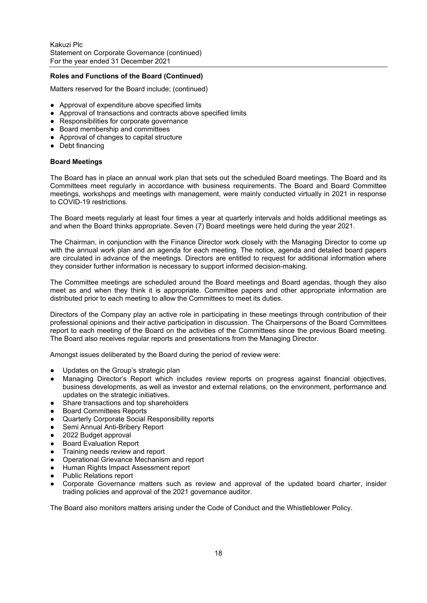## **Roles and Functions of the Board (Continued)**

Matters reserved for the Board include; (continued)

- Approval of expenditure above specified limits
- Approval of transactions and contracts above specified limits
- Responsibilities for corporate governance
- Board membership and committees
- Approval of changes to capital structure
- Debt financing

### **Board Meetings**

The Board has in place an annual work plan that sets out the scheduled Board meetings. The Board and its Committees meet regularly in accordance with business requirements. The Board and Board Committee meetings, workshops and meetings with management, were mainly conducted virtually in 2021 in response to COVID-19 restrictions.

The Board meets regularly at least four times a year at quarterly intervals and holds additional meetings as and when the Board thinks appropriate. Seven (7) Board meetings were held during the year 2021.

The Chairman, in conjunction with the Finance Director work closely with the Managing Director to come up with the annual work plan and an agenda for each meeting. The notice, agenda and detailed board papers are circulated in advance of the meetings. Directors are entitled to request for additional information where they consider further information is necessary to support informed decision-making.

The Committee meetings are scheduled around the Board meetings and Board agendas, though they also meet as and when they think it is appropriate. Committee papers and other appropriate information are distributed prior to each meeting to allow the Committees to meet its duties.

Directors of the Company play an active role in participating in these meetings through contribution of their professional opinions and their active participation in discussion. The Chairpersons of the Board Committees report to each meeting of the Board on the activities of the Committees since the previous Board meeting. The Board also receives regular reports and presentations from the Managing Director.

Amongst issues deliberated by the Board during the period of review were:

- Updates on the Group's strategic plan
- Managing Director's Report which includes review reports on progress against financial objectives, business developments, as well as investor and external relations, on the environment, performance and updates on the strategic initiatives.
- Share transactions and top shareholders
- Board Committees Reports
- Quarterly Corporate Social Responsibility reports
- Semi Annual Anti-Bribery Report
- 2022 Budget approval
- Board Evaluation Report
- Training needs review and report
- Operational Grievance Mechanism and report
- **Human Rights Impact Assessment report**
- **Public Relations report**
- Corporate Governance matters such as review and approval of the updated board charter, insider trading policies and approval of the 2021 governance auditor.

The Board also monitors matters arising under the Code of Conduct and the Whistleblower Policy.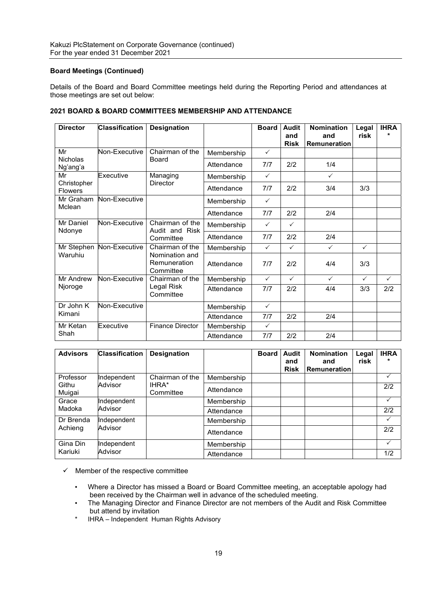# **Board Meetings (Continued)**

Details of the Board and Board Committee meetings held during the Reporting Period and attendances at those meetings are set out below:

| <b>Director</b>               | <b>Classification</b> | <b>Designation</b>                          |            | <b>Board</b> | Audit<br>and<br><b>Risk</b> | <b>Nomination</b><br>and<br><b>Remuneration</b> | Legal<br>risk | <b>IHRA</b>  |
|-------------------------------|-----------------------|---------------------------------------------|------------|--------------|-----------------------------|-------------------------------------------------|---------------|--------------|
| Mr                            | Non-Executive         | Chairman of the                             | Membership | $\checkmark$ |                             |                                                 |               |              |
| <b>Nicholas</b><br>Ng'ang'a   |                       | Board                                       | Attendance | 7/7          | 2/2                         | 1/4                                             |               |              |
| Mr                            | Executive             | Managing                                    | Membership | $\checkmark$ |                             | $\checkmark$                                    |               |              |
| Christopher<br><b>Flowers</b> |                       | Director                                    | Attendance | 7/7          | 2/2                         | 3/4                                             | 3/3           |              |
| Mr Graham<br>Mclean           | Non-Executive         |                                             | Membership | $\checkmark$ |                             |                                                 |               |              |
|                               |                       |                                             | Attendance | 7/7          | 2/2                         | 2/4                                             |               |              |
| Mr Daniel<br>Ndonye           | Non-Executive         | Chairman of the<br>Audit and Risk           | Membership | $\checkmark$ | $\checkmark$                |                                                 |               |              |
|                               |                       | Committee                                   | Attendance | 7/7          | 2/2                         | 2/4                                             |               |              |
| Mr Stephen                    | Non-Executive         | Chairman of the                             | Membership | $\checkmark$ | $\checkmark$                | $\checkmark$                                    | $\checkmark$  |              |
| Waruhiu                       |                       | Nomination and<br>Remuneration<br>Committee | Attendance | 7/7          | 2/2                         | 4/4                                             | 3/3           |              |
| Mr Andrew                     | Non-Executive         | Chairman of the                             | Membership | $\checkmark$ | $\checkmark$                | $\checkmark$                                    | $\checkmark$  | $\checkmark$ |
| Njoroge                       |                       | Legal Risk<br>Committee                     | Attendance | 7/7          | 2/2                         | 4/4                                             | 3/3           | 2/2          |
| Dr John K                     | Non-Executive         |                                             | Membership | $\checkmark$ |                             |                                                 |               |              |
| Kimani                        |                       |                                             | Attendance | 7/7          | 2/2                         | 2/4                                             |               |              |
| Mr Ketan                      | Executive             | <b>Finance Director</b>                     | Membership | $\checkmark$ |                             |                                                 |               |              |
| Shah                          |                       |                                             | Attendance | 7/7          | 2/2                         | 2/4                                             |               |              |

## **2021 BOARD & BOARD COMMITTEES MEMBERSHIP AND ATTENDANCE**

| <b>Advisors</b> | <b>Classification</b> | <b>Designation</b> |            | <b>Board</b> | Audit<br>and<br><b>Risk</b> | <b>Nomination</b><br>and<br>Remuneration | Legal<br>risk | <b>IHRA</b>  |
|-----------------|-----------------------|--------------------|------------|--------------|-----------------------------|------------------------------------------|---------------|--------------|
| Professor       | Independent           | Chairman of the    | Membership |              |                             |                                          |               |              |
| Githu<br>Muigai | Advisor               | IHRA*<br>Committee | Attendance |              |                             |                                          |               | 2/2          |
| Grace           | Independent           |                    | Membership |              |                             |                                          |               | $\checkmark$ |
| Madoka          | Advisor               |                    | Attendance |              |                             |                                          |               | 2/2          |
| Dr Brenda       | Independent           |                    | Membership |              |                             |                                          |               |              |
| Achieng         | Advisor               |                    | Attendance |              |                             |                                          |               | 2/2          |
| Gina Din        | Independent           |                    | Membership |              |                             |                                          |               |              |
| Kariuki         | Advisor               |                    | Attendance |              |                             |                                          |               | 1/2          |

 $\checkmark$  Member of the respective committee

- Where a Director has missed a Board or Board Committee meeting, an acceptable apology had been received by the Chairman well in advance of the scheduled meeting.
- The Managing Director and Finance Director are not members of the Audit and Risk Committee but attend by invitation
- \* IHRA Independent Human Rights Advisory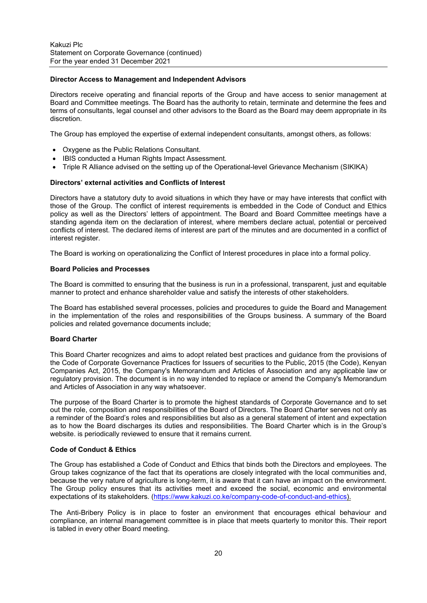#### **Director Access to Management and Independent Advisors**

Directors receive operating and financial reports of the Group and have access to senior management at Board and Committee meetings. The Board has the authority to retain, terminate and determine the fees and terms of consultants, legal counsel and other advisors to the Board as the Board may deem appropriate in its discretion.

The Group has employed the expertise of external independent consultants, amongst others, as follows:

- Oxygene as the Public Relations Consultant.
- IBIS conducted a Human Rights Impact Assessment.
- Triple R Alliance advised on the setting up of the Operational-level Grievance Mechanism (SIKIKA)

#### **Directors' external activities and Conflicts of Interest**

Directors have a statutory duty to avoid situations in which they have or may have interests that conflict with those of the Group. The conflict of interest requirements is embedded in the Code of Conduct and Ethics policy as well as the Directors' letters of appointment. The Board and Board Committee meetings have a standing agenda item on the declaration of interest, where members declare actual, potential or perceived conflicts of interest. The declared items of interest are part of the minutes and are documented in a conflict of interest register.

The Board is working on operationalizing the Conflict of Interest procedures in place into a formal policy.

#### **Board Policies and Processes**

The Board is committed to ensuring that the business is run in a professional, transparent, just and equitable manner to protect and enhance shareholder value and satisfy the interests of other stakeholders.

The Board has established several processes, policies and procedures to guide the Board and Management in the implementation of the roles and responsibilities of the Groups business. A summary of the Board policies and related governance documents include;

#### **Board Charter**

This Board Charter recognizes and aims to adopt related best practices and guidance from the provisions of the Code of Corporate Governance Practices for Issuers of securities to the Public, 2015 (the Code), Kenyan Companies Act, 2015, the Company's Memorandum and Articles of Association and any applicable law or regulatory provision. The document is in no way intended to replace or amend the Company's Memorandum and Articles of Association in any way whatsoever.

The purpose of the Board Charter is to promote the highest standards of Corporate Governance and to set out the role, composition and responsibilities of the Board of Directors. The Board Charter serves not only as a reminder of the Board's roles and responsibilities but also as a general statement of intent and expectation as to how the Board discharges its duties and responsibilities. The Board Charter which is in the Group's website. is periodically reviewed to ensure that it remains current.

#### **Code of Conduct & Ethics**

The Group has established a Code of Conduct and Ethics that binds both the Directors and employees. The Group takes cognizance of the fact that its operations are closely integrated with the local communities and, because the very nature of agriculture is long-term, it is aware that it can have an impact on the environment. The Group policy ensures that its activities meet and exceed the social, economic and environmental expectations of its stakeholders. (https://www.kakuzi.co.ke/company-code-of-conduct-and-ethics).

The Anti-Bribery Policy is in place to foster an environment that encourages ethical behaviour and compliance, an internal management committee is in place that meets quarterly to monitor this. Their report is tabled in every other Board meeting.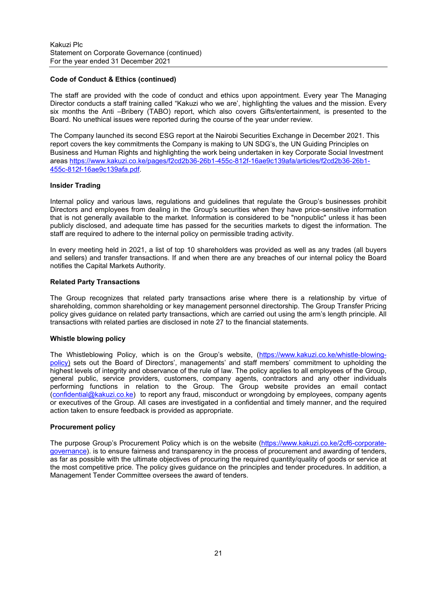## **Code of Conduct & Ethics (continued)**

The staff are provided with the code of conduct and ethics upon appointment. Every year The Managing Director conducts a staff training called "Kakuzi who we are', highlighting the values and the mission. Every six months the Anti –Bribery (TABO) report, which also covers Gifts/entertainment, is presented to the Board. No unethical issues were reported during the course of the year under review.

The Company launched its second ESG report at the Nairobi Securities Exchange in December 2021. This report covers the key commitments the Company is making to UN SDG's, the UN Guiding Principles on Business and Human Rights and highlighting the work being undertaken in key Corporate Social Investment areas https://www.kakuzi.co.ke/pages/f2cd2b36-26b1-455c-812f-16ae9c139afa/articles/f2cd2b36-26b1- 455c-812f-16ae9c139afa.pdf.

### **Insider Trading**

Internal policy and various laws, regulations and guidelines that regulate the Group's businesses prohibit Directors and employees from dealing in the Group's securities when they have price-sensitive information that is not generally available to the market. Information is considered to be "nonpublic" unless it has been publicly disclosed, and adequate time has passed for the securities markets to digest the information. The staff are required to adhere to the internal policy on permissible trading activity.

In every meeting held in 2021, a list of top 10 shareholders was provided as well as any trades (all buyers and sellers) and transfer transactions. If and when there are any breaches of our internal policy the Board notifies the Capital Markets Authority.

### **Related Party Transactions**

The Group recognizes that related party transactions arise where there is a relationship by virtue of shareholding, common shareholding or key management personnel directorship. The Group Transfer Pricing policy gives guidance on related party transactions, which are carried out using the arm's length principle. All transactions with related parties are disclosed in note 27 to the financial statements.

### **Whistle blowing policy**

The Whistleblowing Policy, which is on the Group's website, (https://www.kakuzi.co.ke/whistle-blowingpolicy) sets out the Board of Directors', managements' and staff members' commitment to upholding the highest levels of integrity and observance of the rule of law. The policy applies to all employees of the Group, general public, service providers, customers, company agents, contractors and any other individuals performing functions in relation to the Group. The Group website provides an email contact (confidential@kakuzi.co.ke) to report any fraud, misconduct or wrongdoing by employees, company agents or executives of the Group. All cases are investigated in a confidential and timely manner, and the required action taken to ensure feedback is provided as appropriate.

### **Procurement policy**

The purpose Group's Procurement Policy which is on the website (https://www.kakuzi.co.ke/2cf6-corporategovernance). is to ensure fairness and transparency in the process of procurement and awarding of tenders, as far as possible with the ultimate objectives of procuring the required quantity/quality of goods or service at the most competitive price. The policy gives guidance on the principles and tender procedures. In addition, a Management Tender Committee oversees the award of tenders.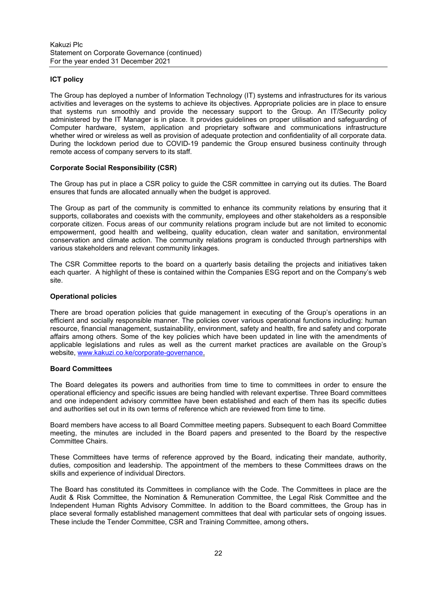# **ICT policy**

The Group has deployed a number of Information Technology (IT) systems and infrastructures for its various activities and leverages on the systems to achieve its objectives. Appropriate policies are in place to ensure that systems run smoothly and provide the necessary support to the Group. An IT/Security policy administered by the IT Manager is in place. It provides guidelines on proper utilisation and safeguarding of Computer hardware, system, application and proprietary software and communications infrastructure whether wired or wireless as well as provision of adequate protection and confidentiality of all corporate data. During the lockdown period due to COVID-19 pandemic the Group ensured business continuity through remote access of company servers to its staff.

## **Corporate Social Responsibility (CSR)**

The Group has put in place a CSR policy to guide the CSR committee in carrying out its duties. The Board ensures that funds are allocated annually when the budget is approved.

The Group as part of the community is committed to enhance its community relations by ensuring that it supports, collaborates and coexists with the community, employees and other stakeholders as a responsible corporate citizen. Focus areas of our community relations program include but are not limited to economic empowerment, good health and wellbeing, quality education, clean water and sanitation, environmental conservation and climate action. The community relations program is conducted through partnerships with various stakeholders and relevant community linkages.

The CSR Committee reports to the board on a quarterly basis detailing the projects and initiatives taken each quarter. A highlight of these is contained within the Companies ESG report and on the Company's web site.

### **Operational policies**

There are broad operation policies that guide management in executing of the Group's operations in an efficient and socially responsible manner. The policies cover various operational functions including: human resource, financial management, sustainability, environment, safety and health, fire and safety and corporate affairs among others. Some of the key policies which have been updated in line with the amendments of applicable legislations and rules as well as the current market practices are available on the Group's website, www.kakuzi.co.ke/corporate-governance.

### **Board Committees**

The Board delegates its powers and authorities from time to time to committees in order to ensure the operational efficiency and specific issues are being handled with relevant expertise. Three Board committees and one independent advisory committee have been established and each of them has its specific duties and authorities set out in its own terms of reference which are reviewed from time to time.

Board members have access to all Board Committee meeting papers. Subsequent to each Board Committee meeting, the minutes are included in the Board papers and presented to the Board by the respective Committee Chairs.

These Committees have terms of reference approved by the Board, indicating their mandate, authority, duties, composition and leadership. The appointment of the members to these Committees draws on the skills and experience of individual Directors.

The Board has constituted its Committees in compliance with the Code. The Committees in place are the Audit & Risk Committee, the Nomination & Remuneration Committee, the Legal Risk Committee and the Independent Human Rights Advisory Committee. In addition to the Board committees, the Group has in place several formally established management committees that deal with particular sets of ongoing issues. These include the Tender Committee, CSR and Training Committee, among others**.**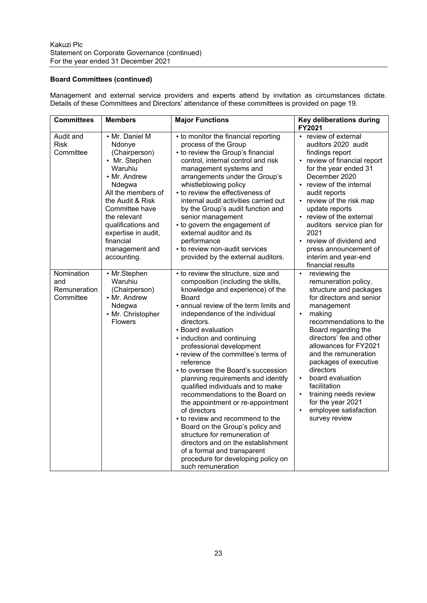# **Board Committees (continued)**

Management and external service providers and experts attend by invitation as circumstances dictate. Details of these Committees and Directors' attendance of these committees is provided on page 19.

| <b>Committees</b>                                     | <b>Members</b>                                                                                                                                                                                                                                                         | <b>Major Functions</b>                                                                                                                                                                                                                                                                                                                                                                                                                                                                                                                                                                                                                                                                                                                                                                                  | Key deliberations during<br>FY2021                                                                                                                                                                                                                                                                                                                                                                                                                                      |
|-------------------------------------------------------|------------------------------------------------------------------------------------------------------------------------------------------------------------------------------------------------------------------------------------------------------------------------|---------------------------------------------------------------------------------------------------------------------------------------------------------------------------------------------------------------------------------------------------------------------------------------------------------------------------------------------------------------------------------------------------------------------------------------------------------------------------------------------------------------------------------------------------------------------------------------------------------------------------------------------------------------------------------------------------------------------------------------------------------------------------------------------------------|-------------------------------------------------------------------------------------------------------------------------------------------------------------------------------------------------------------------------------------------------------------------------------------------------------------------------------------------------------------------------------------------------------------------------------------------------------------------------|
| Audit and<br><b>Risk</b><br>Committee                 | • Mr. Daniel M<br>Ndonye<br>(Chairperson)<br>• Mr. Stephen<br>Waruhiu<br>• Mr. Andrew<br>Ndegwa<br>All the members of<br>the Audit & Risk<br>Committee have<br>the relevant<br>qualifications and<br>expertise in audit,<br>financial<br>management and<br>accounting. | • to monitor the financial reporting<br>process of the Group<br>• to review the Group's financial<br>control, internal control and risk<br>management systems and<br>arrangements under the Group's<br>whistleblowing policy<br>• to review the effectiveness of<br>internal audit activities carried out<br>by the Group's audit function and<br>senior management<br>• to govern the engagement of<br>external auditor and its<br>performance<br>• to review non-audit services<br>provided by the external auditors.                                                                                                                                                                                                                                                                                 | review of external<br>auditors 2020 audit<br>findings report<br>review of financial report<br>for the year ended 31<br>December 2020<br>• review of the internal<br>audit reports<br>• review of the risk map<br>update reports<br>• review of the external<br>auditors service plan for<br>2021<br>• review of dividend and<br>press announcement of<br>interim and year-end<br>financial results                                                                      |
| Nomination<br>and<br><b>Remuneration</b><br>Committee | • Mr.Stephen<br>Waruhiu<br>(Chairperson)<br>• Mr. Andrew<br>Ndegwa<br>• Mr. Christopher<br><b>Flowers</b>                                                                                                                                                              | • to review the structure, size and<br>composition (including the skills,<br>knowledge and experience) of the<br>Board<br>• annual review of the term limits and<br>independence of the individual<br>directors.<br>• Board evaluation<br>• induction and continuing<br>professional development<br>• review of the committee's terms of<br>reference<br>• to oversee the Board's succession<br>planning requirements and identify<br>qualified individuals and to make<br>recommendations to the Board on<br>the appointment or re-appointment<br>of directors<br>• to review and recommend to the<br>Board on the Group's policy and<br>structure for remuneration of<br>directors and on the establishment<br>of a formal and transparent<br>procedure for developing policy on<br>such remuneration | reviewing the<br>$\bullet$<br>remuneration policy,<br>structure and packages<br>for directors and senior<br>management<br>making<br>$\bullet$<br>recommendations to the<br>Board regarding the<br>directors' fee and other<br>allowances for FY2021<br>and the remuneration<br>packages of executive<br>directors<br>board evaluation<br>$\bullet$<br>facilitation<br>training needs review<br>for the year 2021<br>employee satisfaction<br>$\bullet$<br>survey review |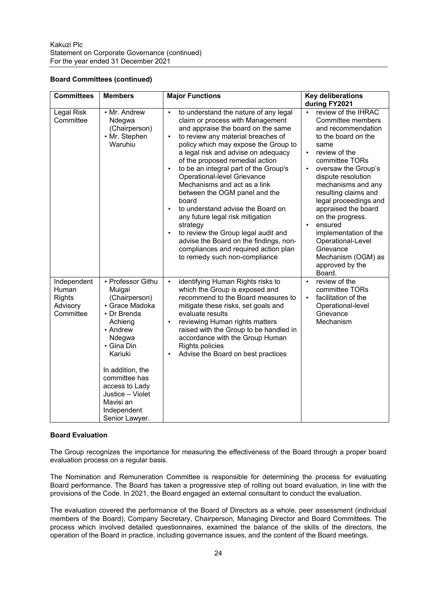## **Board Committees (continued)**

| <b>Committees</b>                                              | <b>Members</b>                                                                                                                                                                                                                                                   | <b>Major Functions</b>                                                                                                                                                                                                                                                                                                                                                                                                                                                                                                                                                                                                                                                                                                                    | <b>Key deliberations</b><br>during FY2021                                                                                                                                                                                                                                                                                                                                                                                                          |
|----------------------------------------------------------------|------------------------------------------------------------------------------------------------------------------------------------------------------------------------------------------------------------------------------------------------------------------|-------------------------------------------------------------------------------------------------------------------------------------------------------------------------------------------------------------------------------------------------------------------------------------------------------------------------------------------------------------------------------------------------------------------------------------------------------------------------------------------------------------------------------------------------------------------------------------------------------------------------------------------------------------------------------------------------------------------------------------------|----------------------------------------------------------------------------------------------------------------------------------------------------------------------------------------------------------------------------------------------------------------------------------------------------------------------------------------------------------------------------------------------------------------------------------------------------|
| Legal Risk<br>Committee                                        | • Mr. Andrew<br>Ndegwa<br>(Chairperson)<br>• Mr. Stephen<br>Waruhiu                                                                                                                                                                                              | to understand the nature of any legal<br>$\bullet$<br>claim or process with Management<br>and appraise the board on the same<br>to review any material breaches of<br>$\bullet$<br>policy which may expose the Group to<br>a legal risk and advise on adequacy<br>of the proposed remedial action<br>to be an integral part of the Group's<br>$\bullet$<br>Operational-level Grievance<br>Mechanisms and act as a link<br>between the OGM panel and the<br>board<br>to understand advise the Board on<br>$\bullet$<br>any future legal risk mitigation<br>strategy<br>to review the Group legal audit and<br>$\bullet$<br>advise the Board on the findings, non-<br>compliances and required action plan<br>to remedy such non-compliance | review of the IHRAC<br>Committee members<br>and recommendation<br>to the board on the<br>same<br>review of the<br>$\bullet$<br>committee TORs<br>oversaw the Group's<br>dispute resolution<br>mechanisms and any<br>resulting claims and<br>legal proceedings and<br>appraised the board<br>on the progress.<br>ensured<br>$\bullet$<br>implementation of the<br>Operational-Level<br>Grievance<br>Mechanism (OGM) as<br>approved by the<br>Board. |
| Independent<br>Human<br><b>Rights</b><br>Advisory<br>Committee | • Professor Githu<br>Muigai<br>(Chairperson)<br>• Grace Madoka<br>• Dr Brenda<br>Achieng<br>• Andrew<br>Ndegwa<br>• Gina Din<br>Kariuki<br>In addition, the<br>committee has<br>access to Lady<br>Justice - Violet<br>Mavisi an<br>Independent<br>Senior Lawyer. | identifying Human Rights risks to<br>$\bullet$<br>which the Group is exposed and<br>recommend to the Board measures to<br>mitigate these risks, set goals and<br>evaluate results<br>reviewing Human rights matters<br>$\bullet$<br>raised with the Group to be handled in<br>accordance with the Group Human<br><b>Rights policies</b><br>Advise the Board on best practices<br>$\bullet$                                                                                                                                                                                                                                                                                                                                                | review of the<br>$\bullet$<br>committee TORs<br>facilitation of the<br>Operational-level<br>Grievance<br>Mechanism                                                                                                                                                                                                                                                                                                                                 |

## **Board Evaluation**

The Group recognizes the importance for measuring the effectiveness of the Board through a proper board evaluation process on a regular basis.

The Nomination and Remuneration Committee is responsible for determining the process for evaluating Board performance. The Board has taken a progressive step of rolling out board evaluation, in line with the provisions of the Code. In 2021, the Board engaged an external consultant to conduct the evaluation.

The evaluation covered the performance of the Board of Directors as a whole, peer assessment (individual members of the Board), Company Secretary, Chairperson, Managing Director and Board Committees. The process which involved detailed questionnaires, examined the balance of the skills of the directors, the operation of the Board in practice, including governance issues, and the content of the Board meetings.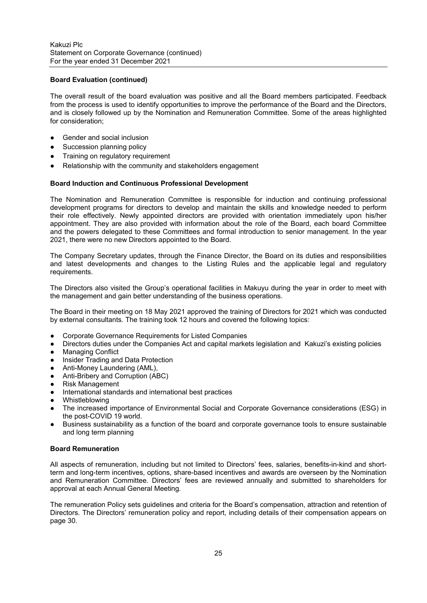## **Board Evaluation (continued)**

The overall result of the board evaluation was positive and all the Board members participated. Feedback from the process is used to identify opportunities to improve the performance of the Board and the Directors, and is closely followed up by the Nomination and Remuneration Committee. Some of the areas highlighted for consideration;

- Gender and social inclusion
- Succession planning policy
- Training on regulatory requirement
- Relationship with the community and stakeholders engagement

### **Board Induction and Continuous Professional Development**

The Nomination and Remuneration Committee is responsible for induction and continuing professional development programs for directors to develop and maintain the skills and knowledge needed to perform their role effectively. Newly appointed directors are provided with orientation immediately upon his/her appointment. They are also provided with information about the role of the Board, each board Committee and the powers delegated to these Committees and formal introduction to senior management. In the year 2021, there were no new Directors appointed to the Board.

The Company Secretary updates, through the Finance Director, the Board on its duties and responsibilities and latest developments and changes to the Listing Rules and the applicable legal and regulatory requirements.

The Directors also visited the Group's operational facilities in Makuyu during the year in order to meet with the management and gain better understanding of the business operations.

The Board in their meeting on 18 May 2021 approved the training of Directors for 2021 which was conducted by external consultants. The training took 12 hours and covered the following topics:

- Corporate Governance Requirements for Listed Companies
- Directors duties under the Companies Act and capital markets legislation and Kakuzi's existing policies
- Managing Conflict
- **Insider Trading and Data Protection**
- Anti-Money Laundering (AML),
- Anti-Bribery and Corruption (ABC)
- **Risk Management**
- International standards and international best practices
- Whistleblowing
- The increased importance of Environmental Social and Corporate Governance considerations (ESG) in the post-COVID 19 world.
- Business sustainability as a function of the board and corporate governance tools to ensure sustainable and long term planning

#### **Board Remuneration**

All aspects of remuneration, including but not limited to Directors' fees, salaries, benefits-in-kind and shortterm and long-term incentives, options, share-based incentives and awards are overseen by the Nomination and Remuneration Committee. Directors' fees are reviewed annually and submitted to shareholders for approval at each Annual General Meeting.

The remuneration Policy sets guidelines and criteria for the Board's compensation, attraction and retention of Directors. The Directors' remuneration policy and report, including details of their compensation appears on page 30.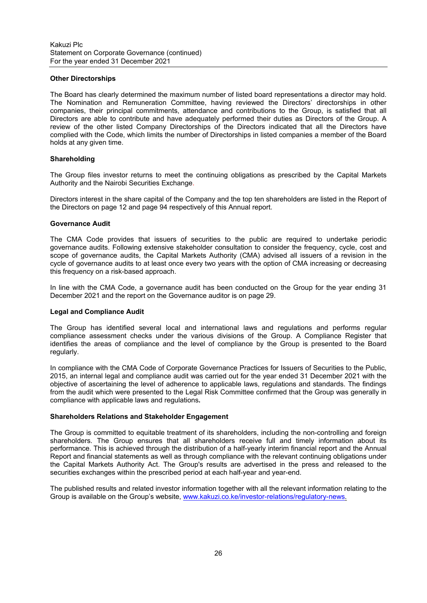### **Other Directorships**

The Board has clearly determined the maximum number of listed board representations a director may hold. The Nomination and Remuneration Committee, having reviewed the Directors' directorships in other companies, their principal commitments, attendance and contributions to the Group, is satisfied that all Directors are able to contribute and have adequately performed their duties as Directors of the Group. A review of the other listed Company Directorships of the Directors indicated that all the Directors have complied with the Code, which limits the number of Directorships in listed companies a member of the Board holds at any given time.

## **Shareholding**

The Group files investor returns to meet the continuing obligations as prescribed by the Capital Markets Authority and the Nairobi Securities Exchange.

Directors interest in the share capital of the Company and the top ten shareholders are listed in the Report of the Directors on page 12 and page 94 respectively of this Annual report.

### **Governance Audit**

The CMA Code provides that issuers of securities to the public are required to undertake periodic governance audits. Following extensive stakeholder consultation to consider the frequency, cycle, cost and scope of governance audits, the Capital Markets Authority (CMA) advised all issuers of a revision in the cycle of governance audits to at least once every two years with the option of CMA increasing or decreasing this frequency on a risk-based approach.

In line with the CMA Code, a governance audit has been conducted on the Group for the year ending 31 December 2021 and the report on the Governance auditor is on page 29.

### **Legal and Compliance Audit**

The Group has identified several local and international laws and regulations and performs regular compliance assessment checks under the various divisions of the Group. A Compliance Register that identifies the areas of compliance and the level of compliance by the Group is presented to the Board regularly.

In compliance with the CMA Code of Corporate Governance Practices for Issuers of Securities to the Public, 2015, an internal legal and compliance audit was carried out for the year ended 31 December 2021 with the objective of ascertaining the level of adherence to applicable laws, regulations and standards. The findings from the audit which were presented to the Legal Risk Committee confirmed that the Group was generally in compliance with applicable laws and regulations**.** 

### **Shareholders Relations and Stakeholder Engagement**

The Group is committed to equitable treatment of its shareholders, including the non-controlling and foreign shareholders. The Group ensures that all shareholders receive full and timely information about its performance. This is achieved through the distribution of a half-yearly interim financial report and the Annual Report and financial statements as well as through compliance with the relevant continuing obligations under the Capital Markets Authority Act. The Group's results are advertised in the press and released to the securities exchanges within the prescribed period at each half-year and year-end.

The published results and related investor information together with all the relevant information relating to the Group is available on the Group's website, www.kakuzi.co.ke/investor-relations/regulatory-news.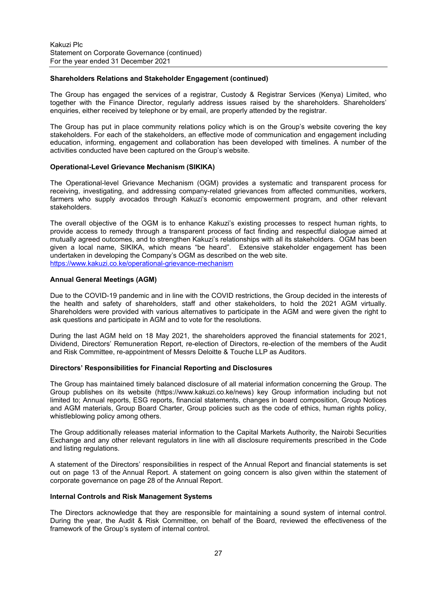#### **Shareholders Relations and Stakeholder Engagement (continued)**

The Group has engaged the services of a registrar, Custody & Registrar Services (Kenya) Limited, who together with the Finance Director, regularly address issues raised by the shareholders. Shareholders' enquiries, either received by telephone or by email, are properly attended by the registrar.

The Group has put in place community relations policy which is on the Group's website covering the key stakeholders. For each of the stakeholders, an effective mode of communication and engagement including education, informing, engagement and collaboration has been developed with timelines. A number of the activities conducted have been captured on the Group's website.

#### **Operational-Level Grievance Mechanism (SIKIKA)**

The Operational-level Grievance Mechanism (OGM) provides a systematic and transparent process for receiving, investigating, and addressing company-related grievances from affected communities, workers, farmers who supply avocados through Kakuzi's economic empowerment program, and other relevant stakeholders.

The overall objective of the OGM is to enhance Kakuzi's existing processes to respect human rights, to provide access to remedy through a transparent process of fact finding and respectful dialogue aimed at mutually agreed outcomes, and to strengthen Kakuzi's relationships with all its stakeholders. OGM has been given a local name, SIKIKA, which means "be heard". Extensive stakeholder engagement has been undertaken in developing the Company's OGM as described on the web site. https://www.kakuzi.co.ke/operational-grievance-mechanism

#### **Annual General Meetings (AGM)**

Due to the COVID-19 pandemic and in line with the COVID restrictions, the Group decided in the interests of the health and safety of shareholders, staff and other stakeholders, to hold the 2021 AGM virtually. Shareholders were provided with various alternatives to participate in the AGM and were given the right to ask questions and participate in AGM and to vote for the resolutions.

During the last AGM held on 18 May 2021, the shareholders approved the financial statements for 2021, Dividend, Directors' Remuneration Report, re-election of Directors, re-election of the members of the Audit and Risk Committee, re-appointment of Messrs Deloitte & Touche LLP as Auditors.

#### **Directors' Responsibilities for Financial Reporting and Disclosures**

The Group has maintained timely balanced disclosure of all material information concerning the Group. The Group publishes on its website (https://www.kakuzi.co.ke/news) key Group information including but not limited to; Annual reports, ESG reports, financial statements, changes in board composition, Group Notices and AGM materials, Group Board Charter, Group policies such as the code of ethics, human rights policy, whistleblowing policy among others.

The Group additionally releases material information to the Capital Markets Authority, the Nairobi Securities Exchange and any other relevant regulators in line with all disclosure requirements prescribed in the Code and listing regulations.

A statement of the Directors' responsibilities in respect of the Annual Report and financial statements is set out on page 13 of the Annual Report. A statement on going concern is also given within the statement of corporate governance on page 28 of the Annual Report.

#### **Internal Controls and Risk Management Systems**

The Directors acknowledge that they are responsible for maintaining a sound system of internal control. During the year, the Audit & Risk Committee, on behalf of the Board, reviewed the effectiveness of the framework of the Group's system of internal control.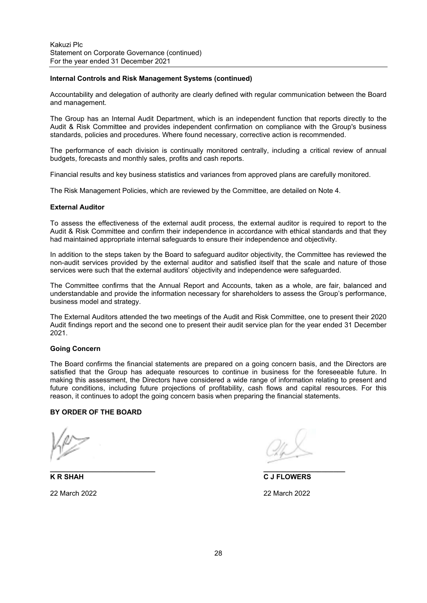#### **Internal Controls and Risk Management Systems (continued)**

Accountability and delegation of authority are clearly defined with regular communication between the Board and management.

The Group has an Internal Audit Department, which is an independent function that reports directly to the Audit & Risk Committee and provides independent confirmation on compliance with the Group's business standards, policies and procedures. Where found necessary, corrective action is recommended.

The performance of each division is continually monitored centrally, including a critical review of annual budgets, forecasts and monthly sales, profits and cash reports.

Financial results and key business statistics and variances from approved plans are carefully monitored.

The Risk Management Policies, which are reviewed by the Committee, are detailed on Note 4.

#### **External Auditor**

To assess the effectiveness of the external audit process, the external auditor is required to report to the Audit & Risk Committee and confirm their independence in accordance with ethical standards and that they had maintained appropriate internal safeguards to ensure their independence and objectivity.

In addition to the steps taken by the Board to safeguard auditor objectivity, the Committee has reviewed the non-audit services provided by the external auditor and satisfied itself that the scale and nature of those services were such that the external auditors' objectivity and independence were safeguarded.

The Committee confirms that the Annual Report and Accounts, taken as a whole, are fair, balanced and understandable and provide the information necessary for shareholders to assess the Group's performance, business model and strategy.

The External Auditors attended the two meetings of the Audit and Risk Committee, one to present their 2020 Audit findings report and the second one to present their audit service plan for the year ended 31 December 2021.

## **Going Concern**

The Board confirms the financial statements are prepared on a going concern basis, and the Directors are satisfied that the Group has adequate resources to continue in business for the foreseeable future. In making this assessment, the Directors have considered a wide range of information relating to present and future conditions, including future projections of profitability, cash flows and capital resources. For this reason, it continues to adopt the going concern basis when preparing the financial statements.

#### **BY ORDER OF THE BOARD**

**K R SHAH C J FLOWERS**  22 March 2022 22 March 2022

 $\overline{\phantom{a}}$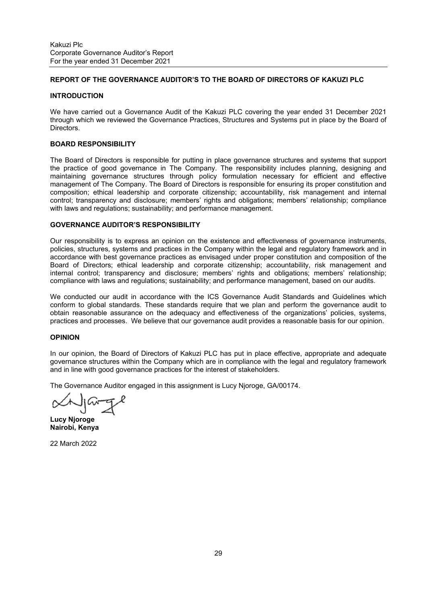# **REPORT OF THE GOVERNANCE AUDITOR'S TO THE BOARD OF DIRECTORS OF KAKUZI PLC**

### **INTRODUCTION**

We have carried out a Governance Audit of the Kakuzi PLC covering the year ended 31 December 2021 through which we reviewed the Governance Practices, Structures and Systems put in place by the Board of Directors.

## **BOARD RESPONSIBILITY**

The Board of Directors is responsible for putting in place governance structures and systems that support the practice of good governance in The Company. The responsibility includes planning, designing and maintaining governance structures through policy formulation necessary for efficient and effective management of The Company. The Board of Directors is responsible for ensuring its proper constitution and composition; ethical leadership and corporate citizenship; accountability, risk management and internal control; transparency and disclosure; members' rights and obligations; members' relationship; compliance with laws and regulations; sustainability; and performance management.

## **GOVERNANCE AUDITOR'S RESPONSIBILITY**

Our responsibility is to express an opinion on the existence and effectiveness of governance instruments, policies, structures, systems and practices in the Company within the legal and regulatory framework and in accordance with best governance practices as envisaged under proper constitution and composition of the Board of Directors; ethical leadership and corporate citizenship; accountability, risk management and internal control; transparency and disclosure; members' rights and obligations; members' relationship; compliance with laws and regulations; sustainability; and performance management, based on our audits.

We conducted our audit in accordance with the ICS Governance Audit Standards and Guidelines which conform to global standards. These standards require that we plan and perform the governance audit to obtain reasonable assurance on the adequacy and effectiveness of the organizations' policies, systems, practices and processes. We believe that our governance audit provides a reasonable basis for our opinion.

### **OPINION**

In our opinion, the Board of Directors of Kakuzi PLC has put in place effective, appropriate and adequate governance structures within the Company which are in compliance with the legal and regulatory framework and in line with good governance practices for the interest of stakeholders.

The Governance Auditor engaged in this assignment is Lucy Njoroge, GA/00174.

**Lucy Njoroge Nairobi, Kenya** 

22 March 2022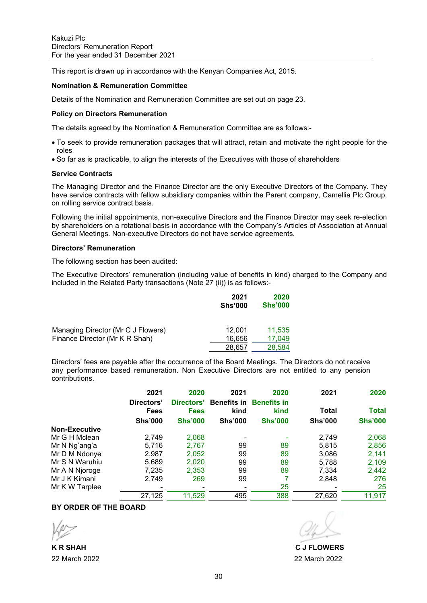This report is drawn up in accordance with the Kenyan Companies Act, 2015.

### **Nomination & Remuneration Committee**

Details of the Nomination and Remuneration Committee are set out on page 23.

### **Policy on Directors Remuneration**

The details agreed by the Nomination & Remuneration Committee are as follows:-

- To seek to provide remuneration packages that will attract, retain and motivate the right people for the roles
- So far as is practicable, to align the interests of the Executives with those of shareholders

#### **Service Contracts**

The Managing Director and the Finance Director are the only Executive Directors of the Company. They have service contracts with fellow subsidiary companies within the Parent company, Camellia Plc Group, on rolling service contract basis.

Following the initial appointments, non-executive Directors and the Finance Director may seek re-election by shareholders on a rotational basis in accordance with the Company's Articles of Association at Annual General Meetings. Non-executive Directors do not have service agreements.

## **Directors' Remuneration**

The following section has been audited:

The Executive Directors' remuneration (including value of benefits in kind) charged to the Company and included in the Related Party transactions (Note 27 (ii)) is as follows:-

|                                                                      | 2021<br><b>Shs'000</b> | 2020<br><b>Shs'000</b> |
|----------------------------------------------------------------------|------------------------|------------------------|
| Managing Director (Mr C J Flowers)<br>Finance Director (Mr K R Shah) | 12.001<br>16.656       | 11,535<br>17.049       |
|                                                                      | 28,657                 | 28,584                 |

Directors' fees are payable after the occurrence of the Board Meetings. The Directors do not receive any performance based remuneration. Non Executive Directors are not entitled to any pension contributions.

|                      | 2021                      | 2020                      | 2021                       | 2020                       | 2021           | 2020           |
|----------------------|---------------------------|---------------------------|----------------------------|----------------------------|----------------|----------------|
|                      | Directors'<br><b>Fees</b> | Directors'<br><b>Fees</b> | <b>Benefits in</b><br>kind | <b>Benefits in</b><br>kind | Total          | <b>Total</b>   |
|                      | <b>Shs'000</b>            | <b>Shs'000</b>            | <b>Shs'000</b>             | <b>Shs'000</b>             | <b>Shs'000</b> | <b>Shs'000</b> |
| <b>Non-Executive</b> |                           |                           |                            |                            |                |                |
| Mr G H Mclean        | 2,749                     | 2,068                     |                            |                            | 2,749          | 2,068          |
| Mr N Ng'ang'a        | 5,716                     | 2,767                     | 99                         | 89                         | 5,815          | 2,856          |
| Mr D M Ndonye        | 2,987                     | 2,052                     | 99                         | 89                         | 3,086          | 2,141          |
| Mr S N Waruhiu       | 5,689                     | 2,020                     | 99                         | 89                         | 5,788          | 2,109          |
| Mr A N Njoroge       | 7,235                     | 2,353                     | 99                         | 89                         | 7,334          | 2,442          |
| Mr J K Kimani        | 2,749                     | 269                       | 99                         | 7                          | 2,848          | 276            |
| Mr K W Tarplee       | -                         |                           |                            | 25                         |                | 25             |
|                      | 27,125                    | 11,529                    | 495                        | 388                        | 27,620         | 11,917         |

# **BY ORDER OF THE BOARD**

 **K R SHAH C J FLOWERS**  22 March 2022 22 March 2022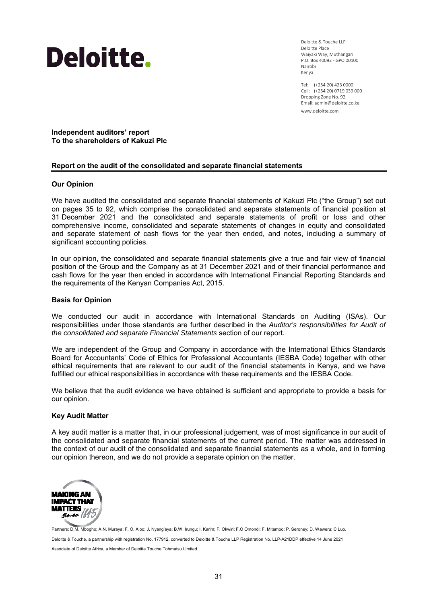

Deloitte & Touche LLP Deloitte Place Waiyaki Way, Muthangari P.O. Box 40092 ‐ GPO 00100 Nairobi Kenya

Tel: (+254 20) 423 0000 Cell: (+254 20) 0719 039 000 Dropping Zone No. 92 Email: admin@deloitte.co.ke www.deloitte.com

**Independent auditors' report To the shareholders of Kakuzi Plc** 

## **Report on the audit of the consolidated and separate financial statements**

### **Our Opinion**

We have audited the consolidated and separate financial statements of Kakuzi Plc ("the Group") set out on pages 35 to 92, which comprise the consolidated and separate statements of financial position at 31 December 2021 and the consolidated and separate statements of profit or loss and other comprehensive income, consolidated and separate statements of changes in equity and consolidated and separate statement of cash flows for the year then ended, and notes, including a summary of significant accounting policies.

In our opinion, the consolidated and separate financial statements give a true and fair view of financial position of the Group and the Company as at 31 December 2021 and of their financial performance and cash flows for the year then ended in accordance with International Financial Reporting Standards and the requirements of the Kenyan Companies Act, 2015.

#### **Basis for Opinion**

We conducted our audit in accordance with International Standards on Auditing (ISAs). Our responsibilities under those standards are further described in the *Auditor's responsibilities for Audit of the consolidated and separate Financial Statements* section of our report.

We are independent of the Group and Company in accordance with the International Ethics Standards Board for Accountants' Code of Ethics for Professional Accountants (IESBA Code) together with other ethical requirements that are relevant to our audit of the financial statements in Kenya, and we have fulfilled our ethical responsibilities in accordance with these requirements and the IESBA Code.

We believe that the audit evidence we have obtained is sufficient and appropriate to provide a basis for our opinion.

#### **Key Audit Matter**

A key audit matter is a matter that, in our professional judgement, was of most significance in our audit of the consolidated and separate financial statements of the current period. The matter was addressed in the context of our audit of the consolidated and separate financial statements as a whole, and in forming our opinion thereon, and we do not provide a separate opinion on the matter.



Partners: D.M. Mbogho; A.N. Muraya; F. O. Aloo; J. Nyang'aya; B.W. Irungu; I. Karim; F. Okwiri; F.O Omondi; F. Mitambo; P. Seroney; D. Waweru; C Luo. Deloitte & Touche, a partnership with registration No. 177912, converted to Deloitte & Touche LLP Registration No. LLP-A21DDP effective 14 June 2021 Associate of Deloitte Africa, a Member of Deloitte Touche Tohmatsu Limited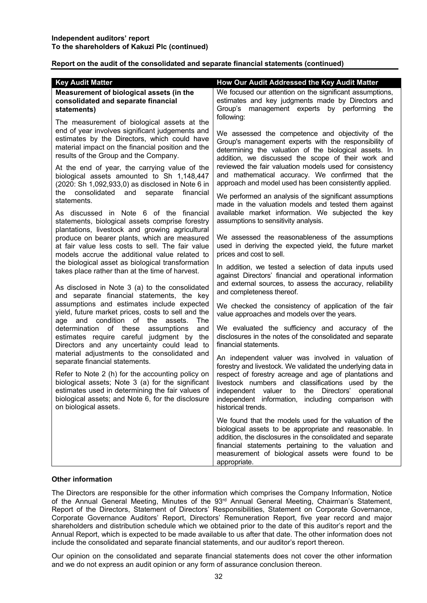## **Report on the audit of the consolidated and separate financial statements (continued)**

| <b>Key Audit Matter</b><br>Measurement of biological assets (in the<br>consolidated and separate financial<br>statements)                                                                                                                                                                                                                   | How Our Audit Addressed the Key Audit Matter<br>We focused our attention on the significant assumptions,<br>estimates and key judgments made by Directors and<br>Group's<br>management experts<br>by performing<br>the<br>following:                                                                                                                                      |
|---------------------------------------------------------------------------------------------------------------------------------------------------------------------------------------------------------------------------------------------------------------------------------------------------------------------------------------------|---------------------------------------------------------------------------------------------------------------------------------------------------------------------------------------------------------------------------------------------------------------------------------------------------------------------------------------------------------------------------|
| The measurement of biological assets at the<br>end of year involves significant judgements and<br>estimates by the Directors, which could have<br>material impact on the financial position and the<br>results of the Group and the Company.<br>At the end of year, the carrying value of the<br>biological assets amounted to Sh 1,148,447 | We assessed the competence and objectivity of the<br>Group's management experts with the responsibility of<br>determining the valuation of the biological assets. In<br>addition, we discussed the scope of their work and<br>reviewed the fair valuation models used for consistency<br>and mathematical accuracy. We confirmed that the                                 |
| (2020: Sh 1,092,933,0) as disclosed in Note 6 in<br>consolidated and separate<br>financial<br>the<br>statements.<br>As discussed in Note 6 of the financial                                                                                                                                                                                 | approach and model used has been consistently applied.<br>We performed an analysis of the significant assumptions<br>made in the valuation models and tested them against<br>available market information. We subjected the key<br>assumptions to sensitivity analysis.                                                                                                   |
| statements, biological assets comprise forestry<br>plantations, livestock and growing agricultural<br>produce on bearer plants, which are measured<br>at fair value less costs to sell. The fair value<br>models accrue the additional value related to<br>the biological asset as biological transformation                                | We assessed the reasonableness of the assumptions<br>used in deriving the expected yield, the future market<br>prices and cost to sell.                                                                                                                                                                                                                                   |
| takes place rather than at the time of harvest.<br>As disclosed in Note 3 (a) to the consolidated<br>and separate financial statements, the key                                                                                                                                                                                             | In addition, we tested a selection of data inputs used<br>against Directors' financial and operational information<br>and external sources, to assess the accuracy, reliability<br>and completeness thereof.                                                                                                                                                              |
| assumptions and estimates include expected<br>yield, future market prices, costs to sell and the<br>age and condition of the<br>assets.<br><b>The</b>                                                                                                                                                                                       | We checked the consistency of application of the fair<br>value approaches and models over the years.                                                                                                                                                                                                                                                                      |
| determination<br>of these<br>assumptions<br>and<br>estimates require careful judgment by the<br>Directors and any uncertainty could lead to                                                                                                                                                                                                 | We evaluated the sufficiency and accuracy of the<br>disclosures in the notes of the consolidated and separate<br>financial statements.                                                                                                                                                                                                                                    |
| material adjustments to the consolidated and<br>separate financial statements.<br>Refer to Note 2 (h) for the accounting policy on<br>biological assets; Note 3 (a) for the significant<br>estimates used in determining the fair values of<br>biological assets; and Note 6, for the disclosure<br>on biological assets.                   | An independent valuer was involved in valuation of<br>forestry and livestock. We validated the underlying data in<br>respect of forestry acreage and age of plantations and<br>livestock numbers and classifications used by the<br>independent valuer to<br>the<br>Directors'<br>operational<br>independent information, including comparison with<br>historical trends. |
|                                                                                                                                                                                                                                                                                                                                             | We found that the models used for the valuation of the<br>biological assets to be appropriate and reasonable. In<br>addition, the disclosures in the consolidated and separate<br>financial statements pertaining to the valuation and<br>measurement of biological assets were found to be<br>appropriate.                                                               |

## **Other information**

The Directors are responsible for the other information which comprises the Company Information, Notice of the Annual General Meeting, Minutes of the 93<sup>rd</sup> Annual General Meeting, Chairman's Statement, Report of the Directors, Statement of Directors' Responsibilities, Statement on Corporate Governance, Corporate Governance Auditors' Report, Directors' Remuneration Report, five year record and major shareholders and distribution schedule which we obtained prior to the date of this auditor's report and the Annual Report, which is expected to be made available to us after that date. The other information does not include the consolidated and separate financial statements, and our auditor's report thereon.

Our opinion on the consolidated and separate financial statements does not cover the other information and we do not express an audit opinion or any form of assurance conclusion thereon.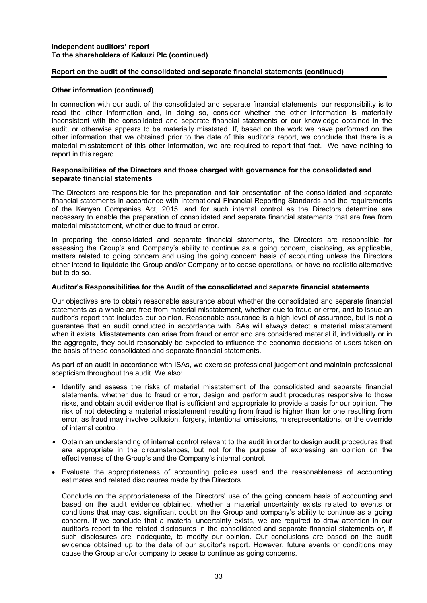## **Independent auditors' report To the shareholders of Kakuzi Plc (continued)**

## **Report on the audit of the consolidated and separate financial statements (continued)**

### **Other information (continued)**

In connection with our audit of the consolidated and separate financial statements, our responsibility is to read the other information and, in doing so, consider whether the other information is materially inconsistent with the consolidated and separate financial statements or our knowledge obtained in the audit, or otherwise appears to be materially misstated. If, based on the work we have performed on the other information that we obtained prior to the date of this auditor's report, we conclude that there is a material misstatement of this other information, we are required to report that fact. We have nothing to report in this regard.

### **Responsibilities of the Directors and those charged with governance for the consolidated and separate financial statements**

The Directors are responsible for the preparation and fair presentation of the consolidated and separate financial statements in accordance with International Financial Reporting Standards and the requirements of the Kenyan Companies Act, 2015, and for such internal control as the Directors determine are necessary to enable the preparation of consolidated and separate financial statements that are free from material misstatement, whether due to fraud or error.

In preparing the consolidated and separate financial statements, the Directors are responsible for assessing the Group's and Company's ability to continue as a going concern, disclosing, as applicable, matters related to going concern and using the going concern basis of accounting unless the Directors either intend to liquidate the Group and/or Company or to cease operations, or have no realistic alternative but to do so.

### **Auditor's Responsibilities for the Audit of the consolidated and separate financial statements**

Our objectives are to obtain reasonable assurance about whether the consolidated and separate financial statements as a whole are free from material misstatement, whether due to fraud or error, and to issue an auditor's report that includes our opinion. Reasonable assurance is a high level of assurance, but is not a guarantee that an audit conducted in accordance with ISAs will always detect a material misstatement when it exists. Misstatements can arise from fraud or error and are considered material if, individually or in the aggregate, they could reasonably be expected to influence the economic decisions of users taken on the basis of these consolidated and separate financial statements.

As part of an audit in accordance with ISAs, we exercise professional judgement and maintain professional scepticism throughout the audit. We also:

- Identify and assess the risks of material misstatement of the consolidated and separate financial statements, whether due to fraud or error, design and perform audit procedures responsive to those risks, and obtain audit evidence that is sufficient and appropriate to provide a basis for our opinion. The risk of not detecting a material misstatement resulting from fraud is higher than for one resulting from error, as fraud may involve collusion, forgery, intentional omissions, misrepresentations, or the override of internal control.
- Obtain an understanding of internal control relevant to the audit in order to design audit procedures that are appropriate in the circumstances, but not for the purpose of expressing an opinion on the effectiveness of the Group's and the Company's internal control.
- Evaluate the appropriateness of accounting policies used and the reasonableness of accounting estimates and related disclosures made by the Directors.

 Conclude on the appropriateness of the Directors' use of the going concern basis of accounting and based on the audit evidence obtained, whether a material uncertainty exists related to events or conditions that may cast significant doubt on the Group and company's ability to continue as a going concern. If we conclude that a material uncertainty exists, we are required to draw attention in our auditor's report to the related disclosures in the consolidated and separate financial statements or, if such disclosures are inadequate, to modify our opinion. Our conclusions are based on the audit evidence obtained up to the date of our auditor's report. However, future events or conditions may cause the Group and/or company to cease to continue as going concerns.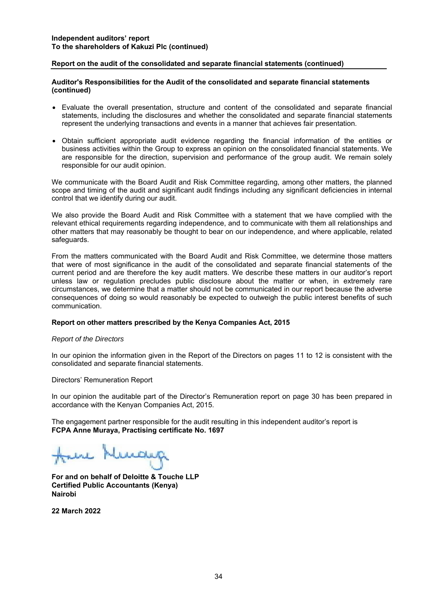## **Report on the audit of the consolidated and separate financial statements (continued)**

## **Auditor's Responsibilities for the Audit of the consolidated and separate financial statements (continued)**

- Evaluate the overall presentation, structure and content of the consolidated and separate financial statements, including the disclosures and whether the consolidated and separate financial statements represent the underlying transactions and events in a manner that achieves fair presentation.
- Obtain sufficient appropriate audit evidence regarding the financial information of the entities or business activities within the Group to express an opinion on the consolidated financial statements. We are responsible for the direction, supervision and performance of the group audit. We remain solely responsible for our audit opinion.

We communicate with the Board Audit and Risk Committee regarding, among other matters, the planned scope and timing of the audit and significant audit findings including any significant deficiencies in internal control that we identify during our audit.

We also provide the Board Audit and Risk Committee with a statement that we have complied with the relevant ethical requirements regarding independence, and to communicate with them all relationships and other matters that may reasonably be thought to bear on our independence, and where applicable, related safeguards.

From the matters communicated with the Board Audit and Risk Committee, we determine those matters that were of most significance in the audit of the consolidated and separate financial statements of the current period and are therefore the key audit matters. We describe these matters in our auditor's report unless law or regulation precludes public disclosure about the matter or when, in extremely rare circumstances, we determine that a matter should not be communicated in our report because the adverse consequences of doing so would reasonably be expected to outweigh the public interest benefits of such communication.

### **Report on other matters prescribed by the Kenya Companies Act, 2015**

### *Report of the Directors*

In our opinion the information given in the Report of the Directors on pages 11 to 12 is consistent with the consolidated and separate financial statements.

Directors' Remuneration Report

In our opinion the auditable part of the Director's Remuneration report on page 30 has been prepared in accordance with the Kenyan Companies Act, 2015.

The engagement partner responsible for the audit resulting in this independent auditor's report is **FCPA Anne Muraya, Practising certificate No. 1697**

Jul Nuch

**For and on behalf of Deloitte & Touche LLP Certified Public Accountants (Kenya) Nairobi** 

**22 March 2022**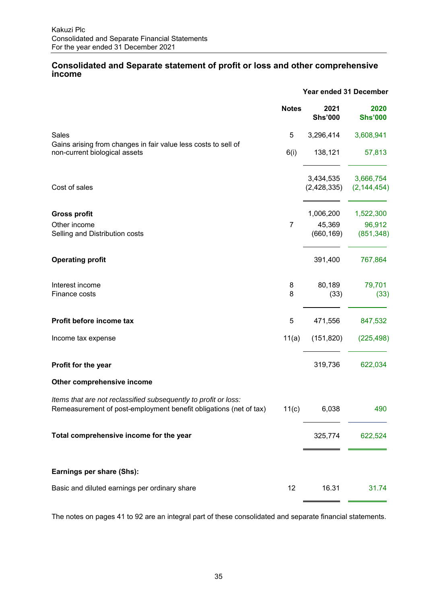## **Consolidated and Separate statement of profit or loss and other comprehensive income**

|                                                                                                                                      | Year ended 31 December |                        |                                          |
|--------------------------------------------------------------------------------------------------------------------------------------|------------------------|------------------------|------------------------------------------|
|                                                                                                                                      | <b>Notes</b>           | 2021<br><b>Shs'000</b> | 2020<br><b>Shs'000</b>                   |
| Sales                                                                                                                                | 5                      | 3,296,414              | 3,608,941                                |
| Gains arising from changes in fair value less costs to sell of<br>non-current biological assets                                      | 6(i)                   | 138,121                | 57,813                                   |
| Cost of sales                                                                                                                        |                        | 3,434,535              | 3,666,754<br>$(2,428,335)$ $(2,144,454)$ |
| <b>Gross profit</b>                                                                                                                  |                        | 1,006,200              | 1,522,300                                |
| Other income<br>Selling and Distribution costs                                                                                       | $\overline{7}$         | 45,369<br>(660, 169)   | 96,912<br>(851, 348)                     |
| <b>Operating profit</b>                                                                                                              |                        | 391,400                | 767,864                                  |
| Interest income<br>Finance costs                                                                                                     | 8<br>8                 | 80,189<br>(33)         | 79,701<br>(33)                           |
| Profit before income tax                                                                                                             | 5                      | 471,556                | 847,532                                  |
| Income tax expense                                                                                                                   | 11(a)                  | (151, 820)             | (225, 498)                               |
| Profit for the year                                                                                                                  |                        | 319,736                | 622,034                                  |
| Other comprehensive income                                                                                                           |                        |                        |                                          |
| Items that are not reclassified subsequently to profit or loss:<br>Remeasurement of post-employment benefit obligations (net of tax) | 11(c)                  | 6,038                  | 490                                      |
| Total comprehensive income for the year                                                                                              |                        | 325,774                | 622,524                                  |
| Earnings per share (Shs):                                                                                                            |                        |                        |                                          |
| Basic and diluted earnings per ordinary share                                                                                        | 12                     | 16.31                  | 31.74                                    |

The notes on pages 41 to 92 are an integral part of these consolidated and separate financial statements.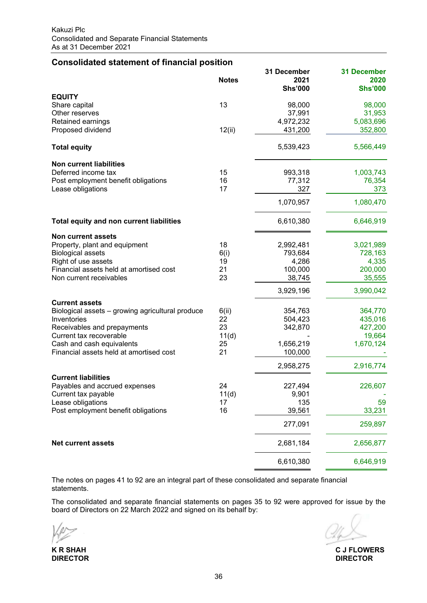## **Consolidated statement of financial position**

|                                                  | <b>Notes</b> | 31 December<br>2021 | <b>31 December</b><br>2020 |
|--------------------------------------------------|--------------|---------------------|----------------------------|
|                                                  |              | <b>Shs'000</b>      | <b>Shs'000</b>             |
| <b>EQUITY</b>                                    |              |                     |                            |
| Share capital                                    | 13           | 98,000              | 98,000                     |
| Other reserves                                   |              | 37,991              | 31,953                     |
| Retained earnings                                |              | 4,972,232           | 5,083,696                  |
| Proposed dividend                                | 12(ii)       | 431,200             | 352,800                    |
| <b>Total equity</b>                              |              | 5,539,423           | 5,566,449                  |
| <b>Non current liabilities</b>                   |              |                     |                            |
| Deferred income tax                              | 15           | 993,318             | 1,003,743                  |
| Post employment benefit obligations              | 16           | 77,312              | 76,354                     |
| Lease obligations                                | 17           | 327                 | 373                        |
|                                                  |              | 1,070,957           | 1,080,470                  |
| Total equity and non current liabilities         |              | 6,610,380           | 6,646,919                  |
| <b>Non current assets</b>                        |              |                     |                            |
| Property, plant and equipment                    | 18           | 2,992,481           | 3,021,989                  |
| <b>Biological assets</b>                         | 6(i)         | 793,684             | 728,163                    |
| Right of use assets                              | 19           | 4,286               | 4,335                      |
| Financial assets held at amortised cost          | 21           | 100,000             | 200,000                    |
| Non current receivables                          | 23           | 38,745              | 35,555                     |
|                                                  |              | 3,929,196           | 3,990,042                  |
| <b>Current assets</b>                            |              |                     |                            |
| Biological assets - growing agricultural produce | 6(ii)        | 354,763             | 364,770                    |
| Inventories                                      | 22           | 504,423             | 435,016                    |
| Receivables and prepayments                      | 23           | 342,870             | 427,200                    |
| Current tax recoverable                          | 11(d)        |                     | 19,664                     |
| Cash and cash equivalents                        | 25           | 1,656,219           | 1,670,124                  |
| Financial assets held at amortised cost          | 21           | 100,000             |                            |
|                                                  |              | 2,958,275           | 2,916,774                  |
| <b>Current liabilities</b>                       |              |                     |                            |
| Payables and accrued expenses                    | 24           | 227,494             | 226,607                    |
| Current tax payable                              | 11(d)        | 9,901               |                            |
| Lease obligations                                | 17           | 135                 | 59                         |
| Post employment benefit obligations              | 16           | 39,561              | 33,231                     |
|                                                  |              | 277,091             | 259,897                    |
| <b>Net current assets</b>                        |              | 2,681,184           | 2,656,877                  |
|                                                  |              | 6,610,380           | 6,646,919                  |

The notes on pages 41 to 92 are an integral part of these consolidated and separate financial statements.

The consolidated and separate financial statements on pages 35 to 92 were approved for issue by the board of Directors on 22 March 2022 and signed on its behalf by:

**K R SHAH C J FLOWERS DIRECTOR DIRECTOR**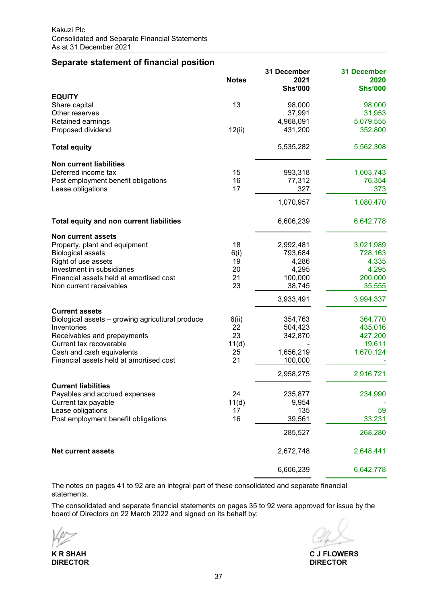# **Separate statement of financial position**

|                                                  | <b>Notes</b> | 31 December<br>2021 | <b>31 December</b><br>2020 |
|--------------------------------------------------|--------------|---------------------|----------------------------|
|                                                  |              | <b>Shs'000</b>      | <b>Shs'000</b>             |
| <b>EQUITY</b>                                    |              |                     |                            |
| Share capital                                    | 13           | 98,000              | 98,000                     |
| Other reserves                                   |              | 37,991              | 31,953                     |
| Retained earnings                                |              | 4,968,091           | 5,079,555                  |
| Proposed dividend                                | 12(ii)       | 431,200             | 352,800                    |
| <b>Total equity</b>                              |              | 5,535,282           | 5,562,308                  |
| <b>Non current liabilities</b>                   |              |                     |                            |
| Deferred income tax                              | 15           | 993,318             | 1,003,743                  |
| Post employment benefit obligations              | 16           | 77,312              | 76,354                     |
| Lease obligations                                | 17           | 327                 | 373                        |
|                                                  |              | 1,070,957           | 1,080,470                  |
| Total equity and non current liabilities         |              | 6,606,239           | 6,642,778                  |
| <b>Non current assets</b>                        |              |                     |                            |
| Property, plant and equipment                    | 18           | 2,992,481           | 3,021,989                  |
| <b>Biological assets</b>                         | 6(i)         | 793,684             | 728,163                    |
| Right of use assets                              | 19           | 4,286               | 4,335                      |
| Investment in subsidiaries                       | 20           | 4,295               | 4,295                      |
| Financial assets held at amortised cost          | 21           | 100,000             | 200,000                    |
| Non current receivables                          | 23           | 38,745              | 35,555                     |
|                                                  |              | 3,933,491           | 3,994,337                  |
| <b>Current assets</b>                            |              |                     |                            |
| Biological assets - growing agricultural produce | 6(ii)        | 354,763             | 364,770                    |
| Inventories                                      | 22           | 504,423             | 435,016                    |
| Receivables and prepayments                      | 23           | 342,870             | 427,200                    |
| Current tax recoverable                          | 11(d)        |                     | 19,611                     |
| Cash and cash equivalents                        | 25           | 1,656,219           | 1,670,124                  |
| Financial assets held at amortised cost          | 21           | 100,000             |                            |
|                                                  |              | 2,958,275           | 2,916,721                  |
| <b>Current liabilities</b>                       |              |                     |                            |
| Payables and accrued expenses                    | 24           | 235,877             | 234,990                    |
| Current tax payable                              | 11(d)        | 9,954               |                            |
| Lease obligations                                | 17           | 135                 | 59                         |
| Post employment benefit obligations              | 16           | 39,561              | 33,231                     |
|                                                  |              | 285,527             | 268,280                    |
| <b>Net current assets</b>                        |              | 2,672,748           | 2,648,441                  |
|                                                  |              | 6,606,239           | 6,642,778                  |

The notes on pages 41 to 92 are an integral part of these consolidated and separate financial statements.

The consolidated and separate financial statements on pages 35 to 92 were approved for issue by the board of Directors on 22 March 2022 and signed on its behalf by:

**DIRECTOR DIRECTOR**

**K R SHAH C J FLOWERS**<br> **DIRECTOR**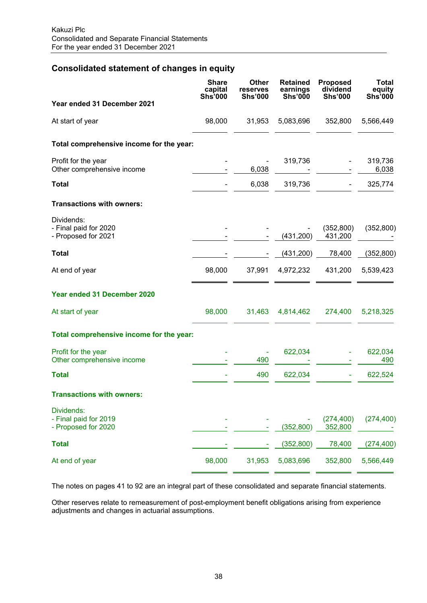# **Consolidated statement of changes in equity**

|                                                            | <b>Share</b><br>capital<br><b>Shs'000</b> | <b>Other</b><br>reserves<br><b>Shs'000</b> | <b>Retained</b><br>earnings<br><b>Shs'000</b> | <b>Proposed</b><br>dividend<br><b>Shs'000</b> | <b>Total</b><br>equity<br><b>Shs'000</b> |
|------------------------------------------------------------|-------------------------------------------|--------------------------------------------|-----------------------------------------------|-----------------------------------------------|------------------------------------------|
| Year ended 31 December 2021                                |                                           |                                            |                                               |                                               |                                          |
| At start of year                                           | 98,000                                    | 31,953                                     | 5,083,696                                     | 352,800                                       | 5,566,449                                |
| Total comprehensive income for the year:                   |                                           |                                            |                                               |                                               |                                          |
| Profit for the year<br>Other comprehensive income          |                                           | 6,038                                      | 319,736                                       |                                               | 319,736<br>6,038                         |
| <b>Total</b>                                               |                                           | 6,038                                      | 319,736                                       |                                               | 325,774                                  |
| <b>Transactions with owners:</b>                           |                                           |                                            |                                               |                                               |                                          |
| Dividends:<br>- Final paid for 2020<br>- Proposed for 2021 |                                           |                                            | (431, 200)                                    | (352, 800)<br>431,200                         | (352, 800)                               |
| <b>Total</b>                                               |                                           |                                            | (431, 200)                                    | 78,400                                        | (352, 800)                               |
| At end of year                                             | 98,000                                    | 37,991                                     | 4,972,232                                     | 431,200                                       | 5,539,423                                |
| Year ended 31 December 2020                                |                                           |                                            |                                               |                                               |                                          |
| At start of year                                           | 98,000                                    | 31,463                                     | 4,814,462                                     | 274,400                                       | 5,218,325                                |
| Total comprehensive income for the year:                   |                                           |                                            |                                               |                                               |                                          |
| Profit for the year<br>Other comprehensive income          |                                           | 490                                        | 622,034                                       |                                               | 622,034<br>490                           |
| <b>Total</b>                                               |                                           | 490                                        | 622,034                                       |                                               | 622,524                                  |
| <b>Transactions with owners:</b>                           |                                           |                                            |                                               |                                               |                                          |
| Dividends:<br>- Final paid for 2019<br>- Proposed for 2020 |                                           |                                            | (352, 800)                                    | (274, 400)<br>352,800                         | (274, 400)                               |
| <b>Total</b>                                               |                                           |                                            | (352, 800)                                    | 78,400                                        | (274, 400)                               |
| At end of year                                             | 98,000                                    | 31,953                                     | 5,083,696                                     | 352,800                                       | 5,566,449                                |

The notes on pages 41 to 92 are an integral part of these consolidated and separate financial statements.

Other reserves relate to remeasurement of post-employment benefit obligations arising from experience adjustments and changes in actuarial assumptions.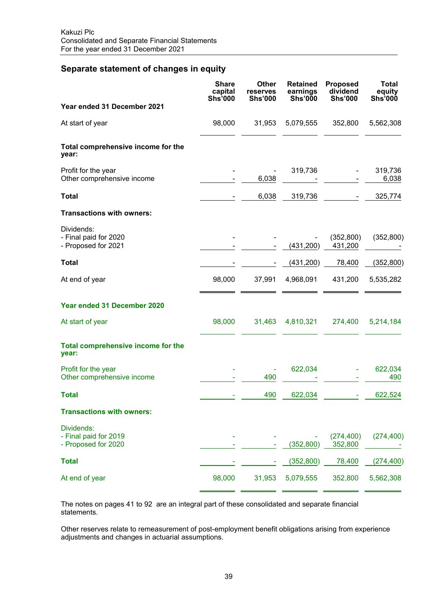# **Separate statement of changes in equity**

|                                                            | <b>Share</b><br>capital<br><b>Shs'000</b> | <b>Other</b><br>reserves<br><b>Shs'000</b> | <b>Retained</b><br>earnings<br><b>Shs'000</b> | <b>Proposed</b><br>dividend<br><b>Shs'000</b> | <b>Total</b><br>equity<br><b>Shs'000</b> |
|------------------------------------------------------------|-------------------------------------------|--------------------------------------------|-----------------------------------------------|-----------------------------------------------|------------------------------------------|
| Year ended 31 December 2021                                |                                           |                                            |                                               |                                               |                                          |
| At start of year                                           | 98,000                                    | 31,953                                     | 5,079,555                                     | 352,800                                       | 5,562,308                                |
| Total comprehensive income for the<br>year:                |                                           |                                            |                                               |                                               |                                          |
| Profit for the year<br>Other comprehensive income          |                                           | 6,038                                      | 319,736                                       |                                               | 319,736<br>6,038                         |
| <b>Total</b>                                               |                                           | 6,038                                      | 319,736                                       |                                               | 325,774                                  |
| <b>Transactions with owners:</b>                           |                                           |                                            |                                               |                                               |                                          |
| Dividends:<br>- Final paid for 2020<br>- Proposed for 2021 |                                           |                                            | (431, 200)                                    | (352,800)<br>431,200                          | (352, 800)                               |
| <b>Total</b>                                               |                                           |                                            | (431, 200)                                    | 78,400                                        | (352, 800)                               |
| At end of year                                             | 98,000                                    | 37,991                                     | 4,968,091                                     | 431,200                                       | 5,535,282                                |
| Year ended 31 December 2020                                |                                           |                                            |                                               |                                               |                                          |
| At start of year                                           | 98,000                                    | 31,463                                     | 4,810,321                                     | 274,400                                       | 5,214,184                                |
| <b>Total comprehensive income for the</b><br>year:         |                                           |                                            |                                               |                                               |                                          |
| Profit for the year<br>Other comprehensive income          |                                           | 490                                        | 622,034                                       |                                               | 622,034<br>490                           |
| <b>Total</b>                                               |                                           | 490                                        | 622,034                                       |                                               | 622,524                                  |
| <b>Transactions with owners:</b>                           |                                           |                                            |                                               |                                               |                                          |
| Dividends:<br>- Final paid for 2019<br>- Proposed for 2020 |                                           |                                            | (352, 800)                                    | (274, 400)<br>352,800                         | (274, 400)                               |
| <b>Total</b>                                               |                                           |                                            | (352, 800)                                    | 78,400                                        | (274, 400)                               |
| At end of year                                             | 98,000                                    | 31,953                                     | 5,079,555                                     | 352,800                                       | 5,562,308                                |

The notes on pages 41 to 92 are an integral part of these consolidated and separate financial statements.

Other reserves relate to remeasurement of post-employment benefit obligations arising from experience adjustments and changes in actuarial assumptions.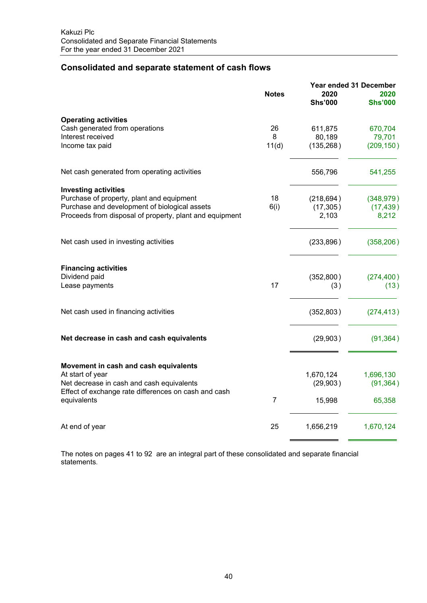# **Consolidated and separate statement of cash flows**

|                                                                                                   |                | Year ended 31 December |                        |  |
|---------------------------------------------------------------------------------------------------|----------------|------------------------|------------------------|--|
|                                                                                                   | <b>Notes</b>   | 2020<br><b>Shs'000</b> | 2020<br><b>Shs'000</b> |  |
| <b>Operating activities</b>                                                                       |                |                        |                        |  |
| Cash generated from operations                                                                    | 26             | 611,875                | 670,704                |  |
| Interest received                                                                                 | 8              | 80,189                 | 79,701                 |  |
| Income tax paid                                                                                   | 11(d)          | (135, 268)             | (209, 150)             |  |
| Net cash generated from operating activities                                                      |                | 556,796                | 541,255                |  |
| <b>Investing activities</b>                                                                       |                |                        |                        |  |
| Purchase of property, plant and equipment                                                         | 18             | (218, 694)             | (348, 979)             |  |
| Purchase and development of biological assets                                                     | 6(i)           | (17, 305)              | (17, 439)              |  |
| Proceeds from disposal of property, plant and equipment                                           |                | 2,103                  | 8,212                  |  |
| Net cash used in investing activities                                                             |                | (233, 896)             | (358, 206)             |  |
| <b>Financing activities</b>                                                                       |                |                        |                        |  |
| Dividend paid                                                                                     |                | (352, 800)             | (274, 400)             |  |
| Lease payments                                                                                    | 17             | (3)                    | (13)                   |  |
| Net cash used in financing activities                                                             |                | (352, 803)             | (274, 413)             |  |
| Net decrease in cash and cash equivalents                                                         |                | (29,903)               | (91, 364)              |  |
|                                                                                                   |                |                        |                        |  |
| Movement in cash and cash equivalents                                                             |                |                        |                        |  |
| At start of year                                                                                  |                | 1,670,124              | 1,696,130              |  |
| Net decrease in cash and cash equivalents<br>Effect of exchange rate differences on cash and cash |                | (29, 903)              | (91, 364)              |  |
| equivalents                                                                                       | $\overline{7}$ | 15,998                 | 65,358                 |  |
| At end of year                                                                                    | 25             | 1,656,219              | 1,670,124              |  |
|                                                                                                   |                |                        |                        |  |

The notes on pages 41 to 92 are an integral part of these consolidated and separate financial statements.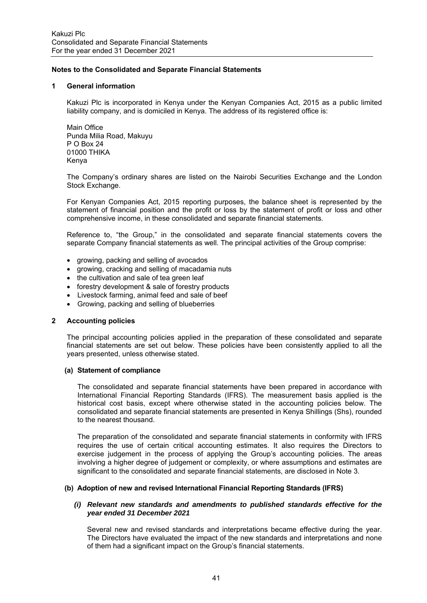### **1 General information**

Kakuzi Plc is incorporated in Kenya under the Kenyan Companies Act, 2015 as a public limited liability company, and is domiciled in Kenya. The address of its registered office is:

Main Office Punda Milia Road, Makuyu P O Box 24 01000 THIKA Kenya

The Company's ordinary shares are listed on the Nairobi Securities Exchange and the London Stock Exchange.

For Kenyan Companies Act, 2015 reporting purposes, the balance sheet is represented by the statement of financial position and the profit or loss by the statement of profit or loss and other comprehensive income, in these consolidated and separate financial statements.

Reference to, "the Group," in the consolidated and separate financial statements covers the separate Company financial statements as well. The principal activities of the Group comprise:

- growing, packing and selling of avocados
- growing, cracking and selling of macadamia nuts
- the cultivation and sale of tea green leaf
- forestry development & sale of forestry products
- Livestock farming, animal feed and sale of beef
- Growing, packing and selling of blueberries

### **2 Accounting policies**

The principal accounting policies applied in the preparation of these consolidated and separate financial statements are set out below. These policies have been consistently applied to all the years presented, unless otherwise stated.

### **(a) Statement of compliance**

The consolidated and separate financial statements have been prepared in accordance with International Financial Reporting Standards (IFRS). The measurement basis applied is the historical cost basis, except where otherwise stated in the accounting policies below. The consolidated and separate financial statements are presented in Kenya Shillings (Shs), rounded to the nearest thousand.

The preparation of the consolidated and separate financial statements in conformity with IFRS requires the use of certain critical accounting estimates. It also requires the Directors to exercise judgement in the process of applying the Group's accounting policies. The areas involving a higher degree of judgement or complexity, or where assumptions and estimates are significant to the consolidated and separate financial statements, are disclosed in Note 3.

### **(b) Adoption of new and revised International Financial Reporting Standards (IFRS)**

### *(i) Relevant new standards and amendments to published standards effective for the year ended 31 December 2021*

Several new and revised standards and interpretations became effective during the year. The Directors have evaluated the impact of the new standards and interpretations and none of them had a significant impact on the Group's financial statements.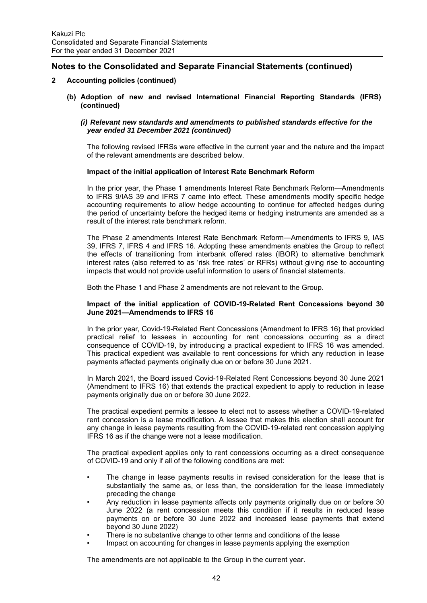## **2 Accounting policies (continued)**

**(b) Adoption of new and revised International Financial Reporting Standards (IFRS) (continued)** 

## *(i) Relevant new standards and amendments to published standards effective for the year ended 31 December 2021 (continued)*

The following revised IFRSs were effective in the current year and the nature and the impact of the relevant amendments are described below.

## **Impact of the initial application of Interest Rate Benchmark Reform**

In the prior year, the Phase 1 amendments Interest Rate Benchmark Reform—Amendments to IFRS 9/IAS 39 and IFRS 7 came into effect. These amendments modify specific hedge accounting requirements to allow hedge accounting to continue for affected hedges during the period of uncertainty before the hedged items or hedging instruments are amended as a result of the interest rate benchmark reform.

The Phase 2 amendments Interest Rate Benchmark Reform—Amendments to IFRS 9, IAS 39, IFRS 7, IFRS 4 and IFRS 16. Adopting these amendments enables the Group to reflect the effects of transitioning from interbank offered rates (IBOR) to alternative benchmark interest rates (also referred to as 'risk free rates' or RFRs) without giving rise to accounting impacts that would not provide useful information to users of financial statements.

Both the Phase 1 and Phase 2 amendments are not relevant to the Group.

## **Impact of the initial application of COVID-19-Related Rent Concessions beyond 30 June 2021—Amendmends to IFRS 16**

In the prior year, Covid-19-Related Rent Concessions (Amendment to IFRS 16) that provided practical relief to lessees in accounting for rent concessions occurring as a direct consequence of COVID-19, by introducing a practical expedient to IFRS 16 was amended. This practical expedient was available to rent concessions for which any reduction in lease payments affected payments originally due on or before 30 June 2021.

In March 2021, the Board issued Covid-19-Related Rent Concessions beyond 30 June 2021 (Amendment to IFRS 16) that extends the practical expedient to apply to reduction in lease payments originally due on or before 30 June 2022.

The practical expedient permits a lessee to elect not to assess whether a COVID-19-related rent concession is a lease modification. A lessee that makes this election shall account for any change in lease payments resulting from the COVID-19-related rent concession applying IFRS 16 as if the change were not a lease modification.

The practical expedient applies only to rent concessions occurring as a direct consequence of COVID-19 and only if all of the following conditions are met:

- The change in lease payments results in revised consideration for the lease that is substantially the same as, or less than, the consideration for the lease immediately preceding the change
- Any reduction in lease payments affects only payments originally due on or before 30 June 2022 (a rent concession meets this condition if it results in reduced lease payments on or before 30 June 2022 and increased lease payments that extend beyond 30 June 2022)
- There is no substantive change to other terms and conditions of the lease
- Impact on accounting for changes in lease payments applying the exemption

The amendments are not applicable to the Group in the current year.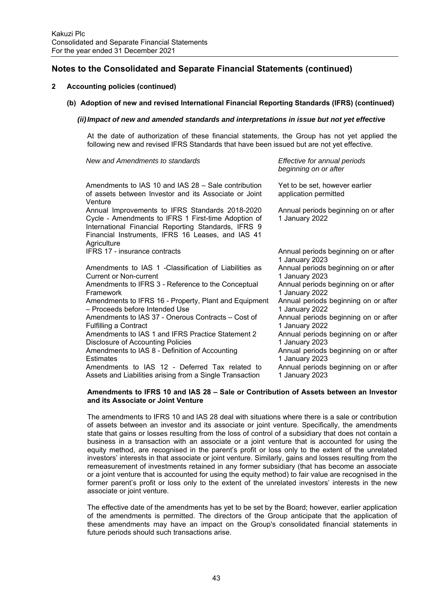## **2 Accounting policies (continued)**

## **(b) Adoption of new and revised International Financial Reporting Standards (IFRS) (continued)**

## *(ii) Impact of new and amended standards and interpretations in issue but not yet effective*

*New and Amendments to standards Effective for annual periods* 

At the date of authorization of these financial statements, the Group has not yet applied the following new and revised IFRS Standards that have been issued but are not yet effective.

| <u>i ve w and i wileitanich to technolita</u>                                                                                                                                                                                     | Lhootho Tor annual ponous<br>beginning on or after      |
|-----------------------------------------------------------------------------------------------------------------------------------------------------------------------------------------------------------------------------------|---------------------------------------------------------|
| Amendments to IAS 10 and IAS 28 - Sale contribution<br>of assets between Investor and its Associate or Joint<br>Venture                                                                                                           | Yet to be set, however earlier<br>application permitted |
| Annual Improvements to IFRS Standards 2018-2020<br>Cycle - Amendments to IFRS 1 First-time Adoption of<br>International Financial Reporting Standards, IFRS 9<br>Financial Instruments, IFRS 16 Leases, and IAS 41<br>Agriculture | Annual periods beginning on or after<br>1 January 2022  |
| IFRS 17 - insurance contracts                                                                                                                                                                                                     | Annual periods beginning on or after<br>1 January 2023  |
| Amendments to IAS 1 - Classification of Liabilities as                                                                                                                                                                            | Annual periods beginning on or after                    |
| Current or Non-current                                                                                                                                                                                                            | 1 January 2023                                          |
| Amendments to IFRS 3 - Reference to the Conceptual                                                                                                                                                                                | Annual periods beginning on or after                    |
| Framework                                                                                                                                                                                                                         | 1 January 2022                                          |
| Amendments to IFRS 16 - Property, Plant and Equipment                                                                                                                                                                             | Annual periods beginning on or after                    |
| - Proceeds before Intended Use                                                                                                                                                                                                    | 1 January 2022                                          |
| Amendments to IAS 37 - Onerous Contracts - Cost of                                                                                                                                                                                | Annual periods beginning on or after                    |
| <b>Fulfilling a Contract</b>                                                                                                                                                                                                      | 1 January 2022                                          |
| Amendments to IAS 1 and IFRS Practice Statement 2                                                                                                                                                                                 | Annual periods beginning on or after                    |
| <b>Disclosure of Accounting Policies</b>                                                                                                                                                                                          | 1 January 2023                                          |
| Amendments to IAS 8 - Definition of Accounting                                                                                                                                                                                    | Annual periods beginning on or after                    |
| Estimates                                                                                                                                                                                                                         | 1 January 2023                                          |
| Amendments to IAS 12 - Deferred Tax related to                                                                                                                                                                                    | Annual periods beginning on or after                    |
| Assets and Liabilities arising from a Single Transaction                                                                                                                                                                          | 1 January 2023                                          |

#### **Amendments to IFRS 10 and IAS 28 – Sale or Contribution of Assets between an Investor and its Associate or Joint Venture**

The amendments to IFRS 10 and IAS 28 deal with situations where there is a sale or contribution of assets between an investor and its associate or joint venture. Specifically, the amendments state that gains or losses resulting from the loss of control of a subsidiary that does not contain a business in a transaction with an associate or a joint venture that is accounted for using the equity method, are recognised in the parent's profit or loss only to the extent of the unrelated investors' interests in that associate or joint venture. Similarly, gains and losses resulting from the remeasurement of investments retained in any former subsidiary (that has become an associate or a joint venture that is accounted for using the equity method) to fair value are recognised in the former parent's profit or loss only to the extent of the unrelated investors' interests in the new associate or joint venture.

The effective date of the amendments has yet to be set by the Board; however, earlier application of the amendments is permitted. The directors of the Group anticipate that the application of these amendments may have an impact on the Group's consolidated financial statements in future periods should such transactions arise.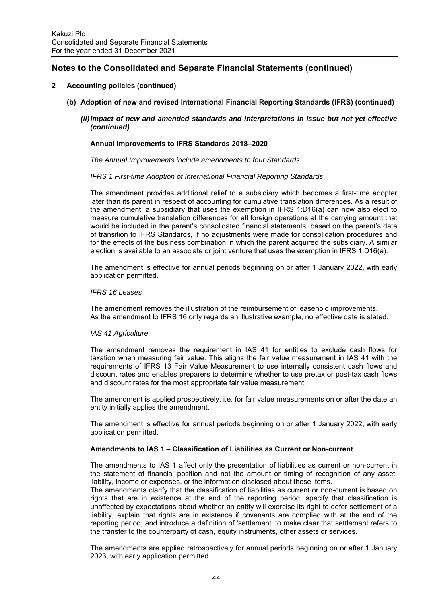## **2 Accounting policies (continued)**

- **(b) Adoption of new and revised International Financial Reporting Standards (IFRS) (continued)**
	- *(ii) Impact of new and amended standards and interpretations in issue but not yet effective (continued)*

## **Annual Improvements to IFRS Standards 2018–2020**

*The Annual Improvements include amendments to four Standards.* 

#### *IFRS 1 First-time Adoption of International Financial Reporting Standards*

The amendment provides additional relief to a subsidiary which becomes a first-time adopter later than its parent in respect of accounting for cumulative translation differences. As a result of the amendment, a subsidiary that uses the exemption in IFRS 1:D16(a) can now also elect to measure cumulative translation differences for all foreign operations at the carrying amount that would be included in the parent's consolidated financial statements, based on the parent's date of transition to IFRS Standards, if no adjustments were made for consolidation procedures and for the effects of the business combination in which the parent acquired the subsidiary. A similar election is available to an associate or joint venture that uses the exemption in IFRS 1:D16(a).

The amendment is effective for annual periods beginning on or after 1 January 2022, with early application permitted.

#### *IFRS 16 Leases*

The amendment removes the illustration of the reimbursement of leasehold improvements. As the amendment to IFRS 16 only regards an illustrative example, no effective date is stated.

### *IAS 41 Agriculture*

The amendment removes the requirement in IAS 41 for entities to exclude cash flows for taxation when measuring fair value. This aligns the fair value measurement in IAS 41 with the requirements of IFRS 13 Fair Value Measurement to use internally consistent cash flows and discount rates and enables preparers to determine whether to use pretax or post-tax cash flows and discount rates for the most appropriate fair value measurement.

The amendment is applied prospectively, i.e. for fair value measurements on or after the date an entity initially applies the amendment.

The amendment is effective for annual periods beginning on or after 1 January 2022, with early application permitted.

## **Amendments to IAS 1 – Classification of Liabilities as Current or Non-current**

The amendments to IAS 1 affect only the presentation of liabilities as current or non-current in the statement of financial position and not the amount or timing of recognition of any asset, liability, income or expenses, or the information disclosed about those items.

The amendments clarify that the classification of liabilities as current or non-current is based on rights that are in existence at the end of the reporting period, specify that classification is unaffected by expectations about whether an entity will exercise its right to defer settlement of a liability, explain that rights are in existence if covenants are complied with at the end of the reporting period, and introduce a definition of 'settlement' to make clear that settlement refers to the transfer to the counterparty of cash, equity instruments, other assets or services.

The amendments are applied retrospectively for annual periods beginning on or after 1 January 2023, with early application permitted.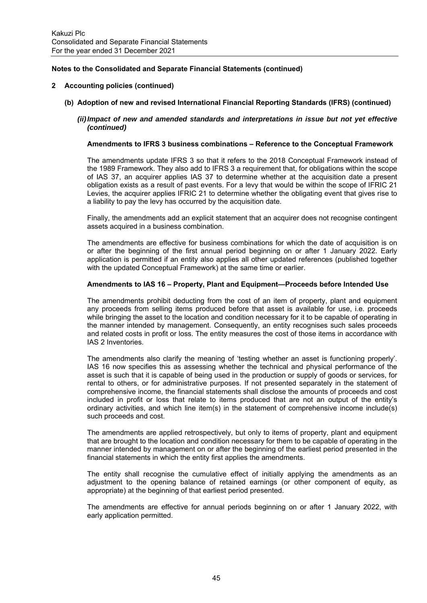## **2 Accounting policies (continued)**

- **(b) Adoption of new and revised International Financial Reporting Standards (IFRS) (continued)**
	- *(ii) Impact of new and amended standards and interpretations in issue but not yet effective (continued)*

### **Amendments to IFRS 3 business combinations – Reference to the Conceptual Framework**

The amendments update IFRS 3 so that it refers to the 2018 Conceptual Framework instead of the 1989 Framework. They also add to IFRS 3 a requirement that, for obligations within the scope of IAS 37, an acquirer applies IAS 37 to determine whether at the acquisition date a present obligation exists as a result of past events. For a levy that would be within the scope of IFRIC 21 Levies, the acquirer applies IFRIC 21 to determine whether the obligating event that gives rise to a liability to pay the levy has occurred by the acquisition date.

Finally, the amendments add an explicit statement that an acquirer does not recognise contingent assets acquired in a business combination.

The amendments are effective for business combinations for which the date of acquisition is on or after the beginning of the first annual period beginning on or after 1 January 2022. Early application is permitted if an entity also applies all other updated references (published together with the updated Conceptual Framework) at the same time or earlier.

### **Amendments to IAS 16 – Property, Plant and Equipment—Proceeds before Intended Use**

The amendments prohibit deducting from the cost of an item of property, plant and equipment any proceeds from selling items produced before that asset is available for use, i.e. proceeds while bringing the asset to the location and condition necessary for it to be capable of operating in the manner intended by management. Consequently, an entity recognises such sales proceeds and related costs in profit or loss. The entity measures the cost of those items in accordance with IAS 2 Inventories.

The amendments also clarify the meaning of 'testing whether an asset is functioning properly'. IAS 16 now specifies this as assessing whether the technical and physical performance of the asset is such that it is capable of being used in the production or supply of goods or services, for rental to others, or for administrative purposes. If not presented separately in the statement of comprehensive income, the financial statements shall disclose the amounts of proceeds and cost included in profit or loss that relate to items produced that are not an output of the entity's ordinary activities, and which line item(s) in the statement of comprehensive income include(s) such proceeds and cost.

The amendments are applied retrospectively, but only to items of property, plant and equipment that are brought to the location and condition necessary for them to be capable of operating in the manner intended by management on or after the beginning of the earliest period presented in the financial statements in which the entity first applies the amendments.

The entity shall recognise the cumulative effect of initially applying the amendments as an adjustment to the opening balance of retained earnings (or other component of equity, as appropriate) at the beginning of that earliest period presented.

The amendments are effective for annual periods beginning on or after 1 January 2022, with early application permitted.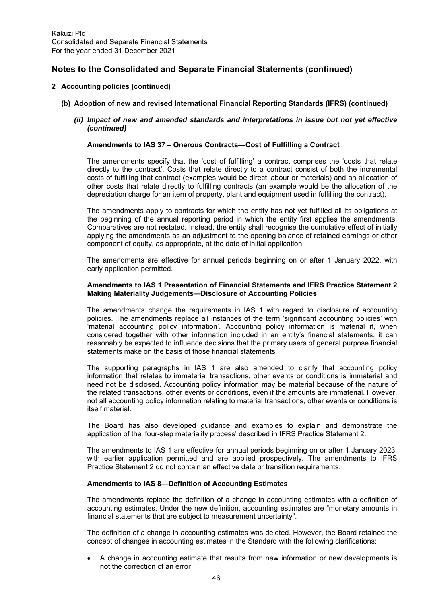## **2 Accounting policies (continued)**

- **(b) Adoption of new and revised International Financial Reporting Standards (IFRS) (continued)**
	- *(ii) Impact of new and amended standards and interpretations in issue but not yet effective (continued)*

## **Amendments to IAS 37 – Onerous Contracts—Cost of Fulfilling a Contract**

The amendments specify that the 'cost of fulfilling' a contract comprises the 'costs that relate directly to the contract'. Costs that relate directly to a contract consist of both the incremental costs of fulfilling that contract (examples would be direct labour or materials) and an allocation of other costs that relate directly to fulfilling contracts (an example would be the allocation of the depreciation charge for an item of property, plant and equipment used in fulfilling the contract).

The amendments apply to contracts for which the entity has not yet fulfilled all its obligations at the beginning of the annual reporting period in which the entity first applies the amendments. Comparatives are not restated. Instead, the entity shall recognise the cumulative effect of initially applying the amendments as an adjustment to the opening balance of retained earnings or other component of equity, as appropriate, at the date of initial application.

The amendments are effective for annual periods beginning on or after 1 January 2022, with early application permitted.

## **Amendments to IAS 1 Presentation of Financial Statements and IFRS Practice Statement 2 Making Materiality Judgements—Disclosure of Accounting Policies**

The amendments change the requirements in IAS 1 with regard to disclosure of accounting policies. The amendments replace all instances of the term 'significant accounting policies' with 'material accounting policy information'. Accounting policy information is material if, when considered together with other information included in an entity's financial statements, it can reasonably be expected to influence decisions that the primary users of general purpose financial statements make on the basis of those financial statements.

The supporting paragraphs in IAS 1 are also amended to clarify that accounting policy information that relates to immaterial transactions, other events or conditions is immaterial and need not be disclosed. Accounting policy information may be material because of the nature of the related transactions, other events or conditions, even if the amounts are immaterial. However, not all accounting policy information relating to material transactions, other events or conditions is itself material.

 The Board has also developed guidance and examples to explain and demonstrate the application of the 'four-step materiality process' described in IFRS Practice Statement 2.

The amendments to IAS 1 are effective for annual periods beginning on or after 1 January 2023, with earlier application permitted and are applied prospectively. The amendments to IFRS Practice Statement 2 do not contain an effective date or transition requirements.

### **Amendments to IAS 8—Definition of Accounting Estimates**

The amendments replace the definition of a change in accounting estimates with a definition of accounting estimates. Under the new definition, accounting estimates are "monetary amounts in financial statements that are subject to measurement uncertainty".

The definition of a change in accounting estimates was deleted. However, the Board retained the concept of changes in accounting estimates in the Standard with the following clarifications:

 A change in accounting estimate that results from new information or new developments is not the correction of an error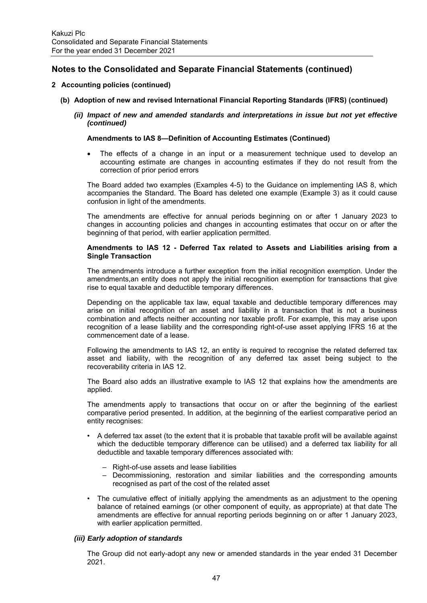## **2 Accounting policies (continued)**

- **(b) Adoption of new and revised International Financial Reporting Standards (IFRS) (continued)** 
	- *(ii) Impact of new and amended standards and interpretations in issue but not yet effective (continued)*

### **Amendments to IAS 8—Definition of Accounting Estimates (Continued)**

 The effects of a change in an input or a measurement technique used to develop an accounting estimate are changes in accounting estimates if they do not result from the correction of prior period errors

The Board added two examples (Examples 4-5) to the Guidance on implementing IAS 8, which accompanies the Standard. The Board has deleted one example (Example 3) as it could cause confusion in light of the amendments.

The amendments are effective for annual periods beginning on or after 1 January 2023 to changes in accounting policies and changes in accounting estimates that occur on or after the beginning of that period, with earlier application permitted.

## **Amendments to IAS 12 - Deferred Tax related to Assets and Liabilities arising from a Single Transaction**

The amendments introduce a further exception from the initial recognition exemption. Under the amendments,an entity does not apply the initial recognition exemption for transactions that give rise to equal taxable and deductible temporary differences.

Depending on the applicable tax law, equal taxable and deductible temporary differences may arise on initial recognition of an asset and liability in a transaction that is not a business combination and affects neither accounting nor taxable profit. For example, this may arise upon recognition of a lease liability and the corresponding right-of-use asset applying IFRS 16 at the commencement date of a lease.

Following the amendments to IAS 12, an entity is required to recognise the related deferred tax asset and liability, with the recognition of any deferred tax asset being subject to the recoverability criteria in IAS 12.

 The Board also adds an illustrative example to IAS 12 that explains how the amendments are applied.

The amendments apply to transactions that occur on or after the beginning of the earliest comparative period presented. In addition, at the beginning of the earliest comparative period an entity recognises:

- A deferred tax asset (to the extent that it is probable that taxable profit will be available against which the deductible temporary difference can be utilised) and a deferred tax liability for all deductible and taxable temporary differences associated with:
	- Right-of-use assets and lease liabilities
	- Decommissioning, restoration and similar liabilities and the corresponding amounts recognised as part of the cost of the related asset
- The cumulative effect of initially applying the amendments as an adjustment to the opening balance of retained earnings (or other component of equity, as appropriate) at that date The amendments are effective for annual reporting periods beginning on or after 1 January 2023, with earlier application permitted.

## *(iii) Early adoption of standards*

The Group did not early-adopt any new or amended standards in the year ended 31 December 2021.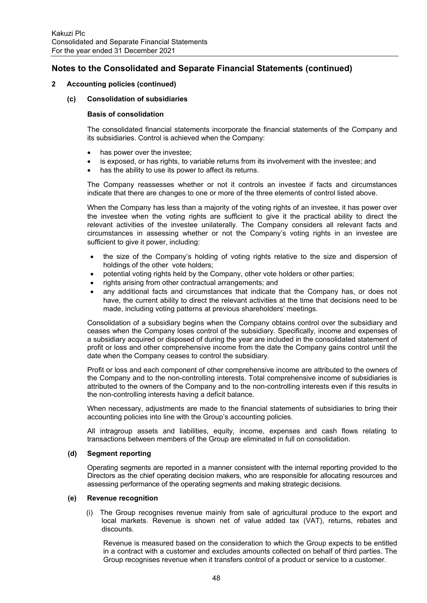## **2 Accounting policies (continued)**

### **(c) Consolidation of subsidiaries**

### **Basis of consolidation**

The consolidated financial statements incorporate the financial statements of the Company and its subsidiaries. Control is achieved when the Company:

- has power over the investee;
- is exposed, or has rights, to variable returns from its involvement with the investee; and
- has the ability to use its power to affect its returns.

The Company reassesses whether or not it controls an investee if facts and circumstances indicate that there are changes to one or more of the three elements of control listed above.

When the Company has less than a majority of the voting rights of an investee, it has power over the investee when the voting rights are sufficient to give it the practical ability to direct the relevant activities of the investee unilaterally. The Company considers all relevant facts and circumstances in assessing whether or not the Company's voting rights in an investee are sufficient to give it power, including:

- the size of the Company's holding of voting rights relative to the size and dispersion of holdings of the other vote holders;
- potential voting rights held by the Company, other vote holders or other parties;
- rights arising from other contractual arrangements; and
- any additional facts and circumstances that indicate that the Company has, or does not have, the current ability to direct the relevant activities at the time that decisions need to be made, including voting patterns at previous shareholders' meetings.

Consolidation of a subsidiary begins when the Company obtains control over the subsidiary and ceases when the Company loses control of the subsidiary. Specifically, income and expenses of a subsidiary acquired or disposed of during the year are included in the consolidated statement of profit or loss and other comprehensive income from the date the Company gains control until the date when the Company ceases to control the subsidiary.

Profit or loss and each component of other comprehensive income are attributed to the owners of the Company and to the non-controlling interests. Total comprehensive income of subsidiaries is attributed to the owners of the Company and to the non-controlling interests even if this results in the non-controlling interests having a deficit balance.

When necessary, adjustments are made to the financial statements of subsidiaries to bring their accounting policies into line with the Group's accounting policies.

All intragroup assets and liabilities, equity, income, expenses and cash flows relating to transactions between members of the Group are eliminated in full on consolidation.

### **(d) Segment reporting**

Operating segments are reported in a manner consistent with the internal reporting provided to the Directors as the chief operating decision makers, who are responsible for allocating resources and assessing performance of the operating segments and making strategic decisions.

### **(e) Revenue recognition**

(i) The Group recognises revenue mainly from sale of agricultural produce to the export and local markets. Revenue is shown net of value added tax (VAT), returns, rebates and discounts.

Revenue is measured based on the consideration to which the Group expects to be entitled in a contract with a customer and excludes amounts collected on behalf of third parties. The Group recognises revenue when it transfers control of a product or service to a customer.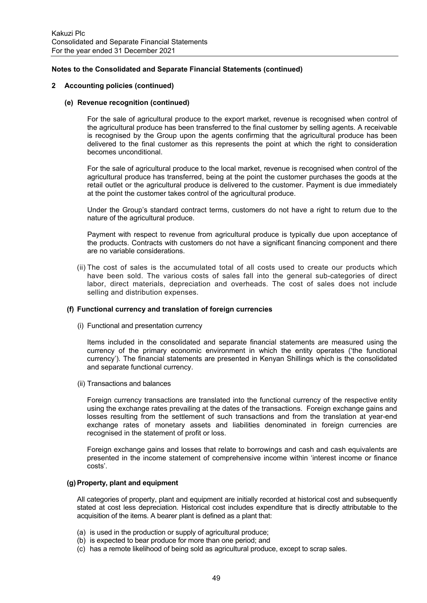### **2 Accounting policies (continued)**

### **(e) Revenue recognition (continued)**

For the sale of agricultural produce to the export market, revenue is recognised when control of the agricultural produce has been transferred to the final customer by selling agents. A receivable is recognised by the Group upon the agents confirming that the agricultural produce has been delivered to the final customer as this represents the point at which the right to consideration becomes unconditional.

For the sale of agricultural produce to the local market, revenue is recognised when control of the agricultural produce has transferred, being at the point the customer purchases the goods at the retail outlet or the agricultural produce is delivered to the customer. Payment is due immediately at the point the customer takes control of the agricultural produce.

Under the Group's standard contract terms, customers do not have a right to return due to the nature of the agricultural produce.

Payment with respect to revenue from agricultural produce is typically due upon acceptance of the products. Contracts with customers do not have a significant financing component and there are no variable considerations.

(ii) The cost of sales is the accumulated total of all costs used to create our products which have been sold. The various costs of sales fall into the general sub-categories of direct labor, direct materials, depreciation and overheads. The cost of sales does not include selling and distribution expenses.

### **(f) Functional currency and translation of foreign currencies**

(i) Functional and presentation currency

Items included in the consolidated and separate financial statements are measured using the currency of the primary economic environment in which the entity operates ('the functional currency'). The financial statements are presented in Kenyan Shillings which is the consolidated and separate functional currency.

(ii) Transactions and balances

Foreign currency transactions are translated into the functional currency of the respective entity using the exchange rates prevailing at the dates of the transactions. Foreign exchange gains and losses resulting from the settlement of such transactions and from the translation at year-end exchange rates of monetary assets and liabilities denominated in foreign currencies are recognised in the statement of profit or loss.

Foreign exchange gains and losses that relate to borrowings and cash and cash equivalents are presented in the income statement of comprehensive income within 'interest income or finance costs'.

### **(g) Property, plant and equipment**

All categories of property, plant and equipment are initially recorded at historical cost and subsequently stated at cost less depreciation. Historical cost includes expenditure that is directly attributable to the acquisition of the items. A bearer plant is defined as a plant that:

- (a) is used in the production or supply of agricultural produce;
- (b) is expected to bear produce for more than one period; and
- (c) has a remote likelihood of being sold as agricultural produce, except to scrap sales.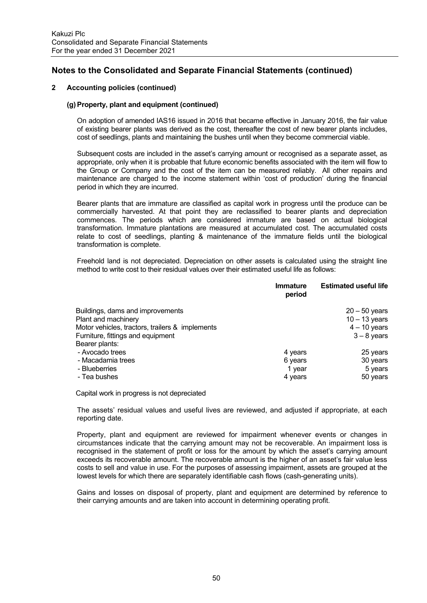## **2 Accounting policies (continued)**

## **(g) Property, plant and equipment (continued)**

On adoption of amended IAS16 issued in 2016 that became effective in January 2016, the fair value of existing bearer plants was derived as the cost, thereafter the cost of new bearer plants includes, cost of seedlings, plants and maintaining the bushes until when they become commercial viable.

Subsequent costs are included in the asset's carrying amount or recognised as a separate asset, as appropriate, only when it is probable that future economic benefits associated with the item will flow to the Group or Company and the cost of the item can be measured reliably. All other repairs and maintenance are charged to the income statement within 'cost of production' during the financial period in which they are incurred.

Bearer plants that are immature are classified as capital work in progress until the produce can be commercially harvested. At that point they are reclassified to bearer plants and depreciation commences. The periods which are considered immature are based on actual biological transformation. Immature plantations are measured at accumulated cost. The accumulated costs relate to cost of seedlings, planting & maintenance of the immature fields until the biological transformation is complete.

Freehold land is not depreciated. Depreciation on other assets is calculated using the straight line method to write cost to their residual values over their estimated useful life as follows:

|                                                 | Immature<br>period | <b>Estimated useful life</b> |
|-------------------------------------------------|--------------------|------------------------------|
| Buildings, dams and improvements                |                    | $20 - 50$ years              |
| Plant and machinery                             |                    | $10 - 13$ years              |
| Motor vehicles, tractors, trailers & implements |                    | $4 - 10$ years               |
| Furniture, fittings and equipment               |                    | $3 - 8$ years                |
| Bearer plants:                                  |                    |                              |
| - Avocado trees                                 | 4 years            | 25 years                     |
| - Macadamia trees                               | 6 years            | 30 years                     |
| - Blueberries                                   | 1 year             | 5 years                      |
| - Tea bushes                                    | 4 years            | 50 years                     |

Capital work in progress is not depreciated

The assets' residual values and useful lives are reviewed, and adjusted if appropriate, at each reporting date.

Property, plant and equipment are reviewed for impairment whenever events or changes in circumstances indicate that the carrying amount may not be recoverable. An impairment loss is recognised in the statement of profit or loss for the amount by which the asset's carrying amount exceeds its recoverable amount. The recoverable amount is the higher of an asset's fair value less costs to sell and value in use. For the purposes of assessing impairment, assets are grouped at the lowest levels for which there are separately identifiable cash flows (cash-generating units).

Gains and losses on disposal of property, plant and equipment are determined by reference to their carrying amounts and are taken into account in determining operating profit.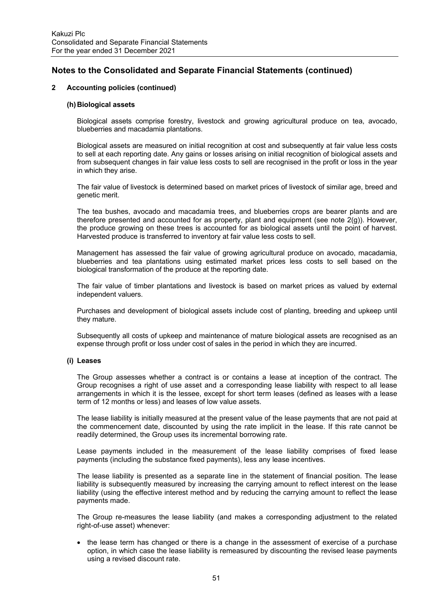## **2 Accounting policies (continued)**

### **(h) Biological assets**

Biological assets comprise forestry, livestock and growing agricultural produce on tea, avocado, blueberries and macadamia plantations.

Biological assets are measured on initial recognition at cost and subsequently at fair value less costs to sell at each reporting date. Any gains or losses arising on initial recognition of biological assets and from subsequent changes in fair value less costs to sell are recognised in the profit or loss in the year in which they arise.

The fair value of livestock is determined based on market prices of livestock of similar age, breed and genetic merit.

The tea bushes, avocado and macadamia trees, and blueberries crops are bearer plants and are therefore presented and accounted for as property, plant and equipment (see note 2(g)). However, the produce growing on these trees is accounted for as biological assets until the point of harvest. Harvested produce is transferred to inventory at fair value less costs to sell.

Management has assessed the fair value of growing agricultural produce on avocado, macadamia, blueberries and tea plantations using estimated market prices less costs to sell based on the biological transformation of the produce at the reporting date.

The fair value of timber plantations and livestock is based on market prices as valued by external independent valuers.

Purchases and development of biological assets include cost of planting, breeding and upkeep until they mature.

Subsequently all costs of upkeep and maintenance of mature biological assets are recognised as an expense through profit or loss under cost of sales in the period in which they are incurred.

## **(i) Leases**

The Group assesses whether a contract is or contains a lease at inception of the contract. The Group recognises a right of use asset and a corresponding lease liability with respect to all lease arrangements in which it is the lessee, except for short term leases (defined as leases with a lease term of 12 months or less) and leases of low value assets.

The lease liability is initially measured at the present value of the lease payments that are not paid at the commencement date, discounted by using the rate implicit in the lease. If this rate cannot be readily determined, the Group uses its incremental borrowing rate.

Lease payments included in the measurement of the lease liability comprises of fixed lease payments (including the substance fixed payments), less any lease incentives.

The lease liability is presented as a separate line in the statement of financial position. The lease liability is subsequently measured by increasing the carrying amount to reflect interest on the lease liability (using the effective interest method and by reducing the carrying amount to reflect the lease payments made.

The Group re-measures the lease liability (and makes a corresponding adjustment to the related right-of-use asset) whenever:

• the lease term has changed or there is a change in the assessment of exercise of a purchase option, in which case the lease liability is remeasured by discounting the revised lease payments using a revised discount rate.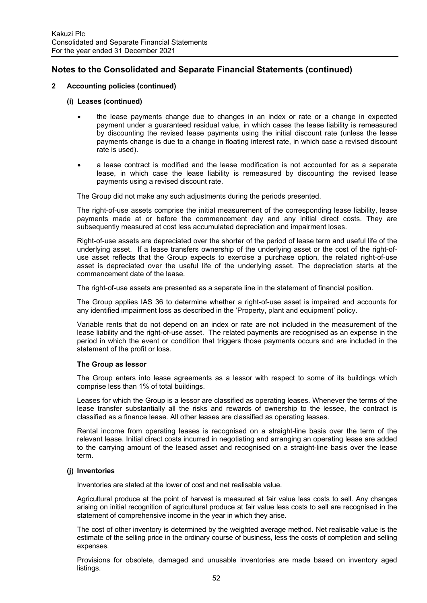## **2 Accounting policies (continued)**

### **(i) Leases (continued)**

- the lease payments change due to changes in an index or rate or a change in expected payment under a guaranteed residual value, in which cases the lease liability is remeasured by discounting the revised lease payments using the initial discount rate (unless the lease payments change is due to a change in floating interest rate, in which case a revised discount rate is used).
- a lease contract is modified and the lease modification is not accounted for as a separate lease, in which case the lease liability is remeasured by discounting the revised lease payments using a revised discount rate.

The Group did not make any such adjustments during the periods presented.

The right-of-use assets comprise the initial measurement of the corresponding lease liability, lease payments made at or before the commencement day and any initial direct costs. They are subsequently measured at cost less accumulated depreciation and impairment loses.

Right-of-use assets are depreciated over the shorter of the period of lease term and useful life of the underlying asset. If a lease transfers ownership of the underlying asset or the cost of the right-ofuse asset reflects that the Group expects to exercise a purchase option, the related right-of-use asset is depreciated over the useful life of the underlying asset. The depreciation starts at the commencement date of the lease.

The right-of-use assets are presented as a separate line in the statement of financial position.

The Group applies IAS 36 to determine whether a right-of-use asset is impaired and accounts for any identified impairment loss as described in the 'Property, plant and equipment' policy.

Variable rents that do not depend on an index or rate are not included in the measurement of the lease liability and the right-of-use asset. The related payments are recognised as an expense in the period in which the event or condition that triggers those payments occurs and are included in the statement of the profit or loss.

#### **The Group as lessor**

The Group enters into lease agreements as a lessor with respect to some of its buildings which comprise less than 1% of total buildings.

Leases for which the Group is a lessor are classified as operating leases. Whenever the terms of the lease transfer substantially all the risks and rewards of ownership to the lessee, the contract is classified as a finance lease. All other leases are classified as operating leases.

Rental income from operating leases is recognised on a straight-line basis over the term of the relevant lease. Initial direct costs incurred in negotiating and arranging an operating lease are added to the carrying amount of the leased asset and recognised on a straight-line basis over the lease term.

### **(j) Inventories**

Inventories are stated at the lower of cost and net realisable value.

Agricultural produce at the point of harvest is measured at fair value less costs to sell. Any changes arising on initial recognition of agricultural produce at fair value less costs to sell are recognised in the statement of comprehensive income in the year in which they arise.

The cost of other inventory is determined by the weighted average method. Net realisable value is the estimate of the selling price in the ordinary course of business, less the costs of completion and selling expenses.

Provisions for obsolete, damaged and unusable inventories are made based on inventory aged listings.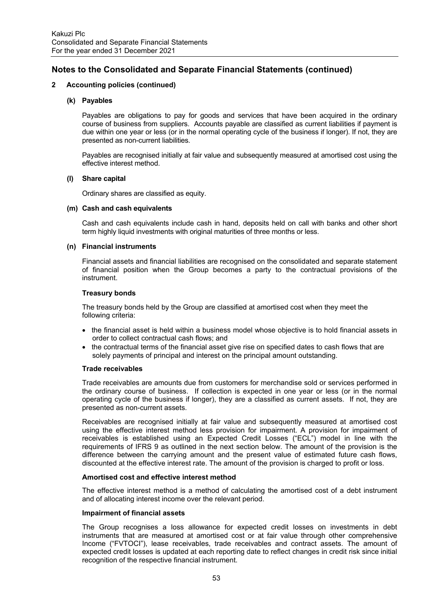## **2 Accounting policies (continued)**

### **(k) Payables**

Payables are obligations to pay for goods and services that have been acquired in the ordinary course of business from suppliers. Accounts payable are classified as current liabilities if payment is due within one year or less (or in the normal operating cycle of the business if longer). If not, they are presented as non-current liabilities.

Payables are recognised initially at fair value and subsequently measured at amortised cost using the effective interest method.

### **(l) Share capital**

Ordinary shares are classified as equity.

### **(m) Cash and cash equivalents**

Cash and cash equivalents include cash in hand, deposits held on call with banks and other short term highly liquid investments with original maturities of three months or less.

### **(n) Financial instruments**

Financial assets and financial liabilities are recognised on the consolidated and separate statement of financial position when the Group becomes a party to the contractual provisions of the instrument.

## **Treasury bonds**

The treasury bonds held by the Group are classified at amortised cost when they meet the following criteria:

- the financial asset is held within a business model whose objective is to hold financial assets in order to collect contractual cash flows; and
- the contractual terms of the financial asset give rise on specified dates to cash flows that are solely payments of principal and interest on the principal amount outstanding.

### **Trade receivables**

Trade receivables are amounts due from customers for merchandise sold or services performed in the ordinary course of business. If collection is expected in one year or less (or in the normal operating cycle of the business if longer), they are a classified as current assets. If not, they are presented as non-current assets.

Receivables are recognised initially at fair value and subsequently measured at amortised cost using the effective interest method less provision for impairment. A provision for impairment of receivables is established using an Expected Credit Losses ("ECL") model in line with the requirements of IFRS 9 as outlined in the next section below. The amount of the provision is the difference between the carrying amount and the present value of estimated future cash flows, discounted at the effective interest rate. The amount of the provision is charged to profit or loss.

### **Amortised cost and effective interest method**

The effective interest method is a method of calculating the amortised cost of a debt instrument and of allocating interest income over the relevant period.

### **Impairment of financial assets**

The Group recognises a loss allowance for expected credit losses on investments in debt instruments that are measured at amortised cost or at fair value through other comprehensive Income ("FVTOCI"), lease receivables, trade receivables and contract assets. The amount of expected credit losses is updated at each reporting date to reflect changes in credit risk since initial recognition of the respective financial instrument.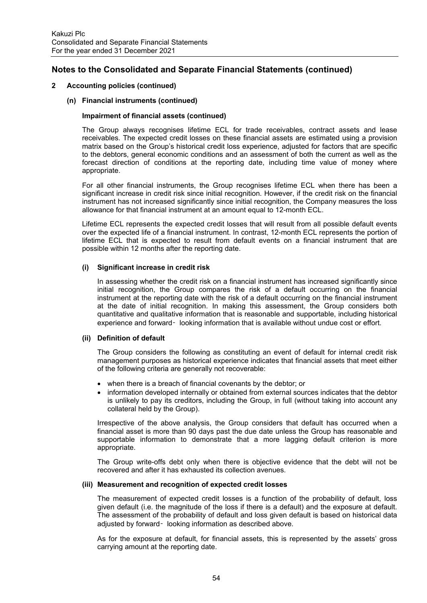## **2 Accounting policies (continued)**

### **(n) Financial instruments (continued)**

## **Impairment of financial assets (continued)**

The Group always recognises lifetime ECL for trade receivables, contract assets and lease receivables. The expected credit losses on these financial assets are estimated using a provision matrix based on the Group's historical credit loss experience, adjusted for factors that are specific to the debtors, general economic conditions and an assessment of both the current as well as the forecast direction of conditions at the reporting date, including time value of money where appropriate.

For all other financial instruments, the Group recognises lifetime ECL when there has been a significant increase in credit risk since initial recognition. However, if the credit risk on the financial instrument has not increased significantly since initial recognition, the Company measures the loss allowance for that financial instrument at an amount equal to 12-month ECL.

Lifetime ECL represents the expected credit losses that will result from all possible default events over the expected life of a financial instrument. In contrast, 12-month ECL represents the portion of lifetime ECL that is expected to result from default events on a financial instrument that are possible within 12 months after the reporting date.

## **(i) Significant increase in credit risk**

In assessing whether the credit risk on a financial instrument has increased significantly since initial recognition, the Group compares the risk of a default occurring on the financial instrument at the reporting date with the risk of a default occurring on the financial instrument at the date of initial recognition. In making this assessment, the Group considers both quantitative and qualitative information that is reasonable and supportable, including historical experience and forward‑ looking information that is available without undue cost or effort.

### **(ii) Definition of default**

The Group considers the following as constituting an event of default for internal credit risk management purposes as historical experience indicates that financial assets that meet either of the following criteria are generally not recoverable:

- when there is a breach of financial covenants by the debtor; or
- information developed internally or obtained from external sources indicates that the debtor is unlikely to pay its creditors, including the Group, in full (without taking into account any collateral held by the Group).

Irrespective of the above analysis, the Group considers that default has occurred when a financial asset is more than 90 days past the due date unless the Group has reasonable and supportable information to demonstrate that a more lagging default criterion is more appropriate.

The Group write-offs debt only when there is objective evidence that the debt will not be recovered and after it has exhausted its collection avenues.

### **(iii) Measurement and recognition of expected credit losses**

The measurement of expected credit losses is a function of the probability of default, loss given default (i.e. the magnitude of the loss if there is a default) and the exposure at default. The assessment of the probability of default and loss given default is based on historical data adjusted by forward‑ looking information as described above.

As for the exposure at default, for financial assets, this is represented by the assets' gross carrying amount at the reporting date.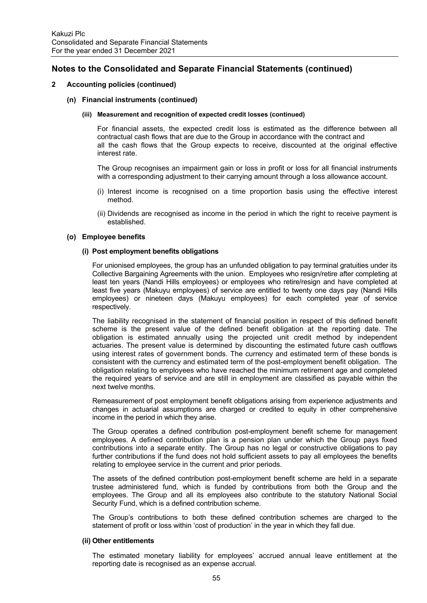## **2 Accounting policies (continued)**

### **(n) Financial instruments (continued)**

#### **(iii) Measurement and recognition of expected credit losses (continued)**

For financial assets, the expected credit loss is estimated as the difference between all contractual cash flows that are due to the Group in accordance with the contract and all the cash flows that the Group expects to receive, discounted at the original effective interest rate.

The Group recognises an impairment gain or loss in profit or loss for all financial instruments with a corresponding adjustment to their carrying amount through a loss allowance account.

- (i) Interest income is recognised on a time proportion basis using the effective interest method.
- (ii) Dividends are recognised as income in the period in which the right to receive payment is established.

## **(o) Employee benefits**

### **(i) Post employment benefits obligations**

For unionised employees, the group has an unfunded obligation to pay terminal gratuities under its Collective Bargaining Agreements with the union. Employees who resign/retire after completing at least ten years (Nandi Hills employees) or employees who retire/resign and have completed at least five years (Makuyu employees) of service are entitled to twenty one days pay (Nandi Hills employees) or nineteen days (Makuyu employees) for each completed year of service respectively.

The liability recognised in the statement of financial position in respect of this defined benefit scheme is the present value of the defined benefit obligation at the reporting date. The obligation is estimated annually using the projected unit credit method by independent actuaries. The present value is determined by discounting the estimated future cash outflows using interest rates of government bonds. The currency and estimated term of these bonds is consistent with the currency and estimated term of the post-employment benefit obligation. The obligation relating to employees who have reached the minimum retirement age and completed the required years of service and are still in employment are classified as payable within the next twelve months.

Remeasurement of post employment benefit obligations arising from experience adjustments and changes in actuarial assumptions are charged or credited to equity in other comprehensive income in the period in which they arise.

The Group operates a defined contribution post-employment benefit scheme for management employees. A defined contribution plan is a pension plan under which the Group pays fixed contributions into a separate entity. The Group has no legal or constructive obligations to pay further contributions if the fund does not hold sufficient assets to pay all employees the benefits relating to employee service in the current and prior periods.

The assets of the defined contribution post-employment benefit scheme are held in a separate trustee administered fund, which is funded by contributions from both the Group and the employees. The Group and all its employees also contribute to the statutory National Social Security Fund, which is a defined contribution scheme.

The Group's contributions to both these defined contribution schemes are charged to the statement of profit or loss within 'cost of production' in the year in which they fall due.

### **(ii) Other entitlements**

The estimated monetary liability for employees' accrued annual leave entitlement at the reporting date is recognised as an expense accrual.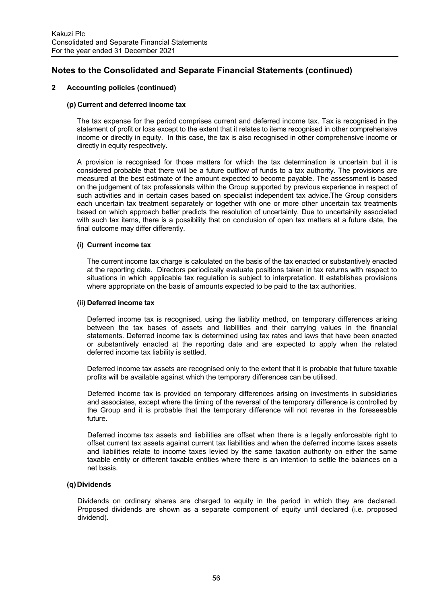## **2 Accounting policies (continued)**

## **(p) Current and deferred income tax**

The tax expense for the period comprises current and deferred income tax. Tax is recognised in the statement of profit or loss except to the extent that it relates to items recognised in other comprehensive income or directly in equity. In this case, the tax is also recognised in other comprehensive income or directly in equity respectively.

A provision is recognised for those matters for which the tax determination is uncertain but it is considered probable that there will be a future outflow of funds to a tax authority. The provisions are measured at the best estimate of the amount expected to become payable. The assessment is based on the judgement of tax professionals within the Group supported by previous experience in respect of such activities and in certain cases based on specialist independent tax advice.The Group considers each uncertain tax treatment separately or together with one or more other uncertain tax treatments based on which approach better predicts the resolution of uncertainty. Due to uncertainity associated with such tax items, there is a possibility that on conclusion of open tax matters at a future date, the final outcome may differ differently.

## **(i) Current income tax**

The current income tax charge is calculated on the basis of the tax enacted or substantively enacted at the reporting date. Directors periodically evaluate positions taken in tax returns with respect to situations in which applicable tax regulation is subject to interpretation. It establishes provisions where appropriate on the basis of amounts expected to be paid to the tax authorities.

### **(ii) Deferred income tax**

Deferred income tax is recognised, using the liability method, on temporary differences arising between the tax bases of assets and liabilities and their carrying values in the financial statements. Deferred income tax is determined using tax rates and laws that have been enacted or substantively enacted at the reporting date and are expected to apply when the related deferred income tax liability is settled.

Deferred income tax assets are recognised only to the extent that it is probable that future taxable profits will be available against which the temporary differences can be utilised.

Deferred income tax is provided on temporary differences arising on investments in subsidiaries and associates, except where the timing of the reversal of the temporary difference is controlled by the Group and it is probable that the temporary difference will not reverse in the foreseeable future.

Deferred income tax assets and liabilities are offset when there is a legally enforceable right to offset current tax assets against current tax liabilities and when the deferred income taxes assets and liabilities relate to income taxes levied by the same taxation authority on either the same taxable entity or different taxable entities where there is an intention to settle the balances on a net basis.

### **(q) Dividends**

Dividends on ordinary shares are charged to equity in the period in which they are declared. Proposed dividends are shown as a separate component of equity until declared (i.e. proposed dividend).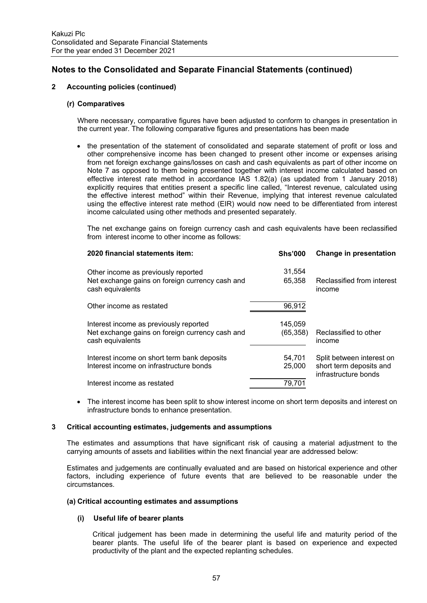## **2 Accounting policies (continued)**

## **(r) Comparatives**

Where necessary, comparative figures have been adjusted to conform to changes in presentation in the current year. The following comparative figures and presentations has been made

• the presentation of the statement of consolidated and separate statement of profit or loss and other comprehensive income has been changed to present other income or expenses arising from net foreign exchange gains/losses on cash and cash equivalents as part of other income on Note 7 as opposed to them being presented together with interest income calculated based on effective interest rate method in accordance IAS 1.82(a) (as updated from 1 January 2018) explicitly requires that entities present a specific line called, "Interest revenue, calculated using the effective interest method" within their Revenue, implying that interest revenue calculated using the effective interest rate method (EIR) would now need to be differentiated from interest income calculated using other methods and presented separately.

The net exchange gains on foreign currency cash and cash equivalents have been reclassified from interest income to other income as follows:

| 2020 financial statements item:                                     | <b>Shs'000</b> | Change in presentation                          |
|---------------------------------------------------------------------|----------------|-------------------------------------------------|
| Other income as previously reported                                 | 31,554         |                                                 |
| Net exchange gains on foreign currency cash and<br>cash equivalents | 65,358         | Reclassified from interest<br>income            |
| Other income as restated                                            | 96,912         |                                                 |
| Interest income as previously reported                              | 145.059        |                                                 |
| Net exchange gains on foreign currency cash and<br>cash equivalents | (65, 358)      | Reclassified to other<br>income                 |
| Interest income on short term bank deposits                         | 54,701         | Split between interest on                       |
| Interest income on infrastructure bonds                             | 25,000         | short term deposits and<br>infrastructure bonds |
| Interest income as restated                                         | 79,701         |                                                 |

 The interest income has been split to show interest income on short term deposits and interest on infrastructure bonds to enhance presentation.

## **3 Critical accounting estimates, judgements and assumptions**

The estimates and assumptions that have significant risk of causing a material adjustment to the carrying amounts of assets and liabilities within the next financial year are addressed below:

Estimates and judgements are continually evaluated and are based on historical experience and other factors, including experience of future events that are believed to be reasonable under the circumstances.

### **(a) Critical accounting estimates and assumptions**

### **(i) Useful life of bearer plants**

Critical judgement has been made in determining the useful life and maturity period of the bearer plants. The useful life of the bearer plant is based on experience and expected productivity of the plant and the expected replanting schedules.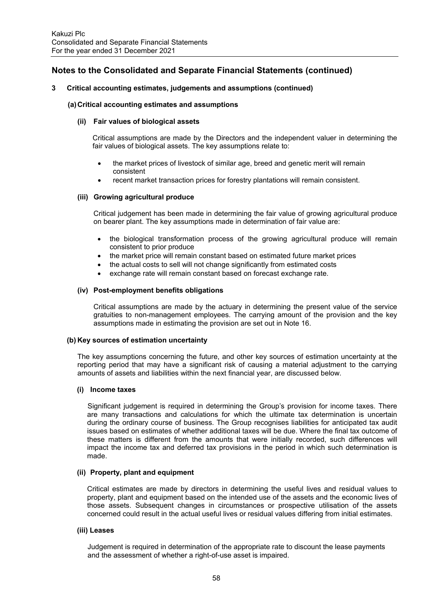## **3 Critical accounting estimates, judgements and assumptions (continued)**

### **(a) Critical accounting estimates and assumptions**

### **(ii) Fair values of biological assets**

Critical assumptions are made by the Directors and the independent valuer in determining the fair values of biological assets. The key assumptions relate to:

- the market prices of livestock of similar age, breed and genetic merit will remain consistent
- recent market transaction prices for forestry plantations will remain consistent.

## **(iii) Growing agricultural produce**

Critical judgement has been made in determining the fair value of growing agricultural produce on bearer plant. The key assumptions made in determination of fair value are:

- the biological transformation process of the growing agricultural produce will remain consistent to prior produce
- the market price will remain constant based on estimated future market prices
- the actual costs to sell will not change significantly from estimated costs
- exchange rate will remain constant based on forecast exchange rate.

### **(iv) Post-employment benefits obligations**

Critical assumptions are made by the actuary in determining the present value of the service gratuities to non-management employees. The carrying amount of the provision and the key assumptions made in estimating the provision are set out in Note 16.

### **(b) Key sources of estimation uncertainty**

The key assumptions concerning the future, and other key sources of estimation uncertainty at the reporting period that may have a significant risk of causing a material adjustment to the carrying amounts of assets and liabilities within the next financial year, are discussed below.

### **(i) Income taxes**

Significant judgement is required in determining the Group's provision for income taxes. There are many transactions and calculations for which the ultimate tax determination is uncertain during the ordinary course of business. The Group recognises liabilities for anticipated tax audit issues based on estimates of whether additional taxes will be due. Where the final tax outcome of these matters is different from the amounts that were initially recorded, such differences will impact the income tax and deferred tax provisions in the period in which such determination is made.

### **(ii) Property, plant and equipment**

Critical estimates are made by directors in determining the useful lives and residual values to property, plant and equipment based on the intended use of the assets and the economic lives of those assets. Subsequent changes in circumstances or prospective utilisation of the assets concerned could result in the actual useful lives or residual values differing from initial estimates.

### **(iii) Leases**

Judgement is required in determination of the appropriate rate to discount the lease payments and the assessment of whether a right-of-use asset is impaired.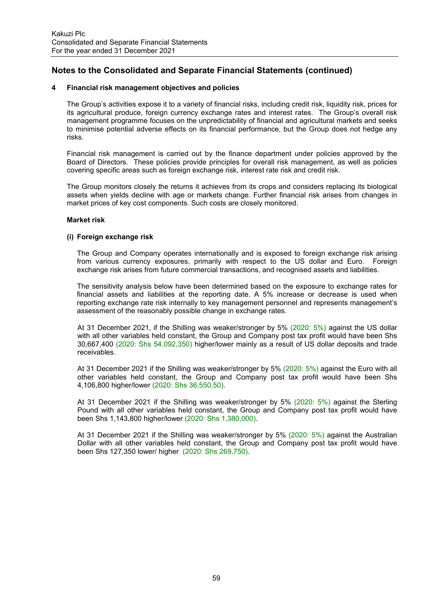## **4 Financial risk management objectives and policies**

The Group's activities expose it to a variety of financial risks, including credit risk, liquidity risk, prices for its agricultural produce, foreign currency exchange rates and interest rates. The Group's overall risk management programme focuses on the unpredictability of financial and agricultural markets and seeks to minimise potential adverse effects on its financial performance, but the Group does not hedge any risks.

Financial risk management is carried out by the finance department under policies approved by the Board of Directors. These policies provide principles for overall risk management, as well as policies covering specific areas such as foreign exchange risk, interest rate risk and credit risk.

The Group monitors closely the returns it achieves from its crops and considers replacing its biological assets when yields decline with age or markets change. Further financial risk arises from changes in market prices of key cost components. Such costs are closely monitored.

## **Market risk**

### **(i) Foreign exchange risk**

The Group and Company operates internationally and is exposed to foreign exchange risk arising from various currency exposures, primarily with respect to the US dollar and Euro. Foreign exchange risk arises from future commercial transactions, and recognised assets and liabilities.

The sensitivity analysis below have been determined based on the exposure to exchange rates for financial assets and liabilities at the reporting date. A 5% increase or decrease is used when reporting exchange rate risk internally to key management personnel and represents management's assessment of the reasonably possible change in exchange rates.

At 31 December 2021, if the Shilling was weaker/stronger by 5% (2020: 5%) against the US dollar with all other variables held constant, the Group and Company post tax profit would have been Shs 30,667,400 (2020: Shs 54,092,350) higher/lower mainly as a result of US dollar deposits and trade receivables.

At 31 December 2021 if the Shilling was weaker/stronger by 5% (2020: 5%) against the Euro with all other variables held constant, the Group and Company post tax profit would have been Shs 4,106,800 higher/lower (2020: Shs 36,550,50).

At 31 December 2021 if the Shilling was weaker/stronger by 5% (2020: 5%) against the Sterling Pound with all other variables held constant, the Group and Company post tax profit would have been Shs 1,143,800 higher/lower (2020: Shs 1,380,000).

At 31 December 2021 if the Shilling was weaker/stronger by 5% (2020: 5%) against the Australian Dollar with all other variables held constant, the Group and Company post tax profit would have been Shs 127,350 lower/ higher (2020: Shs 269,750).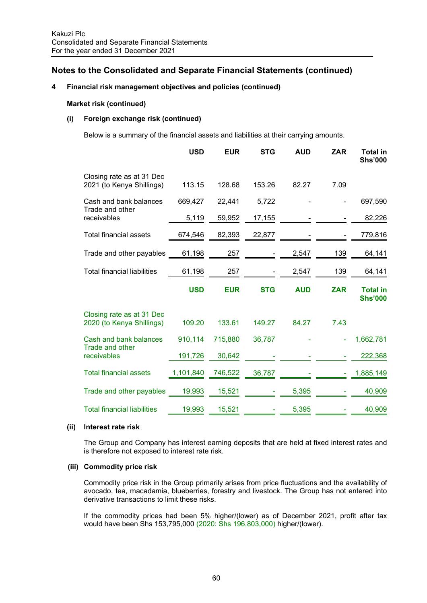## **4 Financial risk management objectives and policies (continued)**

### **Market risk (continued)**

## **(i) Foreign exchange risk (continued)**

Below is a summary of the financial assets and liabilities at their carrying amounts.

|                                                        | <b>USD</b> | <b>EUR</b> | <b>STG</b> | <b>AUD</b> | <b>ZAR</b> | <b>Total in</b><br><b>Shs'000</b> |
|--------------------------------------------------------|------------|------------|------------|------------|------------|-----------------------------------|
| Closing rate as at 31 Dec<br>2021 (to Kenya Shillings) | 113.15     | 128.68     | 153.26     | 82.27      | 7.09       |                                   |
| Cash and bank balances                                 | 669,427    | 22,441     | 5,722      |            |            | 697,590                           |
| Trade and other<br>receivables                         | 5,119      | 59,952     | 17,155     |            |            | 82,226                            |
| <b>Total financial assets</b>                          | 674,546    | 82,393     | 22,877     |            |            | 779,816                           |
| Trade and other payables                               | 61,198     | 257        |            | 2,547      | 139        | 64,141                            |
| <b>Total financial liabilities</b>                     | 61,198     | 257        |            | 2,547      | 139        | 64,141                            |
|                                                        |            |            |            |            |            |                                   |
|                                                        | <b>USD</b> | <b>EUR</b> | <b>STG</b> | <b>AUD</b> | <b>ZAR</b> | <b>Total in</b><br><b>Shs'000</b> |
| Closing rate as at 31 Dec<br>2020 (to Kenya Shillings) | 109.20     | 133.61     | 149.27     | 84.27      | 7.43       |                                   |
| Cash and bank balances                                 | 910,114    | 715,880    | 36,787     |            |            | 1,662,781                         |
| Trade and other<br>receivables                         | 191,726    | 30,642     |            |            |            | 222,368                           |
| <b>Total financial assets</b>                          | 1,101,840  | 746,522    | 36,787     |            |            | 1,885,149                         |
| Trade and other payables                               | 19,993     | 15,521     |            | 5,395      |            | 40,909                            |

## **(ii) Interest rate risk**

The Group and Company has interest earning deposits that are held at fixed interest rates and is therefore not exposed to interest rate risk.

## **(iii) Commodity price risk**

Commodity price risk in the Group primarily arises from price fluctuations and the availability of avocado, tea, macadamia, blueberries, forestry and livestock. The Group has not entered into derivative transactions to limit these risks.

If the commodity prices had been 5% higher/(lower) as of December 2021, profit after tax would have been Shs 153,795,000 (2020: Shs 196,803,000) higher/(lower).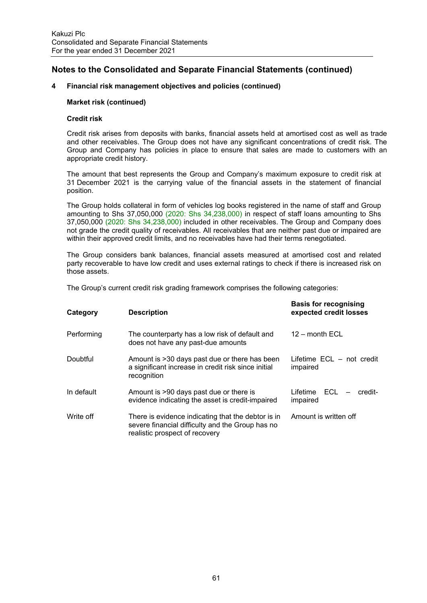## **4 Financial risk management objectives and policies (continued)**

### **Market risk (continued)**

### **Credit risk**

Credit risk arises from deposits with banks, financial assets held at amortised cost as well as trade and other receivables. The Group does not have any significant concentrations of credit risk. The Group and Company has policies in place to ensure that sales are made to customers with an appropriate credit history.

The amount that best represents the Group and Company's maximum exposure to credit risk at 31 December 2021 is the carrying value of the financial assets in the statement of financial position.

The Group holds collateral in form of vehicles log books registered in the name of staff and Group amounting to Shs 37,050,000 (2020: Shs 34,238,000) in respect of staff loans amounting to Shs 37,050,000 (2020: Shs 34,238,000) included in other receivables. The Group and Company does not grade the credit quality of receivables. All receivables that are neither past due or impaired are within their approved credit limits, and no receivables have had their terms renegotiated.

The Group considers bank balances, financial assets measured at amortised cost and related party recoverable to have low credit and uses external ratings to check if there is increased risk on those assets.

The Group's current credit risk grading framework comprises the following categories:

| Category   | <b>Description</b>                                                                                                                       | <b>Basis for recognising</b><br>expected credit losses |
|------------|------------------------------------------------------------------------------------------------------------------------------------------|--------------------------------------------------------|
| Performing | The counterparty has a low risk of default and<br>does not have any past-due amounts                                                     | $12 -$ month $ECL$                                     |
| Doubtful   | Amount is >30 days past due or there has been<br>a significant increase in credit risk since initial<br>recognition                      | Lifetime ECL – not credit<br>impaired                  |
| In default | Amount is >90 days past due or there is<br>evidence indicating the asset is credit-impaired                                              | Lifetime $ECL - credit$<br>impaired                    |
| Write off  | There is evidence indicating that the debtor is in<br>severe financial difficulty and the Group has no<br>realistic prospect of recovery | Amount is written off                                  |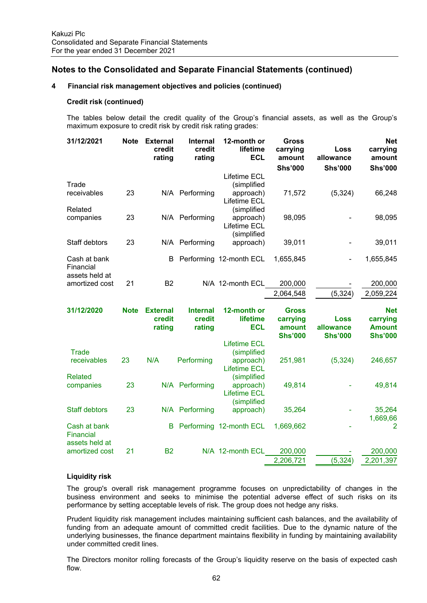## **4 Financial risk management objectives and policies (continued)**

### **Credit risk (continued)**

The tables below detail the credit quality of the Group's financial assets, as well as the Group's maximum exposure to credit risk by credit risk rating grades:

| 31/12/2021                                  | <b>Note</b> | <b>External</b><br>credit<br>rating | <b>Internal</b><br>credit<br>rating | 12-month or<br>lifetime<br><b>ECL</b>                                  | <b>Gross</b><br>carrying<br>amount                   | Loss<br>allowance                          | <b>Net</b><br>carrying<br>amount                          |
|---------------------------------------------|-------------|-------------------------------------|-------------------------------------|------------------------------------------------------------------------|------------------------------------------------------|--------------------------------------------|-----------------------------------------------------------|
|                                             |             |                                     |                                     |                                                                        | <b>Shs'000</b>                                       | <b>Shs'000</b>                             | <b>Shs'000</b>                                            |
| Trade<br>receivables                        | 23          |                                     | N/A Performing                      | <b>Lifetime ECL</b><br>(simplified<br>approach)<br>Lifetime ECL        | 71,572                                               | (5, 324)                                   | 66,248                                                    |
| Related<br>companies                        | 23          |                                     | N/A Performing                      | (simplified<br>approach)<br>Lifetime ECL<br>(simplified                | 98,095                                               |                                            | 98,095                                                    |
| Staff debtors                               | 23          |                                     | N/A Performing                      | approach)                                                              | 39,011                                               |                                            | 39,011                                                    |
| Cash at bank<br>Financial<br>assets held at |             | B                                   |                                     | Performing 12-month ECL                                                | 1,655,845                                            |                                            | 1,655,845                                                 |
| amortized cost                              | 21          | <b>B2</b>                           |                                     | N/A 12-month ECL                                                       | 200,000                                              |                                            | 200,000                                                   |
|                                             |             |                                     |                                     |                                                                        | 2,064,548                                            | (5, 324)                                   | 2,059,224                                                 |
|                                             |             |                                     |                                     |                                                                        |                                                      |                                            |                                                           |
| 31/12/2020                                  | <b>Note</b> | <b>External</b><br>credit<br>rating | <b>Internal</b><br>credit<br>rating | 12-month or<br>lifetime<br><b>ECL</b>                                  | <b>Gross</b><br>carrying<br>amount<br><b>Shs'000</b> | <b>Loss</b><br>allowance<br><b>Shs'000</b> | <b>Net</b><br>carrying<br><b>Amount</b><br><b>Shs'000</b> |
| Trade<br>receivables                        | 23          | N/A                                 | Performing                          | <b>Lifetime ECL</b><br>(simplified<br>approach)                        | 251,981                                              | (5, 324)                                   | 246,657                                                   |
| <b>Related</b><br>companies                 | 23          |                                     | N/A Performing                      | <b>Lifetime ECL</b><br>(simplified<br>approach)<br><b>Lifetime ECL</b> | 49,814                                               |                                            | 49,814                                                    |
| <b>Staff debtors</b>                        | 23          |                                     | N/A Performing                      | (simplified<br>approach)                                               | 35,264                                               |                                            | 35,264                                                    |
| Cash at bank<br>Financial                   |             | в                                   |                                     | Performing 12-month ECL                                                | 1,669,662                                            |                                            | 1,669,66<br>2                                             |
| assets held at<br>amortized cost            | 21          | <b>B2</b>                           |                                     | N/A 12-month ECL                                                       | 200,000<br>2,206,721                                 | (5, 324)                                   | 200,000<br>2,201,397                                      |

### **Liquidity risk**

The group's overall risk management programme focuses on unpredictability of changes in the business environment and seeks to minimise the potential adverse effect of such risks on its performance by setting acceptable levels of risk. The group does not hedge any risks.

Prudent liquidity risk management includes maintaining sufficient cash balances, and the availability of funding from an adequate amount of committed credit facilities. Due to the dynamic nature of the underlying businesses, the finance department maintains flexibility in funding by maintaining availability under committed credit lines.

The Directors monitor rolling forecasts of the Group's liquidity reserve on the basis of expected cash flow.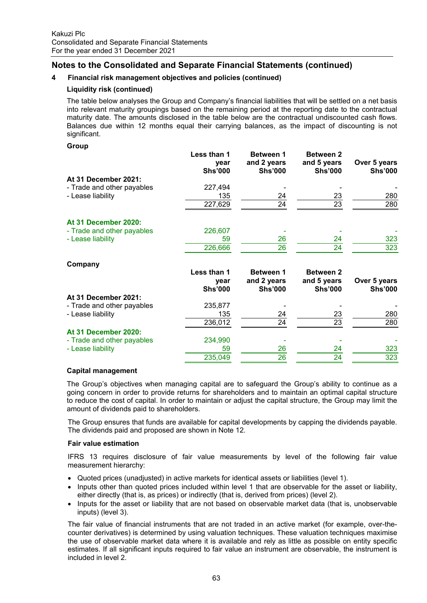## **4 Financial risk management objectives and policies (continued)**

## **Liquidity risk (continued)**

The table below analyses the Group and Company's financial liabilities that will be settled on a net basis into relevant maturity groupings based on the remaining period at the reporting date to the contractual maturity date. The amounts disclosed in the table below are the contractual undiscounted cash flows. Balances due within 12 months equal their carrying balances, as the impact of discounting is not significant.

### **Group**

|                            | Less than 1<br>year<br><b>Shs'000</b> | <b>Between 1</b><br>and 2 years<br><b>Shs'000</b> | <b>Between 2</b><br>and 5 years<br><b>Shs'000</b> | Over 5 years<br><b>Shs'000</b> |
|----------------------------|---------------------------------------|---------------------------------------------------|---------------------------------------------------|--------------------------------|
| At 31 December 2021:       |                                       |                                                   |                                                   |                                |
| - Trade and other payables | 227,494                               |                                                   |                                                   |                                |
| - Lease liability          | 135                                   | 24                                                | $\frac{23}{23}$                                   | 280                            |
|                            | 227,629                               | 24                                                |                                                   | 280                            |
| At 31 December 2020:       |                                       |                                                   |                                                   |                                |
| - Trade and other payables | 226,607                               |                                                   |                                                   |                                |
| - Lease liability          | 59                                    | 26                                                | 24                                                | 323                            |
|                            | 226,666                               | 26                                                | 24                                                | 323                            |
| Company                    |                                       |                                                   |                                                   |                                |
|                            | Less than 1                           | <b>Between 1</b>                                  | <b>Between 2</b>                                  |                                |
|                            | year                                  | and 2 years                                       | and 5 years                                       | Over 5 years                   |
|                            | <b>Shs'000</b>                        | <b>Shs'000</b>                                    | <b>Shs'000</b>                                    | <b>Shs'000</b>                 |
| At 31 December 2021:       |                                       |                                                   |                                                   |                                |
| - Trade and other payables | 235,877                               |                                                   |                                                   |                                |
| - Lease liability          | 135                                   | 24                                                | 23                                                | 280                            |
|                            | 236,012                               | 24                                                | $\overline{23}$                                   | 280                            |
| At 31 December 2020:       |                                       |                                                   |                                                   |                                |
| - Trade and other payables | 234,990                               |                                                   |                                                   |                                |
| - Lease liability          | 59                                    | 26                                                | 24                                                | 323                            |
|                            | 235,049                               | 26                                                | 24                                                | 323                            |
|                            |                                       |                                                   |                                                   |                                |

## **Capital management**

The Group's objectives when managing capital are to safeguard the Group's ability to continue as a going concern in order to provide returns for shareholders and to maintain an optimal capital structure to reduce the cost of capital. In order to maintain or adjust the capital structure, the Group may limit the amount of dividends paid to shareholders.

The Group ensures that funds are available for capital developments by capping the dividends payable. The dividends paid and proposed are shown in Note 12.

### **Fair value estimation**

IFRS 13 requires disclosure of fair value measurements by level of the following fair value measurement hierarchy:

- Quoted prices (unadjusted) in active markets for identical assets or liabilities (level 1).
- Inputs other than quoted prices included within level 1 that are observable for the asset or liability, either directly (that is, as prices) or indirectly (that is, derived from prices) (level 2).
- Inputs for the asset or liability that are not based on observable market data (that is, unobservable inputs) (level 3).

The fair value of financial instruments that are not traded in an active market (for example, over-thecounter derivatives) is determined by using valuation techniques. These valuation techniques maximise the use of observable market data where it is available and rely as little as possible on entity specific estimates. If all significant inputs required to fair value an instrument are observable, the instrument is included in level 2.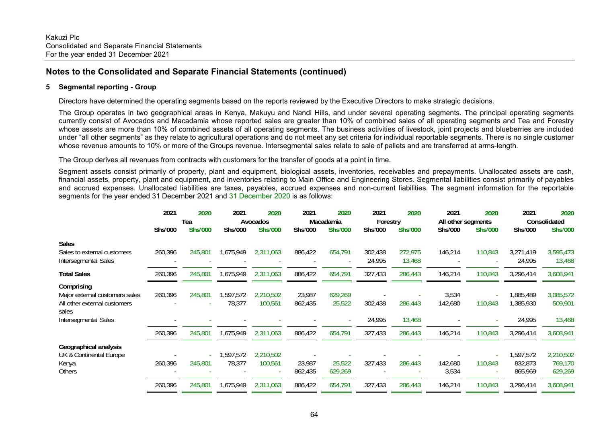## **5 Segmental reporting - Group**

Directors have determined the operating segments based on the reports reviewed by the Executive Directors to make strategic decisions.

The Group operates in two geographical areas in Kenya, Makuyu and Nandi Hills, and under several operating segments. The principal operating segments currently consist of Avocados and Macadamia whose reported sales are greater than 10% of combined sales of all operating segments and Tea and Forestry whose assets are more than 10% of combined assets of all operating segments. The business activities of livestock, joint projects and blueberries are included under "all other segments" as they relate to agricultural operations and do not meet any set criteria for individual reportable segments. There is no single customer whose revenue amounts to 10% or more of the Groups revenue. Intersegmental sales relate to sale of pallets and are transferred at arms-length.

The Group derives all revenues from contracts with customers for the transfer of goods at a point in time.

Segment assets consist primarily of property, plant and equipment, biological assets, inventories, receivables and prepayments. Unallocated assets are cash, financial assets, property, plant and equipment, and inventories relating to Main Office and Engineering Stores. Segmental liabilities consist primarily of payables and accrued expenses. Unallocated liabilities are taxes, payables, accrued expenses and non-current liabilities. The segment information for the reportable segments for the year ended 31 December 2021 and 31 December 2020 is as follows:

|                                                                                       | 2021                             | 2020    | 2021                | 2020                       | 2021              | 2020                                   | 2021              | 2020                                  | 2021             | 2020                                            | 2021                            | 2020                                      |  |
|---------------------------------------------------------------------------------------|----------------------------------|---------|---------------------|----------------------------|-------------------|----------------------------------------|-------------------|---------------------------------------|------------------|-------------------------------------------------|---------------------------------|-------------------------------------------|--|
|                                                                                       | Tea<br><b>Shs'000</b><br>Shs'000 |         | Shs'000             | Avocados<br><b>Shs'000</b> |                   | Macadamia<br>Shs'000<br><b>Shs'000</b> |                   | Forestry<br><b>Shs'000</b><br>Shs'000 |                  | All other segments<br>Shs'000<br><b>Shs'000</b> |                                 | Consolidated<br><b>Shs'000</b><br>Shs'000 |  |
|                                                                                       |                                  |         |                     |                            |                   |                                        |                   |                                       |                  |                                                 |                                 |                                           |  |
| <b>Sales</b><br>Sales to external customers<br>Intersegmental Sales                   | 260,396                          | 245,801 | 1,675,949           | 2,311,063                  | 886,422           | 654,791                                | 302,438<br>24,995 | 272,975<br>13,468                     | 146,214          | 110,843                                         | 3,271,419<br>24,995             | 3,595,473<br>13,468                       |  |
| <b>Total Sales</b>                                                                    | 260,396                          | 245,801 | 1,675,949           | 2,311,063                  | 886,422           | 654,791                                | 327,433           | 286,443                               | 146,214          | 110,843                                         | 3,296,414                       | 3,608,941                                 |  |
| Comprising<br>Major external customers sales<br>All other external customers<br>sales | 260,396                          | 245,801 | 1,597,572<br>78,377 | 2,210,502<br>100,561       | 23,987<br>862,435 | 629,269<br>25,522                      | 302,438           | 286,443                               | 3,534<br>142,680 | 110,843                                         | 1,885,489<br>1,385,930          | 3,085,572<br>509,901                      |  |
| Intersegmental Sales                                                                  |                                  |         |                     |                            |                   |                                        | 24,995            | 13,468                                |                  |                                                 | 24,995                          | 13,468                                    |  |
|                                                                                       | 260,396                          | 245,801 | 1,675,949           | 2,311,063                  | 886,422           | 654,791                                | 327,433           | 286,443                               | 146,214          | 110,843                                         | 3,296,414                       | 3,608,941                                 |  |
| Geographical analysis<br>UK & Continental Europe<br>Kenya<br>Others                   | 260,396                          | 245,801 | 1,597,572<br>78,377 | 2,210,502<br>100,561       | 23,987<br>862,435 | 25,522<br>629,269                      | 327,433           | 286,443                               | 142,680<br>3,534 | 110,843                                         | 1,597,572<br>832,873<br>865,969 | 2,210,502<br>769,170<br>629,269           |  |
|                                                                                       | 260,396                          | 245,801 | 1,675,949           | 2,311,063                  | 886,422           | 654,791                                | 327,433           | 286,443                               | 146,214          | 110,843                                         | 3,296,414                       | 3,608,941                                 |  |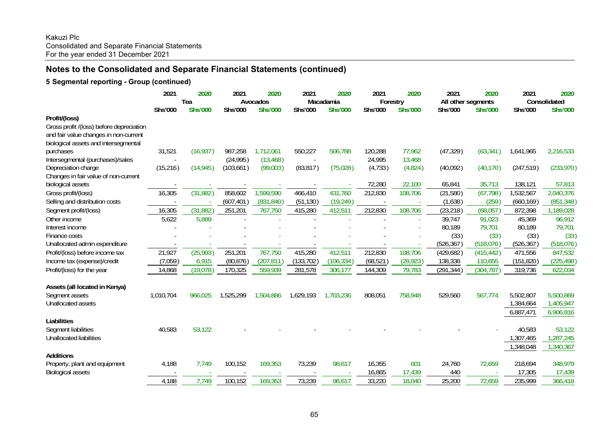## **5 Segmental reporting - Group (continued)**

|                                          | 2021      | 2020<br>Tea    | 2021       | 2020<br>Avocados | 2021       | 2020<br>Macadamia | 2021<br>Forestry | 2020           | 2021<br>All other segments | 2020           | 2021       | 2020<br>Consolidated |
|------------------------------------------|-----------|----------------|------------|------------------|------------|-------------------|------------------|----------------|----------------------------|----------------|------------|----------------------|
| Profit/(loss)                            | Shs'000   | <b>Shs'000</b> | Shs'000    | <b>Shs'000</b>   | Shs'000    | <b>Shs'000</b>    | Shs'000          | <b>Shs'000</b> | Shs'000                    | <b>Shs'000</b> | Shs'000    | <b>Shs'000</b>       |
| Gross profit /(loss) before depreciation |           |                |            |                  |            |                   |                  |                |                            |                |            |                      |
| and fair value changes in non-current    |           |                |            |                  |            |                   |                  |                |                            |                |            |                      |
| biological assets and intersegmental     |           |                |            |                  |            |                   |                  |                |                            |                |            |                      |
| purchases                                | 31,521    | (16, 937)      | 987,258    | 1,712,061        | 550,227    | 506,788           | 120,288          | 77,962         | (47, 329)                  | (63, 341)      | 1,641,965  | 2,216,533            |
| Intersegmental (purchases)/sales         |           |                | (24, 995)  | (13, 468)        |            |                   | 24,995           | 13,468         |                            |                |            |                      |
| Depreciation charge                      | (15, 216) | (14, 945)      | (103, 661) | (99,003)         | (83, 817)  | (75, 028)         | (4, 733)         | (4,824)        | (40,092)                   | (40, 170)      | (247, 519) | (233,970)            |
| Changes in fair value of non-current     |           |                |            |                  |            |                   |                  |                |                            |                |            |                      |
| biological assets                        |           |                |            |                  |            |                   | 72,280           | 22,100         | 65,841                     | 35,713         | 138,121    | 57,813               |
| Gross profit/(loss)                      | 16,305    | (31, 882)      | 858,602    | 1,599,590        | 466,410    | 431,760           | 212,830          | 108,706        | (21, 580)                  | (67, 798)      | 1,532,567  | 2,040,376            |
| Selling and distribution costs           |           |                | (607, 401) | (831, 840)       | (51, 130)  | (19, 249)         |                  |                | (1,638)                    | (259)          | (660, 169) | (851, 348)           |
| Segment profit/(loss)                    | 16,305    | (31, 882)      | 251,201    | 767,750          | 415,280    | 412,511           | 212,830          | 108,706        | (23, 218)                  | (68,057)       | 872,398    | 1,189,028            |
| Other income                             | 5,622     | 5,889          |            |                  |            |                   |                  |                | 39,747                     | 91,023         | 45,369     | 96,912               |
| Interest income                          |           |                |            |                  |            |                   |                  |                | 80,189                     | 79,701         | 80,189     | 79,701               |
| Finance costs                            |           |                |            |                  |            |                   |                  |                | (33)                       | (33)           | (33)       | (33)                 |
| Unallocated admin expenditure            |           |                |            |                  |            |                   |                  |                | (526, 367)                 | (518,076)      | (526, 367) | (518,076)            |
| Profit/(loss) before income tax          | 21,927    | (25, 993)      | 251,201    | 767,750          | 415,280    | 412,511           | 212,830          | 108,706        | (429, 682)                 | (415, 442)     | 471,556    | 847,532              |
| Income tax (expense)/credit              | (7,059)   | 6,915          | (80, 876)  | (207, 811)       | (133, 702) | (106, 334)        | (68, 521)        | (28, 923)      | 138,338                    | 110,655        | (151, 820) | (225, 498)           |
| Profit/(loss) for the year               | 14,868    | (19, 078)      | 170,325    | 559,939          | 281,578    | 306,177           | 144,309          | 79,783         | (291, 344)                 | (304, 787)     | 319,736    | 622,034              |
|                                          |           |                |            |                  |            |                   |                  |                |                            |                |            |                      |
| Assets (all located in Kenya)            |           |                |            |                  |            |                   |                  |                |                            |                |            |                      |
| Segment assets                           | 1,010,704 | 966,025        | 1,525,299  | 1,504,886        | 1,629,193  | 1,703,236         | 808,051          | 758,948        | 529,560                    | 567,774        | 5,502,807  | 5,500,869            |
| Unallocated assets                       |           |                |            |                  |            |                   |                  |                |                            |                | 1,384,664  | 1,405,947            |
|                                          |           |                |            |                  |            |                   |                  |                |                            |                | 6,887,471  | 6,906,816            |
| Liabilities                              |           |                |            |                  |            |                   |                  |                |                            |                |            |                      |
| Segment liabilities                      | 40,583    | 53,122         |            |                  |            |                   |                  |                |                            |                | 40,583     | 53,122               |
| Unallocated liabilities                  |           |                |            |                  |            |                   |                  |                |                            |                | 1,307,465  | 1,287,245            |
|                                          |           |                |            |                  |            |                   |                  |                |                            |                | ,348,048   | 1,340,367            |
| <b>Additions</b>                         |           |                |            |                  |            |                   |                  |                |                            |                |            |                      |
| Property, plant and equipment            | 4,188     | 7,749          | 100,152    | 169,353          | 73,239     | 98,617            | 16,355           | 601            | 24,760                     | 72,659         | 218,694    | 348,979              |
| <b>Biological assets</b>                 |           |                |            |                  |            |                   | 16,865           | 17,439         | 440                        |                | 17,305     | 17,439               |
|                                          | 4,188     | 7,749          | 100,152    | 169,353          | 73,239     | 98,617            | 33,220           | 18,040         | 25,200                     | 72,659         | 235,999    | 366,418              |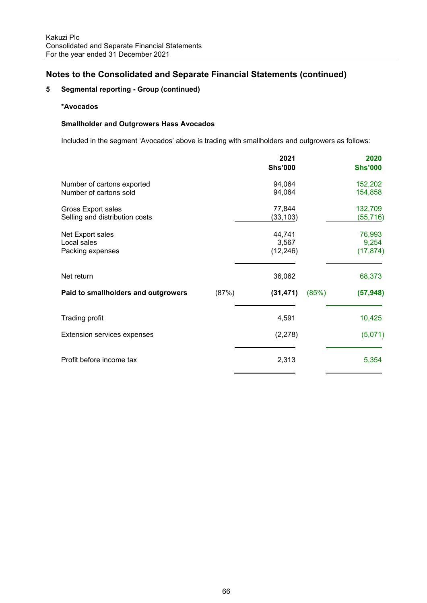## **5 Segmental reporting - Group (continued)**

## **\*Avocados**

## **Smallholder and Outgrowers Hass Avocados**

Included in the segment 'Avocados' above is trading with smallholders and outgrowers as follows:

|                                                      | 2021<br><b>Shs'000</b>       | 2020<br><b>Shs'000</b>       |
|------------------------------------------------------|------------------------------|------------------------------|
| Number of cartons exported<br>Number of cartons sold | 94,064<br>94,064             | 152,202<br>154,858           |
| Gross Export sales<br>Selling and distribution costs | 77,844<br>(33, 103)          | 132,709<br>(55, 716)         |
| Net Export sales<br>Local sales<br>Packing expenses  | 44,741<br>3,567<br>(12, 246) | 76,993<br>9,254<br>(17, 874) |
| Net return                                           | 36,062                       | 68,373                       |
| (87%)<br>Paid to smallholders and outgrowers         | (85%)<br>(31, 471)           | (57, 948)                    |
| <b>Trading profit</b>                                | 4,591                        | 10,425                       |
| Extension services expenses                          | (2,278)                      | (5,071)                      |
| Profit before income tax                             | 2,313                        | 5,354                        |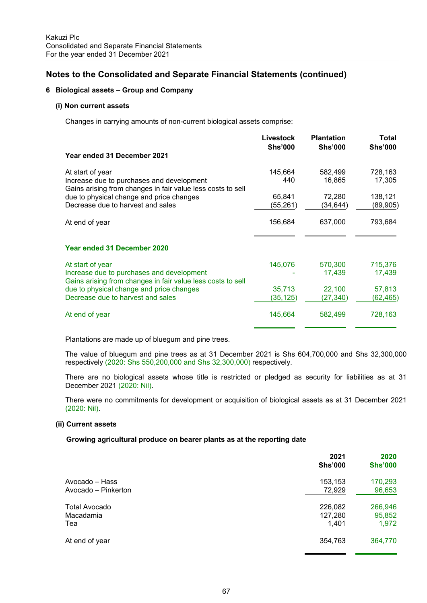## **6 Biological assets – Group and Company**

### **(i) Non current assets**

Changes in carrying amounts of non-current biological assets comprise:

| Year ended 31 December 2021                                                                                                  | Livestock<br><b>Shs'000</b> | <b>Plantation</b><br><b>Shs'000</b> | Total<br><b>Shs'000</b> |
|------------------------------------------------------------------------------------------------------------------------------|-----------------------------|-------------------------------------|-------------------------|
| At start of year<br>Increase due to purchases and development<br>Gains arising from changes in fair value less costs to sell | 145,664<br>440              | 582,499<br>16,865                   | 728,163<br>17,305       |
| due to physical change and price changes<br>Decrease due to harvest and sales                                                | 65,841<br>(55,261)          | 72,280<br>(34,644)                  | 138,121<br>(89, 905)    |
| At end of year                                                                                                               | 156,684                     | 637,000                             | 793,684                 |
| <b>Year ended 31 December 2020</b>                                                                                           |                             |                                     |                         |
| At start of year<br>Increase due to purchases and development<br>Gains arising from changes in fair value less costs to sell | 145,076                     | 570,300<br>17,439                   | 715,376<br>17,439       |
| due to physical change and price changes<br>Decrease due to harvest and sales                                                | 35,713<br>(35, 125)         | 22,100<br>(27,340)                  | 57,813<br>(62,465)      |
| At end of year                                                                                                               | 145,664                     | 582,499                             | 728,163                 |

Plantations are made up of bluegum and pine trees.

The value of bluegum and pine trees as at 31 December 2021 is Shs 604,700,000 and Shs 32,300,000 respectively (2020: Shs 550,200,000 and Shs 32,300,000) respectively.

There are no biological assets whose title is restricted or pledged as security for liabilities as at 31 December 2021 (2020: Nil).

There were no commitments for development or acquisition of biological assets as at 31 December 2021 (2020: Nil).

### **(ii) Current assets**

## **Growing agricultural produce on bearer plants as at the reporting date**

|                      | 2021<br><b>Shs'000</b> | 2020<br><b>Shs'000</b> |
|----------------------|------------------------|------------------------|
| Avocado – Hass       | 153,153                | 170,293                |
| Avocado - Pinkerton  | 72,929                 | 96,653                 |
| <b>Total Avocado</b> | 226,082                | 266,946                |
| Macadamia            | 127,280                | 95,852                 |
| Tea                  | 1,401                  | 1,972                  |
| At end of year       | 354,763                | 364,770                |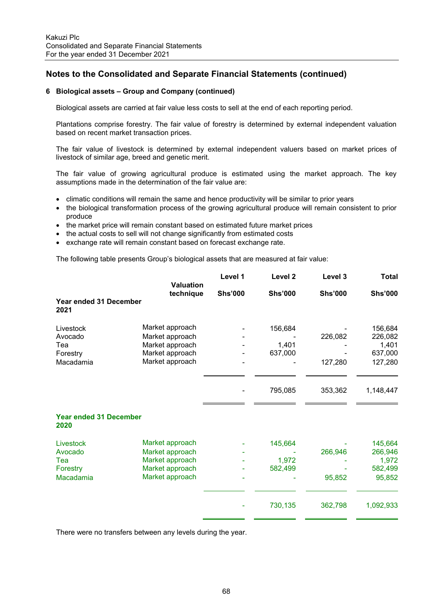#### **6 Biological assets – Group and Company (continued)**

Biological assets are carried at fair value less costs to sell at the end of each reporting period.

 Plantations comprise forestry. The fair value of forestry is determined by external independent valuation based on recent market transaction prices.

The fair value of livestock is determined by external independent valuers based on market prices of livestock of similar age, breed and genetic merit.

The fair value of growing agricultural produce is estimated using the market approach. The key assumptions made in the determination of the fair value are:

- climatic conditions will remain the same and hence productivity will be similar to prior years
- the biological transformation process of the growing agricultural produce will remain consistent to prior produce
- the market price will remain constant based on estimated future market prices
- the actual costs to sell will not change significantly from estimated costs
- exchange rate will remain constant based on forecast exchange rate.

The following table presents Group's biological assets that are measured at fair value:

|                                       |                               | Level 1        | Level <sub>2</sub> | Level 3        | <b>Total</b>   |
|---------------------------------------|-------------------------------|----------------|--------------------|----------------|----------------|
|                                       | <b>Valuation</b><br>technique | <b>Shs'000</b> | <b>Shs'000</b>     | <b>Shs'000</b> | <b>Shs'000</b> |
| Year ended 31 December<br>2021        |                               |                |                    |                |                |
| Livestock                             | Market approach               |                | 156,684            |                | 156,684        |
| Avocado                               | Market approach               |                |                    | 226,082        | 226,082        |
| Tea                                   | Market approach               |                | 1,401              |                | 1,401          |
| Forestry                              | Market approach               |                | 637,000            |                | 637,000        |
| Macadamia                             | Market approach               |                |                    | 127,280        | 127,280        |
|                                       |                               |                | 795,085            | 353,362        | 1,148,447      |
|                                       |                               |                |                    |                |                |
| <b>Year ended 31 December</b><br>2020 |                               |                |                    |                |                |
| Livestock                             | Market approach               |                | 145,664            |                | 145,664        |
| Avocado                               | Market approach               |                |                    | 266,946        | 266,946        |
| Tea                                   | Market approach               |                | 1,972              |                | 1,972          |
| Forestry                              | Market approach               |                | 582,499            |                | 582,499        |
| Macadamia                             | Market approach               |                |                    | 95,852         | 95,852         |
|                                       |                               |                |                    |                |                |
|                                       |                               |                | 730,135            | 362,798        | 1,092,933      |
|                                       |                               |                |                    |                |                |

There were no transfers between any levels during the year.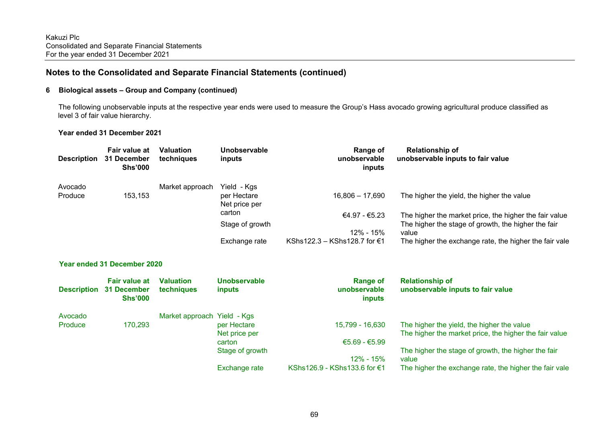#### **6 Biological assets – Group and Company (continued)**

 The following unobservable inputs at the respective year ends were used to measure the Group's Hass avocado growing agricultural produce classified as level 3 of fair value hierarchy.

#### **Year ended 31 December 2021**

| <b>Description</b> | Fair value at<br>31 December<br><b>Shs'000</b> | <b>Valuation</b><br>techniques | Unobservable<br>inputs       | <b>Range of</b><br>unobservable<br>inputs        | <b>Relationship of</b><br>unobservable inputs to fair value                                          |
|--------------------|------------------------------------------------|--------------------------------|------------------------------|--------------------------------------------------|------------------------------------------------------------------------------------------------------|
| Avocado            |                                                | Market approach                | Yield - Kgs                  |                                                  |                                                                                                      |
| Produce            | 153,153                                        |                                | per Hectare<br>Net price per | $16,806 - 17,690$                                | The higher the yield, the higher the value                                                           |
|                    |                                                |                                | carton                       | €4.97 - €5.23                                    | The higher the market price, the higher the fair value                                               |
|                    |                                                |                                | Stage of growth              |                                                  | The higher the stage of growth, the higher the fair                                                  |
|                    |                                                |                                |                              | 12% - 15%                                        | value                                                                                                |
|                    |                                                |                                | Exchange rate                | KShs122.3 - KShs128.7 for €1                     | The higher the exchange rate, the higher the fair vale                                               |
| <b>Description</b> | Fair value at<br>31 December<br><b>Shs'000</b> | <b>Valuation</b><br>techniques | Unobservable<br>inputs       | <b>Range of</b><br>unobservable<br><b>inputs</b> | <b>Relationship of</b><br>unobservable inputs to fair value                                          |
| Avocado            |                                                | Market approach Yield - Kgs    |                              |                                                  |                                                                                                      |
| Produce            | 170,293                                        |                                | per Hectare<br>Net price per | 15,799 - 16,630                                  | The higher the yield, the higher the value<br>The higher the market price, the higher the fair value |
|                    |                                                |                                | carton                       | $€5.69 - €5.99$                                  |                                                                                                      |
|                    |                                                |                                | Stage of growth              | 12% - 15%                                        | The higher the stage of growth, the higher the fair<br>value                                         |
|                    |                                                |                                | Exchange rate                | KShs126.9 - KShs133.6 for €1                     | The higher the exchange rate, the higher the fair vale                                               |
|                    |                                                |                                |                              |                                                  |                                                                                                      |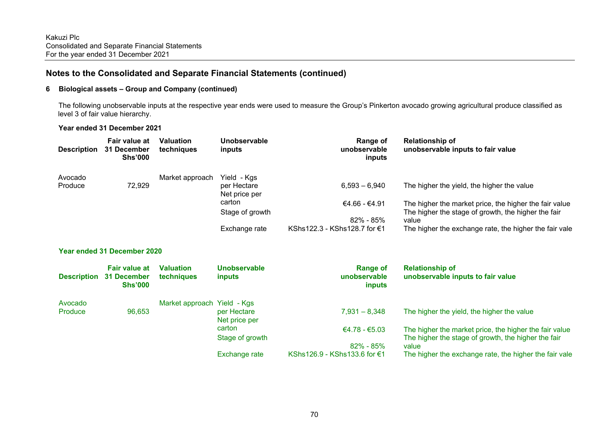### **6 Biological assets – Group and Company (continued)**

 The following unobservable inputs at the respective year ends were used to measure the Group's Pinkerton avocado growing agricultural produce classified as level 3 of fair value hierarchy.

#### **Year ended 31 December 2021**

| <b>Description</b> | Fair value at<br>31 December<br><b>Shs'000</b>        | <b>Valuation</b><br>techniques | Unobservable<br>inputs        | Range of<br>unobservable<br>inputs        | <b>Relationship of</b><br>unobservable inputs to fair value  |
|--------------------|-------------------------------------------------------|--------------------------------|-------------------------------|-------------------------------------------|--------------------------------------------------------------|
| Avocado<br>Produce | 72,929                                                | Market approach                | Yield - Kgs<br>per Hectare    | $6,593 - 6,940$                           | The higher the yield, the higher the value                   |
|                    |                                                       |                                | Net price per                 |                                           |                                                              |
|                    |                                                       |                                | carton                        | €4.66 - €4.91                             | The higher the market price, the higher the fair value       |
|                    |                                                       |                                | Stage of growth               | 82% - 85%                                 | The higher the stage of growth, the higher the fair<br>value |
|                    |                                                       |                                | Exchange rate                 | KShs122.3 - KShs128.7 for €1              | The higher the exchange rate, the higher the fair vale       |
|                    | Year ended 31 December 2020                           |                                |                               |                                           |                                                              |
| <b>Description</b> | <b>Fair value at</b><br>31 December<br><b>Shs'000</b> | <b>Valuation</b><br>techniques | Unobservable<br><i>inputs</i> | <b>Range of</b><br>unobservable<br>inputs | <b>Relationship of</b><br>unobservable inputs to fair value  |
| Avocado            |                                                       | Market approach Yield - Kgs    |                               |                                           |                                                              |
| Produce            | 96,653                                                |                                | per Hectare<br>Net price per  | $7,931 - 8,348$                           | The higher the yield, the higher the value                   |
|                    |                                                       |                                | carton                        | $€4.78 - €5.03$                           | The higher the market price, the higher the fair value       |
|                    |                                                       |                                | Stage of growth               | $82\% - 85\%$                             | The higher the stage of growth, the higher the fair<br>value |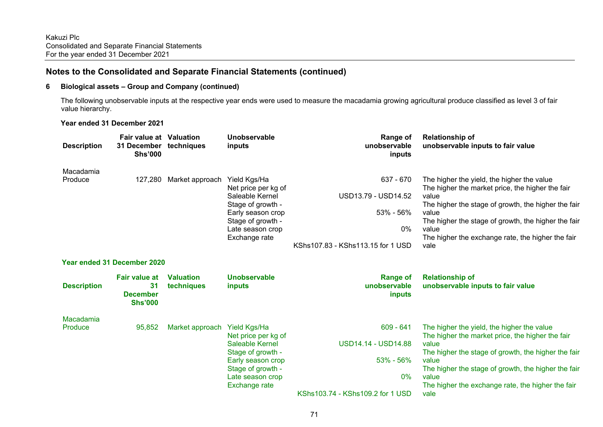#### **6 Biological assets – Group and Company (continued)**

 The following unobservable inputs at the respective year ends were used to measure the macadamia growing agricultural produce classified as level 3 of fair value hierarchy.

#### **Year ended 31 December 2021**

| <b>Description</b>   | <b>Fair value at Valuation</b><br>31 December techniques<br><b>Shs'000</b> |                                | Unobservable<br>inputs                                                                                                                                            | <b>Range of</b><br>unobservable<br>inputs                                                    | <b>Relationship of</b><br>unobservable inputs to fair value                                                                                                                                                                                                                                          |
|----------------------|----------------------------------------------------------------------------|--------------------------------|-------------------------------------------------------------------------------------------------------------------------------------------------------------------|----------------------------------------------------------------------------------------------|------------------------------------------------------------------------------------------------------------------------------------------------------------------------------------------------------------------------------------------------------------------------------------------------------|
| Macadamia<br>Produce | 127,280                                                                    | Market approach                | Yield Kgs/Ha<br>Net price per kg of<br>Saleable Kernel<br>Stage of growth -<br>Early season crop<br>Stage of growth -<br>Late season crop<br>Exchange rate        | 637 - 670<br>USD13.79 - USD14.52<br>53% - 56%<br>$0\%$<br>KShs107.83 - KShs113.15 for 1 USD  | The higher the yield, the higher the value<br>The higher the market price, the higher the fair<br>value<br>The higher the stage of growth, the higher the fair<br>value<br>The higher the stage of growth, the higher the fair<br>value<br>The higher the exchange rate, the higher the fair<br>vale |
|                      | <b>Year ended 31 December 2020</b>                                         |                                |                                                                                                                                                                   |                                                                                              |                                                                                                                                                                                                                                                                                                      |
| <b>Description</b>   | <b>Fair value at</b><br>31<br><b>December</b><br><b>Shs'000</b>            | <b>Valuation</b><br>techniques | <b>Unobservable</b><br>inputs                                                                                                                                     | <b>Range of</b><br>unobservable<br>inputs                                                    | <b>Relationship of</b><br>unobservable inputs to fair value                                                                                                                                                                                                                                          |
| Macadamia<br>Produce | 95,852                                                                     | Market approach                | Yield Kgs/Ha<br>Net price per kg of<br>Saleable Kernel<br>Stage of growth -<br>Early season crop<br>Stage of growth -<br>Late season crop<br><b>Exchange rate</b> | $609 - 641$<br>USD14.14 - USD14.88<br>53% - 56%<br>$0\%$<br>KShs103.74 - KShs109.2 for 1 USD | The higher the yield, the higher the value<br>The higher the market price, the higher the fair<br>value<br>The higher the stage of growth, the higher the fair<br>value<br>The higher the stage of growth, the higher the fair<br>value<br>The higher the exchange rate, the higher the fair<br>vale |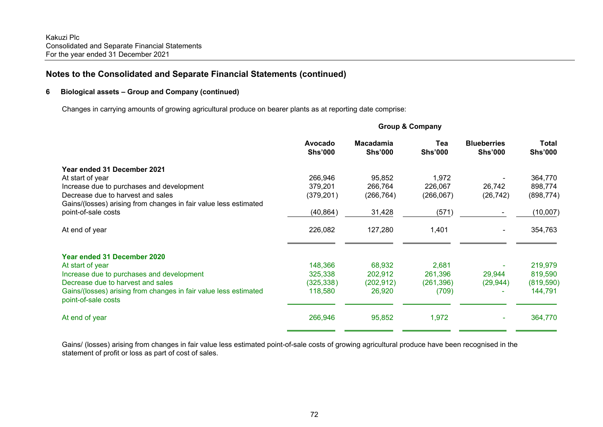### **6 Biological assets – Group and Company (continued)**

Changes in carrying amounts of growing agricultural produce on bearer plants as at reporting date comprise:

|                                                                                         | Avocado<br><b>Shs'000</b> | <b>Macadamia</b><br><b>Shs'000</b> | Tea<br><b>Shs'000</b> | <b>Blueberries</b><br><b>Shs'000</b> | Total<br><b>Shs'000</b> |
|-----------------------------------------------------------------------------------------|---------------------------|------------------------------------|-----------------------|--------------------------------------|-------------------------|
| Year ended 31 December 2021                                                             |                           |                                    |                       |                                      |                         |
| At start of year                                                                        | 266,946                   | 95,852                             | 1,972                 |                                      | 364,770                 |
| Increase due to purchases and development                                               | 379,201                   | 266,764                            | 226,067               | 26,742                               | 898,774                 |
| Decrease due to harvest and sales                                                       | (379, 201)                | (266, 764)                         | (266,067)             | (26, 742)                            | (898, 774)              |
| Gains/(losses) arising from changes in fair value less estimated                        |                           |                                    |                       |                                      |                         |
| point-of-sale costs                                                                     | (40, 864)                 | 31,428                             | (571)                 |                                      | (10,007)                |
| At end of year                                                                          | 226,082                   | 127,280                            | 1,401                 |                                      | 354,763                 |
| Year ended 31 December 2020                                                             |                           |                                    |                       |                                      |                         |
| At start of year                                                                        | 148,366                   | 68,932                             | 2,681                 |                                      | 219,979                 |
| Increase due to purchases and development                                               | 325,338                   | 202,912                            | 261,396               | 29,944                               | 819,590                 |
| Decrease due to harvest and sales                                                       | (325, 338)                | (202, 912)                         | (261,396)             | (29, 944)                            | (819, 590)              |
| Gains/(losses) arising from changes in fair value less estimated<br>point-of-sale costs | 118,580                   | 26,920                             | (709)                 |                                      | 144,791                 |
| At end of year                                                                          | 266,946                   | 95,852                             | 1,972                 | ٠                                    | 364,770                 |
|                                                                                         |                           |                                    |                       |                                      |                         |

**Group & Company** 

Gains/ (losses) arising from changes in fair value less estimated point-of-sale costs of growing agricultural produce have been recognised in the statement of profit or loss as part of cost of sales.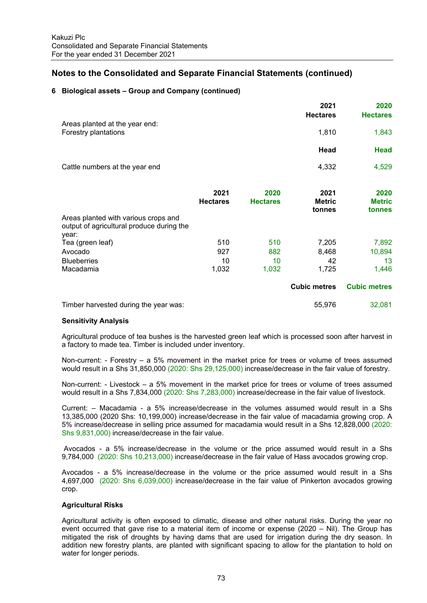#### **6 Biological assets – Group and Company (continued)**

|                                                                                            |                 |                 | 2021<br><b>Hectares</b> | 2020<br><b>Hectares</b> |
|--------------------------------------------------------------------------------------------|-----------------|-----------------|-------------------------|-------------------------|
| Areas planted at the year end:<br>Forestry plantations                                     |                 |                 | 1,810                   | 1,843                   |
|                                                                                            |                 |                 |                         |                         |
|                                                                                            |                 |                 | Head                    | <b>Head</b>             |
| Cattle numbers at the year end                                                             |                 |                 | 4,332                   | 4,529                   |
|                                                                                            | 2021            | 2020            | 2021                    | 2020                    |
|                                                                                            | <b>Hectares</b> | <b>Hectares</b> | <b>Metric</b><br>tonnes | <b>Metric</b><br>tonnes |
| Areas planted with various crops and<br>output of agricultural produce during the<br>year: |                 |                 |                         |                         |
| Tea (green leaf)                                                                           | 510             | 510             | 7,205                   | 7,892                   |
| Avocado                                                                                    | 927             | 882             | 8,468                   | 10,894                  |
| <b>Blueberries</b>                                                                         | 10              | 10              | 42                      | 13                      |
| Macadamia                                                                                  | 1,032           | 1,032           | 1,725                   | 1,446                   |
|                                                                                            |                 |                 | <b>Cubic metres</b>     | <b>Cubic metres</b>     |
| Timber harvested during the year was:                                                      |                 |                 | 55,976                  | 32,081                  |

#### **Sensitivity Analysis**

Agricultural produce of tea bushes is the harvested green leaf which is processed soon after harvest in a factory to made tea. Timber is included under inventory.

Non-current: - Forestry – a 5% movement in the market price for trees or volume of trees assumed would result in a Shs 31,850,000 (2020: Shs 29,125,000) increase/decrease in the fair value of forestry.

Non-current: - Livestock – a 5% movement in the market price for trees or volume of trees assumed would result in a Shs 7,834,000 (2020: Shs 7,283,000) increase/decrease in the fair value of livestock.

Current: – Macadamia - a 5% increase/decrease in the volumes assumed would result in a Shs 13,385,000 (2020 Shs: 10,199,000) increase/decrease in the fair value of macadamia growing crop. A 5% increase/decrease in selling price assumed for macadamia would result in a Shs 12,828,000 (2020: Shs 9,831,000) increase/decrease in the fair value.

 Avocados - a 5% increase/decrease in the volume or the price assumed would result in a Shs 9,784,000 (2020: Shs 10,213,000) increase/decrease in the fair value of Hass avocados growing crop.

Avocados - a 5% increase/decrease in the volume or the price assumed would result in a Shs 4,697,000 (2020: Shs 6,039,000) increase/decrease in the fair value of Pinkerton avocados growing crop.

#### **Agricultural Risks**

Agricultural activity is often exposed to climatic, disease and other natural risks. During the year no event occurred that gave rise to a material item of income or expense (2020 – Nil). The Group has mitigated the risk of droughts by having dams that are used for irrigation during the dry season. In addition new forestry plants, are planted with significant spacing to allow for the plantation to hold on water for longer periods.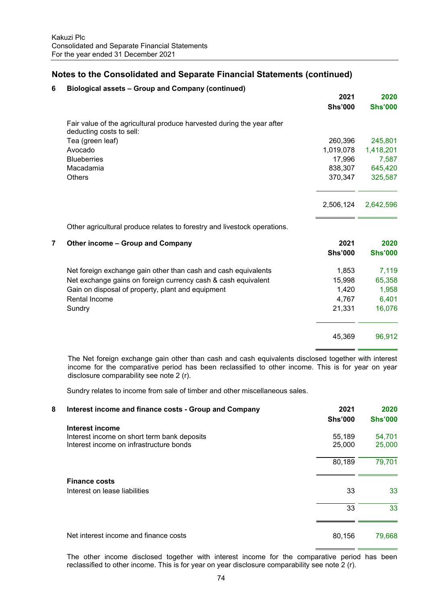| 6              | Biological assets - Group and Company (continued)                                                  |                        |                        |
|----------------|----------------------------------------------------------------------------------------------------|------------------------|------------------------|
|                |                                                                                                    | 2021<br><b>Shs'000</b> | 2020<br><b>Shs'000</b> |
|                | Fair value of the agricultural produce harvested during the year after<br>deducting costs to sell: |                        |                        |
|                | Tea (green leaf)                                                                                   | 260,396                | 245,801                |
|                | Avocado                                                                                            | 1,019,078              | 1,418,201              |
|                | <b>Blueberries</b>                                                                                 | 17,996                 | 7,587                  |
|                | Macadamia                                                                                          | 838,307                | 645,420                |
|                | <b>Others</b>                                                                                      | 370,347                | 325,587                |
|                |                                                                                                    | 2,506,124              | 2,642,596              |
|                | Other agricultural produce relates to forestry and livestock operations.                           |                        |                        |
| $\overline{7}$ | Other income - Group and Company                                                                   | 2021                   | 2020                   |
|                |                                                                                                    | <b>Shs'000</b>         | <b>Shs'000</b>         |
|                | Net foreign exchange gain other than cash and cash equivalents                                     | 1,853                  | 7,119                  |
|                | Net exchange gains on foreign currency cash & cash equivalent                                      | 15,998                 | 65,358                 |
|                | Gain on disposal of property, plant and equipment                                                  | 1,420                  | 1,958                  |
|                | <b>Rental Income</b>                                                                               | 4,767                  | 6,401                  |
|                | Sundry                                                                                             | 21,331                 | 16,076                 |
|                |                                                                                                    | 45,369                 | 96,912                 |
|                |                                                                                                    |                        |                        |

The Net foreign exchange gain other than cash and cash equivalents disclosed together with interest income for the comparative period has been reclassified to other income. This is for year on year disclosure comparability see note 2 (r).

Sundry relates to income from sale of timber and other miscellaneous sales.

| 8 | Interest income and finance costs - Group and Company | 2021<br><b>Shs'000</b> | 2020<br><b>Shs'000</b> |
|---|-------------------------------------------------------|------------------------|------------------------|
|   | Interest income                                       |                        |                        |
|   | Interest income on short term bank deposits           | 55,189                 | 54,701                 |
|   | Interest income on infrastructure bonds               | 25,000                 | 25,000                 |
|   |                                                       | 80,189                 | 79,701                 |
|   | <b>Finance costs</b>                                  |                        |                        |
|   | Interest on lease liabilities                         | 33                     | 33                     |
|   |                                                       | 33                     | 33                     |
|   | Net interest income and finance costs                 | 80,156                 | 79,668                 |

The other income disclosed together with interest income for the comparative period has been reclassified to other income. This is for year on year disclosure comparability see note 2 (r).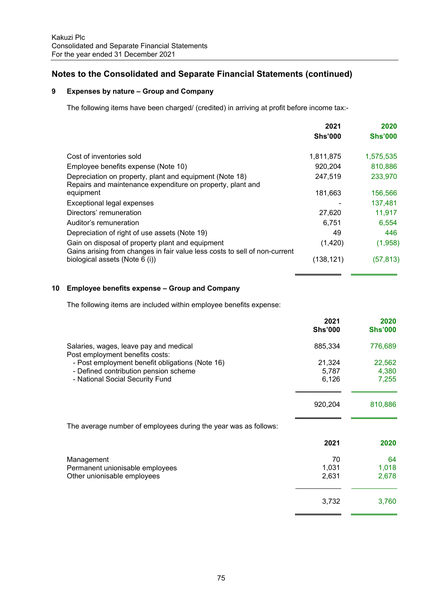## **9 Expenses by nature – Group and Company**

The following items have been charged/ (credited) in arriving at profit before income tax:-

|                                                                                                              | 2021           | 2020           |
|--------------------------------------------------------------------------------------------------------------|----------------|----------------|
|                                                                                                              | <b>Shs'000</b> | <b>Shs'000</b> |
| Cost of inventories sold                                                                                     | 1,811,875      | 1,575,535      |
| Employee benefits expense (Note 10)                                                                          | 920,204        | 810,886        |
| Depreciation on property, plant and equipment (Note 18)                                                      | 247,519        | 233,970        |
| Repairs and maintenance expenditure on property, plant and<br>equipment                                      | 181,663        | 156,566        |
| Exceptional legal expenses                                                                                   |                | 137,481        |
| Directors' remuneration                                                                                      | 27,620         | 11,917         |
| Auditor's remuneration                                                                                       | 6,751          | 6,554          |
| Depreciation of right of use assets (Note 19)                                                                | 49             | 446            |
| Gain on disposal of property plant and equipment                                                             | (1,420)        | (1,958)        |
| Gains arising from changes in fair value less costs to sell of non-current<br>biological assets (Note 6 (i)) | (138,121)      | (57, 813)      |

#### **10 Employee benefits expense – Group and Company**

The following items are included within employee benefits expense:

|                                                                           | 2021<br><b>Shs'000</b> | 2020<br><b>Shs'000</b> |
|---------------------------------------------------------------------------|------------------------|------------------------|
| Salaries, wages, leave pay and medical<br>Post employment benefits costs: | 885,334                | 776,689                |
| - Post employment benefit obligations (Note 16)                           | 21,324                 | 22,562                 |
| - Defined contribution pension scheme                                     | 5,787                  | 4,380                  |
| - National Social Security Fund                                           | 6,126                  | 7,255                  |
|                                                                           | 920,204                | 810,886                |
| The average number of employees during the year was as follows:           |                        |                        |
|                                                                           | 2021                   | 2020                   |
| Management                                                                | 70                     | 64                     |
| Permanent unionisable employees                                           | 1,031                  | 1,018                  |
| Other unionisable employees                                               | 2,631                  | 2,678                  |
|                                                                           | 3,732                  | 3,760                  |
|                                                                           |                        |                        |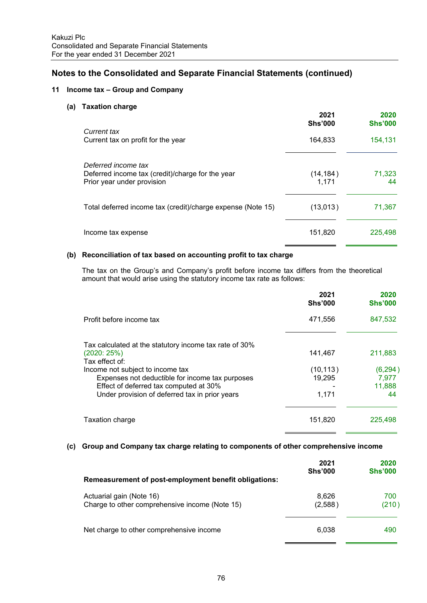### **11 Income tax – Group and Company**

#### **(a) Taxation charge**

|                                                                                                       | 2021<br><b>Shs'000</b> | 2020<br><b>Shs'000</b> |
|-------------------------------------------------------------------------------------------------------|------------------------|------------------------|
| Current tax<br>Current tax on profit for the year                                                     | 164,833                | 154,131                |
| Deferred income tax<br>Deferred income tax (credit)/charge for the year<br>Prior year under provision | (14, 184)<br>1,171     | 71,323<br>44           |
| Total deferred income tax (credit)/charge expense (Note 15)                                           | (13,013)               | 71,367                 |
| Income tax expense                                                                                    | 151,820                | 225,498                |

#### **(b) Reconciliation of tax based on accounting profit to tax charge**

The tax on the Group's and Company's profit before income tax differs from the theoretical amount that would arise using the statutory income tax rate as follows:

|                                                                                                                                                                                 | 2021<br><b>Shs'000</b>       | 2020<br><b>Shs'000</b>            |
|---------------------------------------------------------------------------------------------------------------------------------------------------------------------------------|------------------------------|-----------------------------------|
| Profit before income tax                                                                                                                                                        | 471,556                      | 847,532                           |
| Tax calculated at the statutory income tax rate of 30%<br>(2020:25%)<br>Tax effect of:                                                                                          | 141.467                      | 211.883                           |
| Income not subject to income tax<br>Expenses not deductible for income tax purposes<br>Effect of deferred tax computed at 30%<br>Under provision of deferred tax in prior years | (10, 113)<br>19.295<br>1,171 | (6, 294)<br>7.977<br>11,888<br>44 |
| Taxation charge                                                                                                                                                                 | 151,820                      | 225,498                           |

#### **(c) Group and Company tax charge relating to components of other comprehensive income**

| Remeasurement of post-employment benefit obligations:                      | 2021<br><b>Shs'000</b> | 2020<br><b>Shs'000</b> |
|----------------------------------------------------------------------------|------------------------|------------------------|
| Actuarial gain (Note 16)<br>Charge to other comprehensive income (Note 15) | 8,626<br>(2,588)       | 700<br>(210)           |
| Net charge to other comprehensive income                                   | 6.038                  | 490                    |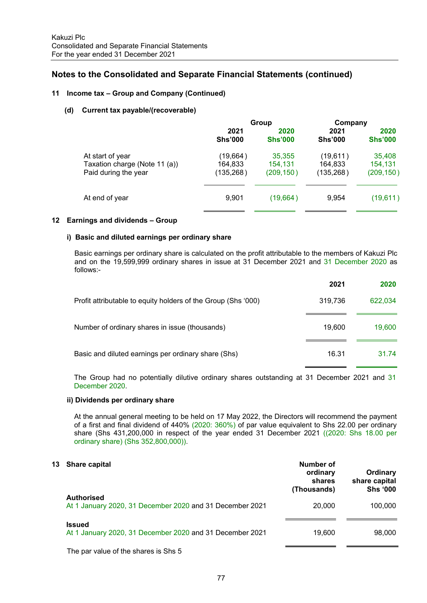#### **11 Income tax – Group and Company (Continued)**

#### **(d) Current tax payable/(recoverable)**

|                               | Group          |                | Company        |                |
|-------------------------------|----------------|----------------|----------------|----------------|
|                               | 2021           | 2020           | 2021           | 2020           |
|                               | <b>Shs'000</b> | <b>Shs'000</b> | <b>Shs'000</b> | <b>Shs'000</b> |
| At start of year              | (19, 664)      | 35,355         | (19,611)       | 35,408         |
| Taxation charge (Note 11 (a)) | 164,833        | 154,131        | 164,833        | 154,131        |
| Paid during the year          | (135, 268)     | (209, 150)     | (135, 268)     | (209, 150)     |
| At end of year                | 9,901          | (19,664)       | 9,954          | (19,611)       |

#### **12 Earnings and dividends – Group**

#### **i) Basic and diluted earnings per ordinary share**

 Basic earnings per ordinary share is calculated on the profit attributable to the members of Kakuzi Plc and on the 19,599,999 ordinary shares in issue at 31 December 2021 and 31 December 2020 as follows:-

|                                                               | 2021    | 2020    |
|---------------------------------------------------------------|---------|---------|
| Profit attributable to equity holders of the Group (Shs '000) | 319,736 | 622,034 |
| Number of ordinary shares in issue (thousands)                | 19.600  | 19,600  |
| Basic and diluted earnings per ordinary share (Shs)           | 16.31   | 31.74   |
|                                                               |         |         |

 The Group had no potentially dilutive ordinary shares outstanding at 31 December 2021 and 31 December 2020.

#### **ii) Dividends per ordinary share**

 At the annual general meeting to be held on 17 May 2022, the Directors will recommend the payment of a first and final dividend of 440% (2020: 360%) of par value equivalent to Shs 22.00 per ordinary share (Shs 431,200,000 in respect of the year ended 31 December 2021 ((2020: Shs 18.00 per ordinary share) (Shs 352,800,000)).

| 13<br><b>Share capital</b>                                                    | Number of<br>ordinary<br>shares<br>(Thousands) | Ordinary<br>share capital<br><b>Shs '000</b> |
|-------------------------------------------------------------------------------|------------------------------------------------|----------------------------------------------|
| <b>Authorised</b><br>At 1 January 2020, 31 December 2020 and 31 December 2021 | 20,000                                         | 100,000                                      |
| <b>Issued</b><br>At 1 January 2020, 31 December 2020 and 31 December 2021     | 19.600                                         | 98,000                                       |

The par value of the shares is Shs 5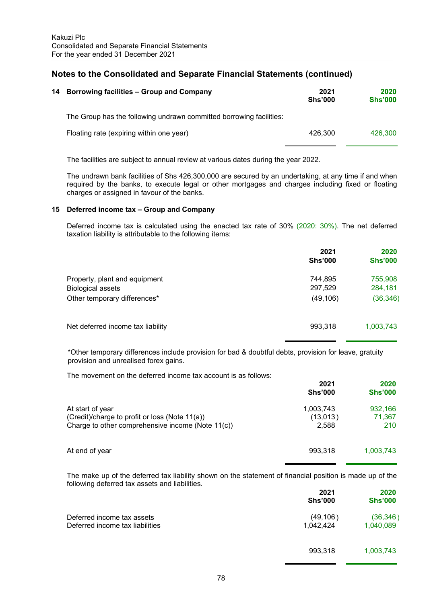| 14 | <b>Borrowing facilities – Group and Company</b>                     | 2021<br><b>Shs'000</b> | 2020<br><b>Shs'000</b> |
|----|---------------------------------------------------------------------|------------------------|------------------------|
|    | The Group has the following undrawn committed borrowing facilities: |                        |                        |
|    | Floating rate (expiring within one year)                            | 426.300                | 426,300                |
|    |                                                                     |                        |                        |

The facilities are subject to annual review at various dates during the year 2022.

 The undrawn bank facilities of Shs 426,300,000 are secured by an undertaking, at any time if and when required by the banks, to execute legal or other mortgages and charges including fixed or floating charges or assigned in favour of the banks.

#### **15 Deferred income tax – Group and Company**

 Deferred income tax is calculated using the enacted tax rate of 30% (2020: 30%). The net deferred taxation liability is attributable to the following items:

|                                   | 2021<br><b>Shs'000</b> | 2020<br><b>Shs'000</b> |
|-----------------------------------|------------------------|------------------------|
| Property, plant and equipment     | 744,895                | 755,908                |
| <b>Biological assets</b>          | 297,529                | 284,181                |
| Other temporary differences*      | (49, 106)              | (36, 346)              |
|                                   |                        |                        |
| Net deferred income tax liability | 993,318                | 1,003,743              |

\*Other temporary differences include provision for bad & doubtful debts, provision for leave, gratuity provision and unrealised forex gains.

The movement on the deferred income tax account is as follows:

| 2021<br><b>Shs'000</b> | 2020<br><b>Shs'000</b> |
|------------------------|------------------------|
| 1,003,743              | 932,166                |
| (13,013)               | 71,367                 |
| 2,588                  | 210                    |
| 993,318                | 1,003,743              |
|                        |                        |

 The make up of the deferred tax liability shown on the statement of financial position is made up of the following deferred tax assets and liabilities.

|                                                               | 2021<br><b>Shs'000</b> | 2020<br><b>Shs'000</b> |
|---------------------------------------------------------------|------------------------|------------------------|
| Deferred income tax assets<br>Deferred income tax liabilities | (49, 106)<br>1,042,424 | (36, 346)<br>1,040,089 |
|                                                               | 993,318                | 1,003,743              |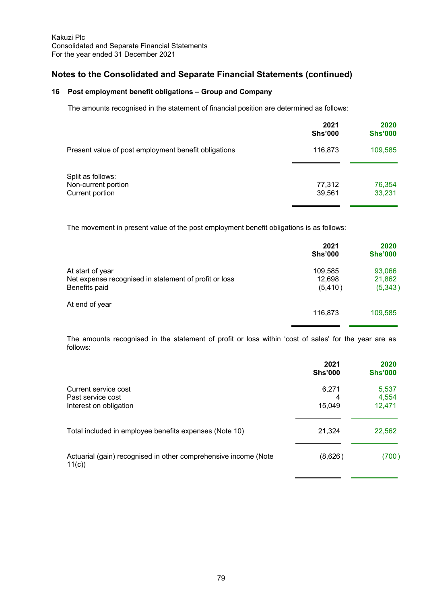## **16 Post employment benefit obligations – Group and Company**

The amounts recognised in the statement of financial position are determined as follows:

|                                                             | 2021<br><b>Shs'000</b> | 2020<br><b>Shs'000</b> |
|-------------------------------------------------------------|------------------------|------------------------|
| Present value of post employment benefit obligations        | 116,873                | 109,585                |
| Split as follows:<br>Non-current portion<br>Current portion | 77,312<br>39,561       | 76,354<br>33,231       |

The movement in present value of the post employment benefit obligations is as follows:

|                                                       | 2021<br><b>Shs'000</b> | 2020<br><b>Shs'000</b> |
|-------------------------------------------------------|------------------------|------------------------|
| At start of year                                      | 109,585                | 93,066                 |
| Net expense recognised in statement of profit or loss | 12,698                 | 21,862                 |
| Benefits paid                                         | (5, 410)               | (5,343)                |
| At end of year                                        |                        |                        |
|                                                       | 116,873                | 109,585                |

The amounts recognised in the statement of profit or loss within 'cost of sales' for the year are as follows:

|                                                                          | 2021<br><b>Shs'000</b> | 2020<br><b>Shs'000</b>   |
|--------------------------------------------------------------------------|------------------------|--------------------------|
| Current service cost<br>Past service cost<br>Interest on obligation      | 6,271<br>4<br>15,049   | 5,537<br>4,554<br>12,471 |
| Total included in employee benefits expenses (Note 10)                   | 21,324                 | 22,562                   |
| Actuarial (gain) recognised in other comprehensive income (Note<br>11(c) | (8,626)                | (700)                    |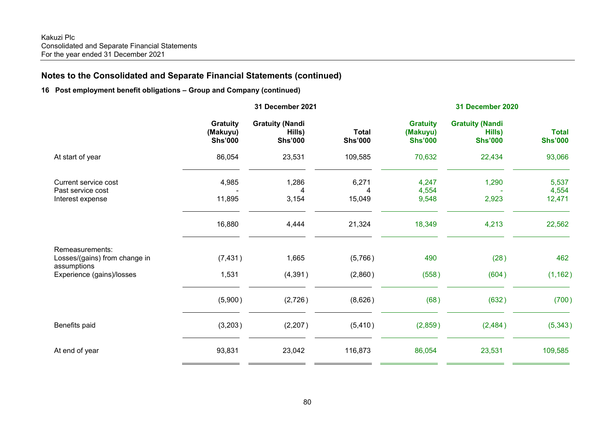## **16 Post employment benefit obligations – Group and Company (continued)**

|                                                                                              | 31 December 2021                              |                                                    |                                | 31 December 2020                              |                                                    |                                |  |
|----------------------------------------------------------------------------------------------|-----------------------------------------------|----------------------------------------------------|--------------------------------|-----------------------------------------------|----------------------------------------------------|--------------------------------|--|
|                                                                                              | <b>Gratuity</b><br>(Makuyu)<br><b>Shs'000</b> | <b>Gratuity (Nandi</b><br>Hills)<br><b>Shs'000</b> | <b>Total</b><br><b>Shs'000</b> | <b>Gratuity</b><br>(Makuyu)<br><b>Shs'000</b> | <b>Gratuity (Nandi</b><br>Hills)<br><b>Shs'000</b> | <b>Total</b><br><b>Shs'000</b> |  |
| At start of year                                                                             | 86,054                                        | 23,531                                             | 109,585                        | 70,632                                        | 22,434                                             | 93,066                         |  |
| Current service cost<br>Past service cost<br>Interest expense                                | 4,985<br>11,895                               | 1,286<br>4<br>3,154                                | 6,271<br>4<br>15,049           | 4,247<br>4,554<br>9,548                       | 1,290<br>2,923                                     | 5,537<br>4,554<br>12,471       |  |
|                                                                                              | 16,880                                        | 4,444                                              | 21,324                         | 18,349                                        | 4,213                                              | 22,562                         |  |
| Remeasurements:<br>Losses/(gains) from change in<br>assumptions<br>Experience (gains)/losses | (7, 431)<br>1,531                             | 1,665<br>(4, 391)                                  | (5,766)<br>(2,860)             | 490<br>(558)                                  | (28)<br>(604)                                      | 462<br>(1, 162)                |  |
|                                                                                              | (5,900)                                       | (2,726)                                            | (8,626)                        | (68)                                          | (632)                                              | (700)                          |  |
| Benefits paid                                                                                | (3,203)                                       | (2, 207)                                           | (5, 410)                       | (2,859)                                       | (2,484)                                            | (5,343)                        |  |
| At end of year                                                                               | 93,831                                        | 23,042                                             | 116,873                        | 86,054                                        | 23,531                                             | 109,585                        |  |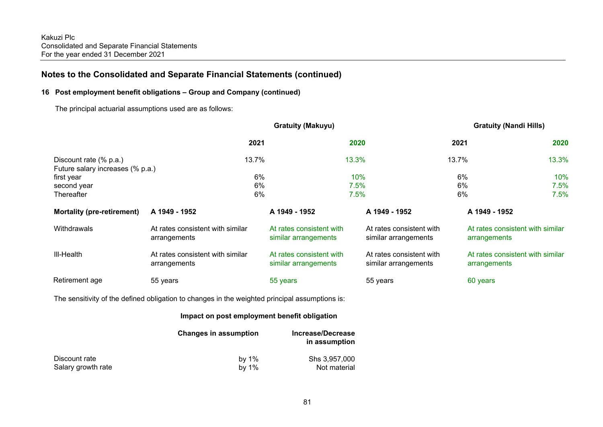#### **16 Post employment benefit obligations – Group and Company (continued)**

The principal actuarial assumptions used are as follows:

|                                                            |                                                  | <b>Gratuity (Makuyu)</b>                         |                                                  | <b>Gratuity (Nandi Hills)</b>                    |         |
|------------------------------------------------------------|--------------------------------------------------|--------------------------------------------------|--------------------------------------------------|--------------------------------------------------|---------|
|                                                            | 2021                                             |                                                  | 2020                                             | 2021                                             | 2020    |
| Discount rate (% p.a.)<br>Future salary increases (% p.a.) | 13.7%                                            |                                                  | 13.3%                                            | 13.7%                                            | 13.3%   |
| first year                                                 | 6%                                               |                                                  | 10%                                              | 6%                                               | 10%     |
| second year                                                | 6%                                               |                                                  | 7.5%                                             | 6%                                               | $7.5\%$ |
| Thereafter                                                 | 6%                                               |                                                  | 7.5%                                             | 6%                                               | $7.5\%$ |
| <b>Mortality (pre-retirement)</b>                          | A 1949 - 1952                                    | A 1949 - 1952                                    | A 1949 - 1952                                    | A 1949 - 1952                                    |         |
| Withdrawals                                                | At rates consistent with similar<br>arrangements | At rates consistent with<br>similar arrangements | At rates consistent with<br>similar arrangements | At rates consistent with similar<br>arrangements |         |
| III-Health                                                 | At rates consistent with similar<br>arrangements | At rates consistent with<br>similar arrangements | At rates consistent with<br>similar arrangements | At rates consistent with similar<br>arrangements |         |
| Retirement age                                             | 55 years                                         | 55 years                                         | 55 years                                         | 60 years                                         |         |

The sensitivity of the defined obligation to changes in the weighted principal assumptions is:

### **Impact on post employment benefit obligation**

|                    | <b>Changes in assumption</b> | Increase/Decrease<br>in assumption |
|--------------------|------------------------------|------------------------------------|
| Discount rate      | by 1%                        | Shs 3.957.000                      |
| Salary growth rate | by $1\%$                     | Not material                       |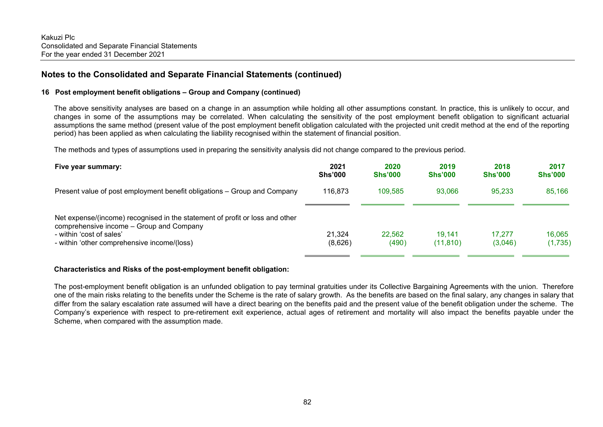#### **16 Post employment benefit obligations – Group and Company (continued)**

The above sensitivity analyses are based on a change in an assumption while holding all other assumptions constant. In practice, this is unlikely to occur, and changes in some of the assumptions may be correlated. When calculating the sensitivity of the post employment benefit obligation to significant actuarial assumptions the same method (present value of the post employment benefit obligation calculated with the projected unit credit method at the end of the reporting period) has been applied as when calculating the liability recognised within the statement of financial position.

The methods and types of assumptions used in preparing the sensitivity analysis did not change compared to the previous period.

| Five year summary:                                                                                                                                                                                  | 2021<br><b>Shs'000</b> | 2020<br><b>Shs'000</b> | 2019<br><b>Shs'000</b> | 2018<br><b>Shs'000</b> | 2017<br><b>Shs'000</b> |
|-----------------------------------------------------------------------------------------------------------------------------------------------------------------------------------------------------|------------------------|------------------------|------------------------|------------------------|------------------------|
| Present value of post employment benefit obligations – Group and Company                                                                                                                            | 116,873                | 109,585                | 93,066                 | 95,233                 | 85,166                 |
| Net expense/(income) recognised in the statement of profit or loss and other<br>comprehensive income - Group and Company<br>- within 'cost of sales'<br>- within 'other comprehensive income/(loss) | 21.324<br>(8,626)      | 22,562<br>(490)        | 19.141<br>(11, 810)    | 17.277<br>(3,046)      | 16,065<br>(1,735)      |

#### **Characteristics and Risks of the post-employment benefit obligation:**

The post-employment benefit obligation is an unfunded obligation to pay terminal gratuities under its Collective Bargaining Agreements with the union. Therefore one of the main risks relating to the benefits under the Scheme is the rate of salary growth. As the benefits are based on the final salary, any changes in salary that differ from the salary escalation rate assumed will have a direct bearing on the benefits paid and the present value of the benefit obligation under the scheme. The Company's experience with respect to pre-retirement exit experience, actual ages of retirement and mortality will also impact the benefits payable under the Scheme, when compared with the assumption made.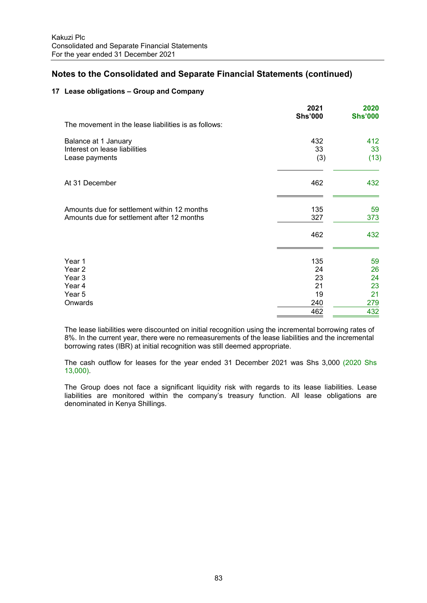#### **17 Lease obligations – Group and Company**

|                                                                                           | 2021<br><b>Shs'000</b> | 2020<br><b>Shs'000</b> |
|-------------------------------------------------------------------------------------------|------------------------|------------------------|
| The movement in the lease liabilities is as follows:                                      |                        |                        |
| Balance at 1 January<br>Interest on lease liabilities<br>Lease payments                   | 432<br>33<br>(3)       | 412<br>33<br>(13)      |
| At 31 December                                                                            | 462                    | 432                    |
| Amounts due for settlement within 12 months<br>Amounts due for settlement after 12 months | 135<br>327             | 59<br>373              |
|                                                                                           | 462                    | 432                    |
| Year 1<br>Year 2<br>Year 3                                                                | 135<br>24<br>23        | 59<br>26<br>24         |
| Year 4                                                                                    | 21                     | 23                     |
| Year 5                                                                                    | 19                     | 21                     |
| Onwards                                                                                   | 240                    | 279                    |
|                                                                                           | 462                    | 432                    |

The lease liabilities were discounted on initial recognition using the incremental borrowing rates of 8%. In the current year, there were no remeasurements of the lease liabilities and the incremental borrowing rates (IBR) at initial recognition was still deemed appropriate.

The cash outflow for leases for the year ended 31 December 2021 was Shs 3,000 (2020 Shs 13,000).

The Group does not face a significant liquidity risk with regards to its lease liabilities. Lease liabilities are monitored within the company's treasury function. All lease obligations are denominated in Kenya Shillings.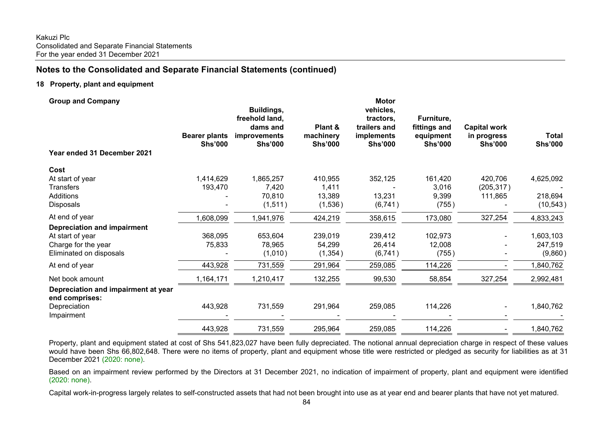#### **18 Property, plant and equipment**

| <b>Group and Company</b>                              | <b>Bearer plants</b><br><b>Shs'000</b> | Buildings,<br>freehold land,<br>dams and<br>improvements<br><b>Shs'000</b> | Plant &<br>machinery<br><b>Shs'000</b> | Motor<br>vehicles,<br>tractors,<br>trailers and<br>implements<br><b>Shs'000</b> | Furniture,<br>fittings and<br>equipment<br><b>Shs'000</b> | <b>Capital work</b><br>in progress<br><b>Shs'000</b> | <b>Total</b><br><b>Shs'000</b> |
|-------------------------------------------------------|----------------------------------------|----------------------------------------------------------------------------|----------------------------------------|---------------------------------------------------------------------------------|-----------------------------------------------------------|------------------------------------------------------|--------------------------------|
| Year ended 31 December 2021                           |                                        |                                                                            |                                        |                                                                                 |                                                           |                                                      |                                |
| Cost                                                  |                                        |                                                                            |                                        |                                                                                 |                                                           |                                                      |                                |
| At start of year                                      | 1,414,629                              | 1,865,257                                                                  | 410,955                                | 352,125                                                                         | 161,420                                                   | 420,706                                              | 4,625,092                      |
| <b>Transfers</b>                                      | 193,470                                | 7,420                                                                      | 1,411                                  |                                                                                 | 3,016                                                     | (205, 317)                                           |                                |
| Additions                                             |                                        | 70,810                                                                     | 13,389                                 | 13,231                                                                          | 9,399                                                     | 111,865                                              | 218,694                        |
| Disposals                                             |                                        | (1,511)                                                                    | (1,536)                                | (6, 741)                                                                        | (755)                                                     |                                                      | (10, 543)                      |
| At end of year                                        | 1,608,099                              | 1,941,976                                                                  | 424,219                                | 358,615                                                                         | 173,080                                                   | 327,254                                              | 4,833,243                      |
| <b>Depreciation and impairment</b>                    |                                        |                                                                            |                                        |                                                                                 |                                                           |                                                      |                                |
| At start of year                                      | 368,095                                | 653,604                                                                    | 239,019                                | 239,412                                                                         | 102,973                                                   |                                                      | 1,603,103                      |
| Charge for the year                                   | 75,833                                 | 78,965                                                                     | 54,299                                 | 26,414                                                                          | 12,008                                                    |                                                      | 247,519                        |
| Eliminated on disposals                               |                                        | (1,010)                                                                    | (1, 354)                               | (6, 741)                                                                        | (755)                                                     |                                                      | (9,860)                        |
| At end of year                                        | 443,928                                | 731,559                                                                    | 291,964                                | 259,085                                                                         | 114,226                                                   |                                                      | 1,840,762                      |
| Net book amount                                       | 1,164,171                              | 1,210,417                                                                  | 132,255                                | 99,530                                                                          | 58,854                                                    | 327,254                                              | 2,992,481                      |
| Depreciation and impairment at year<br>end comprises: |                                        |                                                                            |                                        |                                                                                 |                                                           |                                                      |                                |
| Depreciation                                          | 443,928                                | 731,559                                                                    | 291,964                                | 259,085                                                                         | 114,226                                                   |                                                      | 1,840,762                      |
| Impairment                                            |                                        |                                                                            |                                        |                                                                                 |                                                           |                                                      |                                |
|                                                       | 443,928                                | 731,559                                                                    | 295,964                                | 259,085                                                                         | 114,226                                                   |                                                      | 1,840,762                      |

Property, plant and equipment stated at cost of Shs 541,823,027 have been fully depreciated. The notional annual depreciation charge in respect of these values would have been Shs 66,802,648. There were no items of property, plant and equipment whose title were restricted or pledged as security for liabilities as at 31 December 2021 (2020: none).

Based on an impairment review performed by the Directors at 31 December 2021, no indication of impairment of property, plant and equipment were identified (2020: none).

Capital work-in-progress largely relates to self-constructed assets that had not been brought into use as at year end and bearer plants that have not yet matured.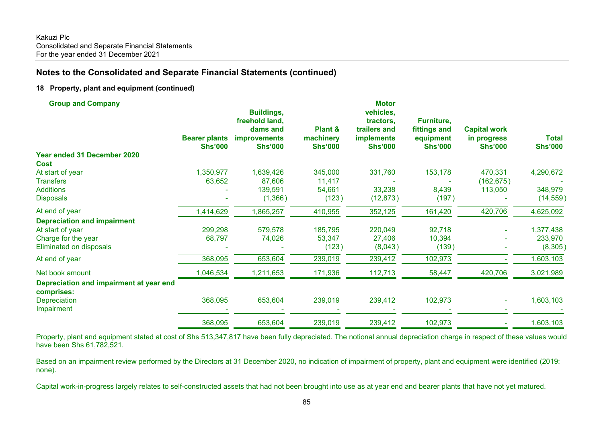#### **18 Property, plant and equipment (continued)**

| <b>Group and Company</b>                | <b>Bearer plants</b><br><b>Shs'000</b> | <b>Buildings,</b><br>freehold land,<br>dams and<br><b>improvements</b><br><b>Shs'000</b> | Plant &<br>machinery<br><b>Shs'000</b> | <b>Motor</b><br>vehicles,<br>tractors,<br>trailers and<br><b>implements</b><br><b>Shs'000</b> | Furniture,<br>fittings and<br>equipment<br><b>Shs'000</b> | <b>Capital work</b><br>in progress<br><b>Shs'000</b> | <b>Total</b><br><b>Shs'000</b> |
|-----------------------------------------|----------------------------------------|------------------------------------------------------------------------------------------|----------------------------------------|-----------------------------------------------------------------------------------------------|-----------------------------------------------------------|------------------------------------------------------|--------------------------------|
| Year ended 31 December 2020             |                                        |                                                                                          |                                        |                                                                                               |                                                           |                                                      |                                |
| <b>Cost</b>                             |                                        |                                                                                          |                                        |                                                                                               |                                                           |                                                      |                                |
| At start of year                        | 1,350,977                              | 1,639,426                                                                                | 345,000                                | 331,760                                                                                       | 153,178                                                   | 470,331                                              | 4,290,672                      |
| <b>Transfers</b>                        | 63,652                                 | 87,606                                                                                   | 11,417                                 |                                                                                               |                                                           | (162, 675)                                           |                                |
| <b>Additions</b>                        |                                        | 139,591                                                                                  | 54,661                                 | 33,238                                                                                        | 8,439                                                     | 113,050                                              | 348,979                        |
| <b>Disposals</b>                        |                                        | (1,366)                                                                                  | (123)                                  | (12, 873)                                                                                     | (197)                                                     |                                                      | (14, 559)                      |
| At end of year                          | 1,414,629                              | 1,865,257                                                                                | 410,955                                | 352,125                                                                                       | 161,420                                                   | 420,706                                              | 4,625,092                      |
| <b>Depreciation and impairment</b>      |                                        |                                                                                          |                                        |                                                                                               |                                                           |                                                      |                                |
| At start of year                        | 299,298                                | 579,578                                                                                  | 185,795                                | 220,049                                                                                       | 92,718                                                    |                                                      | 1,377,438                      |
| Charge for the year                     | 68,797                                 | 74,026                                                                                   | 53,347                                 | 27,406                                                                                        | 10,394                                                    |                                                      | 233,970                        |
| Eliminated on disposals                 |                                        |                                                                                          | (123)                                  | (8,043)                                                                                       | (139)                                                     |                                                      | (8,305)                        |
| At end of year                          | 368,095                                | 653,604                                                                                  | 239,019                                | 239,412                                                                                       | 102,973                                                   |                                                      | 1,603,103                      |
| Net book amount                         | 1,046,534                              | 1,211,653                                                                                | 171,936                                | 112,713                                                                                       | 58,447                                                    | 420,706                                              | 3,021,989                      |
| Depreciation and impairment at year end |                                        |                                                                                          |                                        |                                                                                               |                                                           |                                                      |                                |
| comprises:                              |                                        |                                                                                          |                                        |                                                                                               |                                                           |                                                      |                                |
| <b>Depreciation</b>                     | 368,095                                | 653,604                                                                                  | 239,019                                | 239,412                                                                                       | 102,973                                                   |                                                      | 1,603,103                      |
| Impairment                              |                                        |                                                                                          |                                        |                                                                                               |                                                           |                                                      |                                |
|                                         | 368,095                                | 653,604                                                                                  | 239,019                                | 239,412                                                                                       | 102,973                                                   |                                                      | 1,603,103                      |

Property, plant and equipment stated at cost of Shs 513,347,817 have been fully depreciated. The notional annual depreciation charge in respect of these values would have been Shs 61,782,521.

Based on an impairment review performed by the Directors at 31 December 2020, no indication of impairment of property, plant and equipment were identified (2019: none).

Capital work-in-progress largely relates to self-constructed assets that had not been brought into use as at year end and bearer plants that have not yet matured.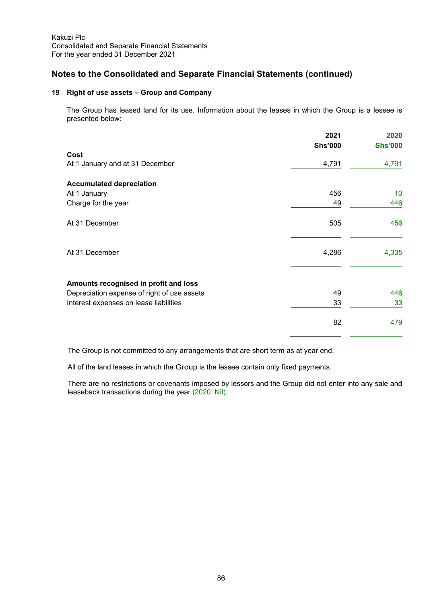#### **19 Right of use assets – Group and Company**

The Group has leased land for its use. Information about the leases in which the Group is a lessee is presented below:

|                                             | 2021           | 2020           |
|---------------------------------------------|----------------|----------------|
|                                             | <b>Shs'000</b> | <b>Shs'000</b> |
| Cost                                        |                |                |
| At 1 January and at 31 December             | 4,791          | 4,791          |
| <b>Accumulated depreciation</b>             |                |                |
| At 1 January                                | 456            | 10             |
| Charge for the year                         | 49             | 446            |
| At 31 December                              | 505            | 456            |
| At 31 December                              | 4,286          | 4,335          |
| Amounts recognised in profit and loss       |                |                |
| Depreciation expense of right of use assets | 49             | 446            |
| Interest expenses on lease liabilities      | 33             | 33             |
|                                             | 82             | 479            |
|                                             |                |                |

The Group is not committed to any arrangements that are short term as at year end.

All of the land leases in which the Group is the lessee contain only fixed payments.

There are no restrictions or covenants imposed by lessors and the Group did not enter into any sale and leaseback transactions during the year (2020: Nil).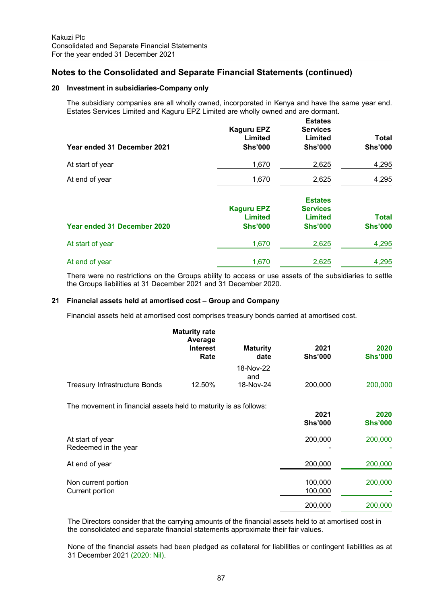#### **20 Investment in subsidiaries-Company only**

The subsidiary companies are all wholly owned, incorporated in Kenya and have the same year end. Estates Services Limited and Kaguru EPZ Limited are wholly owned and are dormant.

| Year ended 31 December 2021 | <b>Kaguru EPZ</b><br>Limited<br><b>Shs'000</b>        | <b>Estates</b><br><b>Services</b><br>Limited<br><b>Shs'000</b>        | <b>Total</b><br><b>Shs'000</b> |
|-----------------------------|-------------------------------------------------------|-----------------------------------------------------------------------|--------------------------------|
| At start of year            | 1,670                                                 | 2,625                                                                 | 4,295                          |
| At end of year              | 1,670                                                 | 2,625                                                                 | 4,295                          |
| Year ended 31 December 2020 | <b>Kaguru EPZ</b><br><b>Limited</b><br><b>Shs'000</b> | <b>Estates</b><br><b>Services</b><br><b>Limited</b><br><b>Shs'000</b> | <b>Total</b><br><b>Shs'000</b> |
| At start of year            | 1,670                                                 | 2,625                                                                 | 4,295                          |
| At end of year              | 1,670                                                 | 2,625                                                                 | 4,295                          |

There were no restrictions on the Groups ability to access or use assets of the subsidiaries to settle the Groups liabilities at 31 December 2021 and 31 December 2020.

#### **21 Financial assets held at amortised cost – Group and Company**

Financial assets held at amortised cost comprises treasury bonds carried at amortised cost.

|                                      | <b>Maturity rate</b><br>Average<br><b>Interest</b><br>Rate | <b>Maturity</b><br>date | 2021<br><b>Shs'000</b> | 2020<br><b>Shs'000</b> |
|--------------------------------------|------------------------------------------------------------|-------------------------|------------------------|------------------------|
|                                      |                                                            | 18-Nov-22<br>and        |                        |                        |
| <b>Treasury Infrastructure Bonds</b> | 12.50%                                                     | 18-Nov-24               | 200,000                | 200,000                |

The movement in financial assets held to maturity is as follows:

|                                          | 2021<br><b>Shs'000</b> | 2020<br><b>Shs'000</b> |
|------------------------------------------|------------------------|------------------------|
| At start of year<br>Redeemed in the year | 200,000                | 200,000                |
| At end of year                           | 200,000                | 200,000                |
| Non current portion<br>Current portion   | 100,000<br>100,000     | 200,000                |
|                                          | 200,000                | 200,000                |

The Directors consider that the carrying amounts of the financial assets held to at amortised cost in the consolidated and separate financial statements approximate their fair values.

None of the financial assets had been pledged as collateral for liabilities or contingent liabilities as at 31 December 2021 (2020: Nil).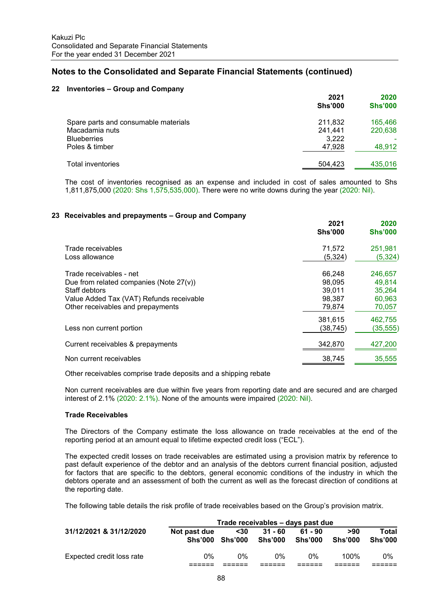#### **22 Inventories – Group and Company**

|                                      | 2021<br><b>Shs'000</b> | 2020<br><b>Shs'000</b> |
|--------------------------------------|------------------------|------------------------|
| Spare parts and consumable materials | 211,832                | 165,466                |
| Macadamia nuts                       | 241,441                | 220,638                |
| <b>Blueberries</b>                   | 3,222                  |                        |
| Poles & timber                       | 47,928                 | 48,912                 |
| Total inventories                    | 504,423                | 435,016                |

The cost of inventories recognised as an expense and included in cost of sales amounted to Shs 1,811,875,000 (2020: Shs 1,575,535,000). There were no write downs during the year (2020: Nil).

#### **23 Receivables and prepayments – Group and Company**

|                                                                                                                                                                         | 2021<br><b>Shs'000</b>                         | 2020<br><b>Shs'000</b>                          |
|-------------------------------------------------------------------------------------------------------------------------------------------------------------------------|------------------------------------------------|-------------------------------------------------|
| Trade receivables<br>Loss allowance                                                                                                                                     | 71,572<br>(5,324)                              | 251,981<br>(5, 324)                             |
| Trade receivables - net<br>Due from related companies (Note $27(v)$ )<br>Staff debtors<br>Value Added Tax (VAT) Refunds receivable<br>Other receivables and prepayments | 66,248<br>98.095<br>39,011<br>98,387<br>79,874 | 246,657<br>49,814<br>35,264<br>60,963<br>70,057 |
| Less non current portion                                                                                                                                                | 381,615<br>(38, 745)                           | 462,755<br>(35, 555)                            |
| Current receivables & prepayments<br>Non current receivables                                                                                                            | 342,870                                        | 427,200<br>35,555                               |
|                                                                                                                                                                         | 38,745                                         |                                                 |

Other receivables comprise trade deposits and a shipping rebate

Non current receivables are due within five years from reporting date and are secured and are charged interest of 2.1% (2020: 2.1%). None of the amounts were impaired (2020: Nil).

#### **Trade Receivables**

The Directors of the Company estimate the loss allowance on trade receivables at the end of the reporting period at an amount equal to lifetime expected credit loss ("ECL").

The expected credit losses on trade receivables are estimated using a provision matrix by reference to past default experience of the debtor and an analysis of the debtors current financial position, adjusted for factors that are specific to the debtors, general economic conditions of the industry in which the debtors operate and an assessment of both the current as well as the forecast direction of conditions at the reporting date.

The following table details the risk profile of trade receivables based on the Group's provision matrix.

|                           | Trade receivables – days past due |                 |                      |                      |                       |                         |  |
|---------------------------|-----------------------------------|-----------------|----------------------|----------------------|-----------------------|-------------------------|--|
| 31/12/2021 & 31/12/2020   | Not past due<br>Shs'000           | $30$<br>Shs'000 | $31 - 60$<br>Shs'000 | $61 - 90$<br>Shs'000 | >90<br><b>Shs'000</b> | Total<br><b>Shs'000</b> |  |
| Expected credit loss rate | 0%                                | በ%              | በ%                   | $0\%$                | 100%                  | 0%                      |  |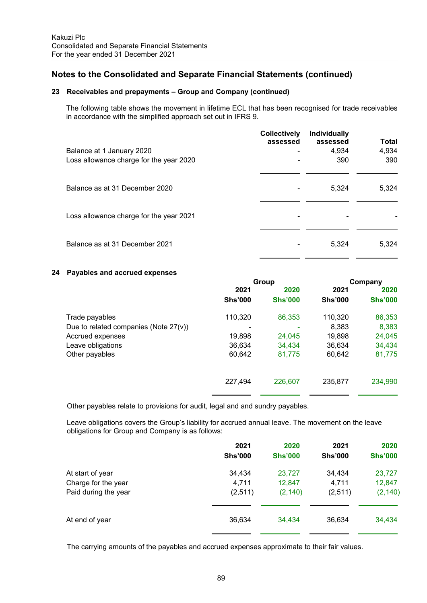#### **23 Receivables and prepayments – Group and Company (continued)**

The following table shows the movement in lifetime ECL that has been recognised for trade receivables in accordance with the simplified approach set out in IFRS 9.

|                                         | <b>Collectively</b><br>assessed | <b>Individually</b><br>assessed | Total |
|-----------------------------------------|---------------------------------|---------------------------------|-------|
| Balance at 1 January 2020               | $\blacksquare$                  | 4,934                           | 4,934 |
| Loss allowance charge for the year 2020 |                                 | 390                             | 390   |
|                                         |                                 |                                 |       |
| Balance as at 31 December 2020          |                                 | 5,324                           | 5.324 |
|                                         |                                 |                                 |       |
| Loss allowance charge for the year 2021 |                                 |                                 |       |
|                                         |                                 |                                 |       |
| Balance as at 31 December 2021          |                                 | 5.324                           | 5.324 |
|                                         |                                 |                                 |       |

#### **24 Payables and accrued expenses**

|                                          | Group          |                |                | Company        |
|------------------------------------------|----------------|----------------|----------------|----------------|
|                                          | 2021           | 2020           | 2021           | 2020           |
|                                          | <b>Shs'000</b> | <b>Shs'000</b> | <b>Shs'000</b> | <b>Shs'000</b> |
| Trade payables                           | 110,320        | 86,353         | 110,320        | 86,353         |
| Due to related companies (Note $27(v)$ ) |                |                | 8,383          | 8,383          |
| Accrued expenses                         | 19,898         | 24,045         | 19,898         | 24,045         |
| Leave obligations                        | 36,634         | 34,434         | 36,634         | 34,434         |
| Other payables                           | 60,642         | 81,775         | 60,642         | 81,775         |
|                                          |                |                |                |                |
|                                          | 227,494        | 226,607        | 235,877        | 234,990        |
|                                          |                |                |                |                |

Other payables relate to provisions for audit, legal and and sundry payables.

Leave obligations covers the Group's liability for accrued annual leave. The movement on the leave obligations for Group and Company is as follows:

|                      | 2021<br><b>Shs'000</b> | 2020<br><b>Shs'000</b> | 2021<br><b>Shs'000</b> | 2020<br><b>Shs'000</b> |
|----------------------|------------------------|------------------------|------------------------|------------------------|
| At start of year     | 34,434                 | 23,727                 | 34,434                 | 23,727                 |
| Charge for the year  | 4,711                  | 12,847                 | 4,711                  | 12,847                 |
| Paid during the year | (2,511)                | (2, 140)               | (2,511)                | (2, 140)               |
| At end of year       | 36,634                 | 34,434                 | 36,634                 | 34,434                 |
|                      |                        |                        |                        |                        |

The carrying amounts of the payables and accrued expenses approximate to their fair values.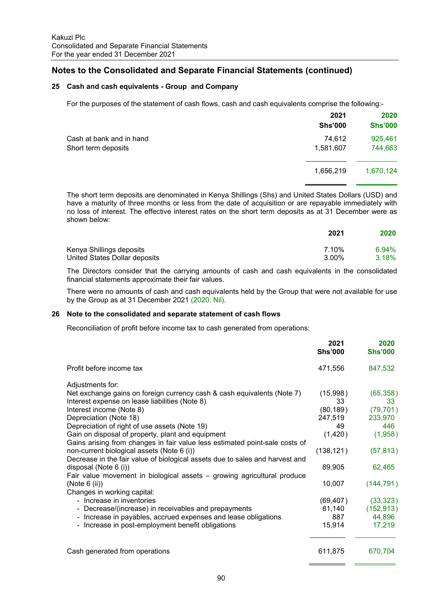#### **25 Cash and cash equivalents - Group and Company**

For the purposes of the statement of cash flows, cash and cash equivalents comprise the following:-

|                          | 2021<br><b>Shs'000</b> | 2020<br><b>Shs'000</b> |
|--------------------------|------------------------|------------------------|
| Cash at bank and in hand | 74,612                 | 925,461                |
| Short term deposits      | 1,581,607              | 744,663                |
|                          | 1,656,219              | 1,670,124              |
|                          |                        |                        |

The short term deposits are denominated in Kenya Shillings (Shs) and United States Dollars (USD) and have a maturity of three months or less from the date of acquisition or are repayable immediately with no loss of interest. The effective interest rates on the short term deposits as at 31 December were as shown below:

|                               | 2021  | 2020  |
|-------------------------------|-------|-------|
| Kenya Shillings deposits      | 7.10% | 6.94% |
| United States Dollar deposits | 3.00% | 3.18% |

 The Directors consider that the carrying amounts of cash and cash equivalents in the consolidated financial statements approximate their fair values.

There were no amounts of cash and cash equivalents held by the Group that were not available for use by the Group as at 31 December 2021 (2020: Nil).

#### **26 Note to the consolidated and separate statement of cash flows**

Reconciliation of profit before income tax to cash generated from operations:

|                                                                                                                                  | 2021<br><b>Shs'000</b> | 2020<br><b>Shs'000</b> |
|----------------------------------------------------------------------------------------------------------------------------------|------------------------|------------------------|
| Profit before income tax                                                                                                         | 471,556                | 847,532                |
| Adjustments for:                                                                                                                 |                        |                        |
| Net exchange gains on foreign currency cash & cash equivalents (Note 7)<br>Interest expense on lease liabilities (Note 8)        | (15,998)<br>33         | (65, 358)<br>33        |
| Interest income (Note 8)                                                                                                         | (80, 189)              | (79, 701)              |
| Depreciation (Note 18)                                                                                                           | 247,519                | 233,970                |
| Depreciation of right of use assets (Note 19)                                                                                    | 49                     | 446                    |
| Gain on disposal of property, plant and equipment<br>Gains arising from changes in fair value less estimated point-sale costs of | (1,420)                | (1,958)                |
| non-current biological assets (Note 6 (i))<br>Decrease in the fair value of biological assets due to sales and harvest and       | (138, 121)             | (57, 813)              |
| disposal (Note 6 (i))<br>Fair value movement in biological assets – growing agricultural produce                                 | 89,905                 | 62,465                 |
| (Note $6$ (ii))<br>Changes in working capital:                                                                                   | 10,007                 | (144, 791)             |
| - Increase in inventories                                                                                                        | (69, 407)              | (33, 323)              |
| - Decrease/(increase) in receivables and prepayments                                                                             | 81,140                 | (152, 913)             |
| - Increase in payables, accrued expenses and lease obligations                                                                   | 887                    | 44,896                 |
| - Increase in post-employment benefit obligations                                                                                | 15,914                 | 17,219                 |
| Cash generated from operations                                                                                                   | 611,875                | 670,704                |
|                                                                                                                                  |                        |                        |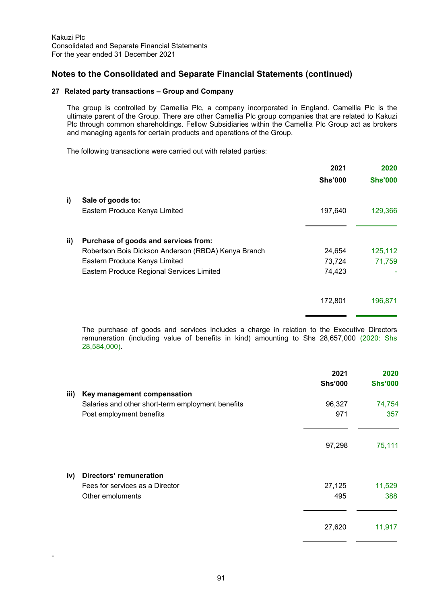#### **27 Related party transactions – Group and Company**

The group is controlled by Camellia Plc, a company incorporated in England. Camellia Plc is the ultimate parent of the Group. There are other Camellia Plc group companies that are related to Kakuzi Plc through common shareholdings. Fellow Subsidiaries within the Camellia Plc Group act as brokers and managing agents for certain products and operations of the Group.

The following transactions were carried out with related parties:

|     |                                                     | 2021           | 2020           |
|-----|-----------------------------------------------------|----------------|----------------|
|     |                                                     | <b>Shs'000</b> | <b>Shs'000</b> |
| i)  | Sale of goods to:                                   |                |                |
|     | Eastern Produce Kenya Limited                       | 197,640        | 129,366        |
| ii) | Purchase of goods and services from:                |                |                |
|     | Robertson Bois Dickson Anderson (RBDA) Kenya Branch | 24,654         | 125,112        |
|     | Eastern Produce Kenya Limited                       | 73,724         | 71,759         |
|     | Eastern Produce Regional Services Limited           | 74,423         |                |
|     |                                                     | 172,801        | 196,871        |
|     |                                                     |                |                |

The purchase of goods and services includes a charge in relation to the Executive Directors remuneration (including value of benefits in kind) amounting to Shs 28,657,000 (2020: Shs 28,584,000).

|      |                                                   | 2021<br><b>Shs'000</b> | 2020<br><b>Shs'000</b> |
|------|---------------------------------------------------|------------------------|------------------------|
| iii) | Key management compensation                       |                        |                        |
|      | Salaries and other short-term employment benefits | 96,327                 | 74,754                 |
|      | Post employment benefits                          | 971                    | 357                    |
|      |                                                   | 97,298                 | 75,111                 |
| iv)  | Directors' remuneration                           |                        |                        |
|      | Fees for services as a Director                   | 27,125                 | 11,529                 |
|      | Other emoluments                                  | 495                    | 388                    |
|      |                                                   | 27,620                 | 11,917                 |

-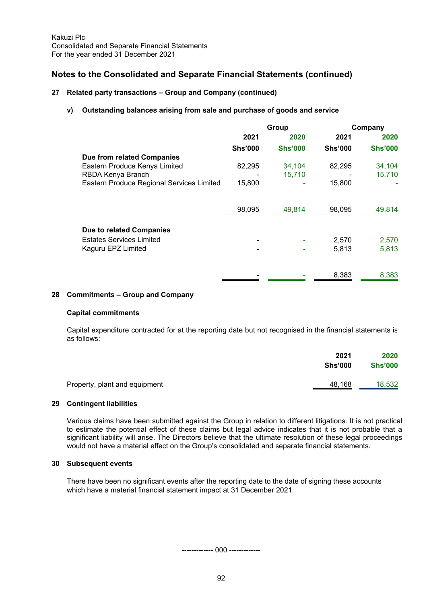#### **27 Related party transactions – Group and Company (continued)**

#### **v) Outstanding balances arising from sale and purchase of goods and service**

| Group                                               |                | Company        |                |
|-----------------------------------------------------|----------------|----------------|----------------|
| 2021                                                | 2020           | 2021           | 2020           |
| <b>Shs'000</b>                                      | <b>Shs'000</b> | <b>Shs'000</b> | <b>Shs'000</b> |
|                                                     |                |                |                |
| 82,295                                              | 34,104         | 82,295         | 34,104         |
|                                                     | 15,710         |                | 15,710         |
| Eastern Produce Regional Services Limited<br>15,800 |                | 15,800         |                |
|                                                     |                |                |                |
| 98,095                                              | 49,814         | 98,095         | 49,814         |
|                                                     |                |                |                |
|                                                     |                | 2,570          | 2,570          |
|                                                     |                | 5,813          | 5,813          |
|                                                     |                |                |                |
|                                                     |                | 8,383          | 8,383          |
|                                                     |                |                |                |

#### **28 Commitments – Group and Company**

#### **Capital commitments**

Capital expenditure contracted for at the reporting date but not recognised in the financial statements is as follows:

|                               | 2021           | 2020           |
|-------------------------------|----------------|----------------|
|                               | <b>Shs'000</b> | <b>Shs'000</b> |
| Property, plant and equipment | 48,168         | 18,532         |

#### **29 Contingent liabilities**

Various claims have been submitted against the Group in relation to different litigations. It is not practical to estimate the potential effect of these claims but legal advice indicates that it is not probable that a significant liability will arise. The Directors believe that the ultimate resolution of these legal proceedings would not have a material effect on the Group's consolidated and separate financial statements.

#### **30 Subsequent events**

There have been no significant events after the reporting date to the date of signing these accounts which have a material financial statement impact at 31 December 2021.

------------- 000 -------------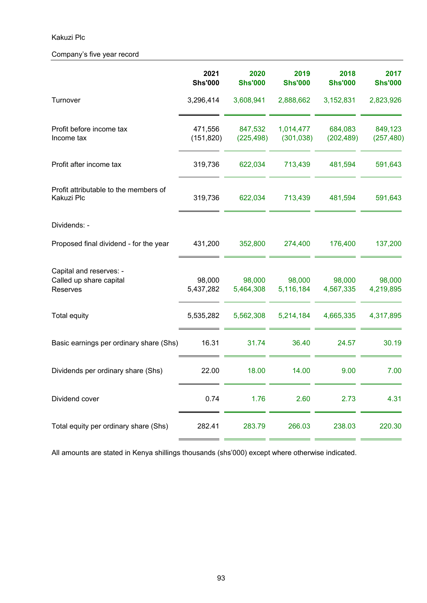## Kakuzi Plc

## Company's five year record

|                                                                | 2021<br><b>Shs'000</b> | 2020<br><b>Shs'000</b> | 2019<br><b>Shs'000</b>  | 2018<br><b>Shs'000</b> | 2017<br><b>Shs'000</b> |
|----------------------------------------------------------------|------------------------|------------------------|-------------------------|------------------------|------------------------|
| Turnover                                                       | 3,296,414              | 3,608,941              | 2,888,662               | 3,152,831              | 2,823,926              |
| Profit before income tax<br>Income tax                         | 471,556<br>(151, 820)  | 847,532<br>(225, 498)  | 1,014,477<br>(301, 038) | 684,083<br>(202, 489)  | 849,123<br>(257, 480)  |
| Profit after income tax                                        | 319,736                | 622,034                | 713,439                 | 481,594                | 591,643                |
| Profit attributable to the members of<br>Kakuzi Plc            | 319,736                | 622,034                | 713,439                 | 481,594                | 591,643                |
| Dividends: -                                                   |                        |                        |                         |                        |                        |
| Proposed final dividend - for the year                         | 431,200                | 352,800                | 274,400                 | 176,400                | 137,200                |
| Capital and reserves: -<br>Called up share capital<br>Reserves | 98,000<br>5,437,282    | 98,000<br>5,464,308    | 98,000<br>5,116,184     | 98,000<br>4,567,335    | 98,000<br>4,219,895    |
| <b>Total equity</b>                                            | 5,535,282              | 5,562,308              | 5,214,184               | 4,665,335              | 4,317,895              |
| Basic earnings per ordinary share (Shs)                        | 16.31                  | 31.74                  | 36.40                   | 24.57                  | 30.19                  |
| Dividends per ordinary share (Shs)                             | 22.00                  | 18.00                  | 14.00                   | 9.00                   | 7.00                   |
| Dividend cover                                                 | 0.74                   | 1.76                   | 2.60                    | 2.73                   | 4.31                   |
| Total equity per ordinary share (Shs)                          | 282.41                 | 283.79                 | 266.03                  | 238.03                 | 220.30                 |

All amounts are stated in Kenya shillings thousands (shs'000) except where otherwise indicated.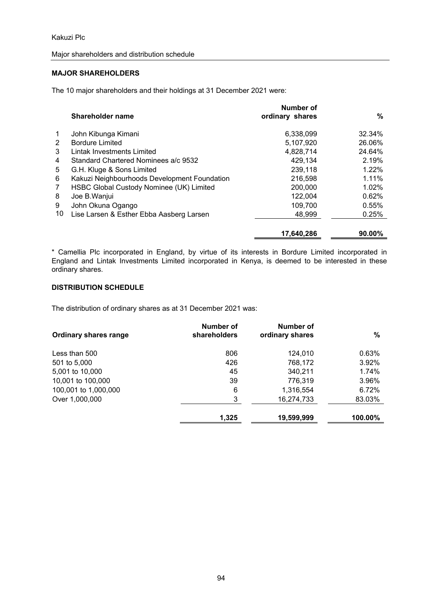#### Major shareholders and distribution schedule

#### **MAJOR SHAREHOLDERS**

The 10 major shareholders and their holdings at 31 December 2021 were:

|             | Shareholder name                             | Number of<br>ordinary shares | %         |
|-------------|----------------------------------------------|------------------------------|-----------|
| $\mathbf 1$ | John Kibunga Kimani                          | 6,338,099                    | 32.34%    |
| 2           | <b>Bordure Limited</b>                       | 5,107,920                    | 26.06%    |
| 3           | Lintak Investments Limited                   | 4,828,714                    | 24.64%    |
| 4           | Standard Chartered Nominees a/c 9532         | 429,134                      | 2.19%     |
| 5           | G.H. Kluge & Sons Limited                    | 239,118                      | 1.22%     |
| 6           | Kakuzi Neighbourhoods Development Foundation | 216,598                      | 1.11%     |
| 7           | HSBC Global Custody Nominee (UK) Limited     | 200,000                      | 1.02%     |
| 8           | Joe B. Wanjui                                | 122,004                      | 0.62%     |
| 9           | John Okuna Ogango                            | 109,700                      | 0.55%     |
| 10          | Lise Larsen & Esther Ebba Aasberg Larsen     | 48,999                       | 0.25%     |
|             |                                              | 17,640,286                   | $90.00\%$ |

\* Camellia Plc incorporated in England, by virtue of its interests in Bordure Limited incorporated in England and Lintak Investments Limited incorporated in Kenya, is deemed to be interested in these ordinary shares.

## **DISTRIBUTION SCHEDULE**

The distribution of ordinary shares as at 31 December 2021 was:

| <b>Ordinary shares range</b> | Number of<br>shareholders | Number of<br>ordinary shares | $\frac{0}{0}$ |
|------------------------------|---------------------------|------------------------------|---------------|
| Less than 500                | 806                       | 124,010                      | 0.63%         |
| 501 to 5,000                 | 426                       | 768,172                      | 3.92%         |
| 5,001 to 10,000              | 45                        | 340,211                      | 1.74%         |
| 10,001 to 100,000            | 39                        | 776,319                      | 3.96%         |
| 100,001 to 1,000,000         | 6                         | 1,316,554                    | 6.72%         |
| Over 1,000,000               | 3                         | 16,274,733                   | 83.03%        |
|                              | 1,325                     | 19,599,999                   | 100.00%       |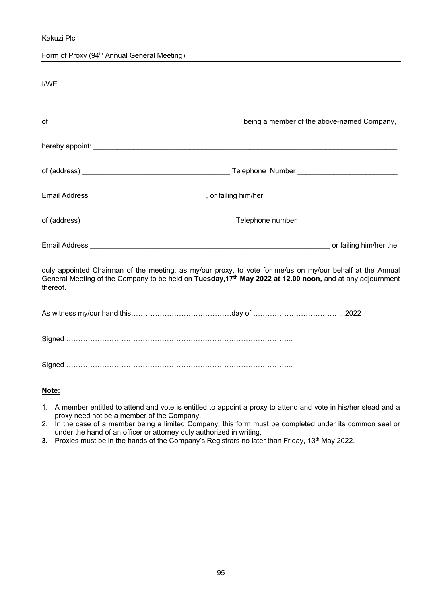Kakuzi Plc

Form of Proxy (94<sup>th</sup> Annual General Meeting)

| I/WE     |                                                                                                                                                                                                                                    |                                            |
|----------|------------------------------------------------------------------------------------------------------------------------------------------------------------------------------------------------------------------------------------|--------------------------------------------|
|          |                                                                                                                                                                                                                                    | being a member of the above-named Company, |
|          |                                                                                                                                                                                                                                    |                                            |
|          |                                                                                                                                                                                                                                    |                                            |
|          | Email Address _______________________________, or failing him/her __________________________________                                                                                                                               |                                            |
|          |                                                                                                                                                                                                                                    |                                            |
|          |                                                                                                                                                                                                                                    |                                            |
| thereof. | duly appointed Chairman of the meeting, as my/our proxy, to vote for me/us on my/our behalf at the Annual<br>General Meeting of the Company to be held on Tuesday, 17 <sup>th</sup> May 2022 at 12.00 noon, and at any adjournment |                                            |
|          |                                                                                                                                                                                                                                    |                                            |
|          |                                                                                                                                                                                                                                    |                                            |
|          |                                                                                                                                                                                                                                    |                                            |

#### **Note:**

- 1. A member entitled to attend and vote is entitled to appoint a proxy to attend and vote in his/her stead and a proxy need not be a member of the Company.
- 2. In the case of a member being a limited Company, this form must be completed under its common seal or under the hand of an officer or attorney duly authorized in writing.
- **3.** Proxies must be in the hands of the Company's Registrars no later than Friday, 13<sup>th</sup> May 2022.